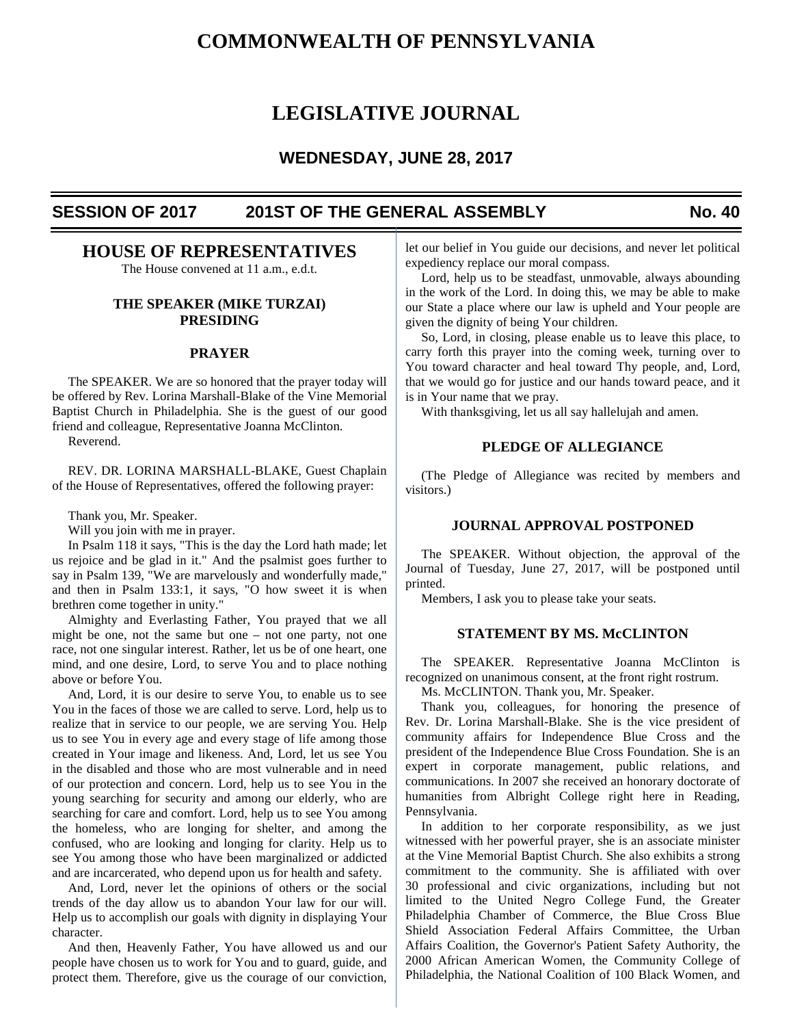# **COMMONWEALTH OF PENNSYLVANIA**

# **LEGISLATIVE JOURNAL**

# **WEDNESDAY, JUNE 28, 2017**

# **SESSION OF 2017 201ST OF THE GENERAL ASSEMBLY No. 40**

# **HOUSE OF REPRESENTATIVES**

The House convened at 11 a.m., e.d.t.

# **THE SPEAKER (MIKE TURZAI) PRESIDING**

# **PRAYER**

 The SPEAKER. We are so honored that the prayer today will be offered by Rev. Lorina Marshall-Blake of the Vine Memorial Baptist Church in Philadelphia. She is the guest of our good friend and colleague, Representative Joanna McClinton.

Reverend.

 REV. DR. LORINA MARSHALL-BLAKE, Guest Chaplain of the House of Representatives, offered the following prayer:

Thank you, Mr. Speaker.

Will you join with me in prayer.

 In Psalm 118 it says, "This is the day the Lord hath made; let us rejoice and be glad in it." And the psalmist goes further to say in Psalm 139, "We are marvelously and wonderfully made," and then in Psalm 133:1, it says, "O how sweet it is when brethren come together in unity."

 Almighty and Everlasting Father, You prayed that we all might be one, not the same but one – not one party, not one race, not one singular interest. Rather, let us be of one heart, one mind, and one desire, Lord, to serve You and to place nothing above or before You.

 And, Lord, it is our desire to serve You, to enable us to see You in the faces of those we are called to serve. Lord, help us to realize that in service to our people, we are serving You. Help us to see You in every age and every stage of life among those created in Your image and likeness. And, Lord, let us see You in the disabled and those who are most vulnerable and in need of our protection and concern. Lord, help us to see You in the young searching for security and among our elderly, who are searching for care and comfort. Lord, help us to see You among the homeless, who are longing for shelter, and among the confused, who are looking and longing for clarity. Help us to see You among those who have been marginalized or addicted and are incarcerated, who depend upon us for health and safety.

 And, Lord, never let the opinions of others or the social trends of the day allow us to abandon Your law for our will. Help us to accomplish our goals with dignity in displaying Your character.

 And then, Heavenly Father, You have allowed us and our people have chosen us to work for You and to guard, guide, and protect them. Therefore, give us the courage of our conviction, let our belief in You guide our decisions, and never let political expediency replace our moral compass.

 Lord, help us to be steadfast, unmovable, always abounding in the work of the Lord. In doing this, we may be able to make our State a place where our law is upheld and Your people are given the dignity of being Your children.

 So, Lord, in closing, please enable us to leave this place, to carry forth this prayer into the coming week, turning over to You toward character and heal toward Thy people, and, Lord, that we would go for justice and our hands toward peace, and it is in Your name that we pray.

With thanksgiving, let us all say hallelujah and amen.

# **PLEDGE OF ALLEGIANCE**

 (The Pledge of Allegiance was recited by members and visitors.)

# **JOURNAL APPROVAL POSTPONED**

 The SPEAKER. Without objection, the approval of the Journal of Tuesday, June 27, 2017, will be postponed until printed.

Members, I ask you to please take your seats.

# **STATEMENT BY MS. McCLINTON**

 The SPEAKER. Representative Joanna McClinton is recognized on unanimous consent, at the front right rostrum.

Ms. McCLINTON. Thank you, Mr. Speaker.

 Thank you, colleagues, for honoring the presence of Rev. Dr. Lorina Marshall-Blake. She is the vice president of community affairs for Independence Blue Cross and the president of the Independence Blue Cross Foundation. She is an expert in corporate management, public relations, and communications. In 2007 she received an honorary doctorate of humanities from Albright College right here in Reading, Pennsylvania.

 In addition to her corporate responsibility, as we just witnessed with her powerful prayer, she is an associate minister at the Vine Memorial Baptist Church. She also exhibits a strong commitment to the community. She is affiliated with over 30 professional and civic organizations, including but not limited to the United Negro College Fund, the Greater Philadelphia Chamber of Commerce, the Blue Cross Blue Shield Association Federal Affairs Committee, the Urban Affairs Coalition, the Governor's Patient Safety Authority, the 2000 African American Women, the Community College of Philadelphia, the National Coalition of 100 Black Women, and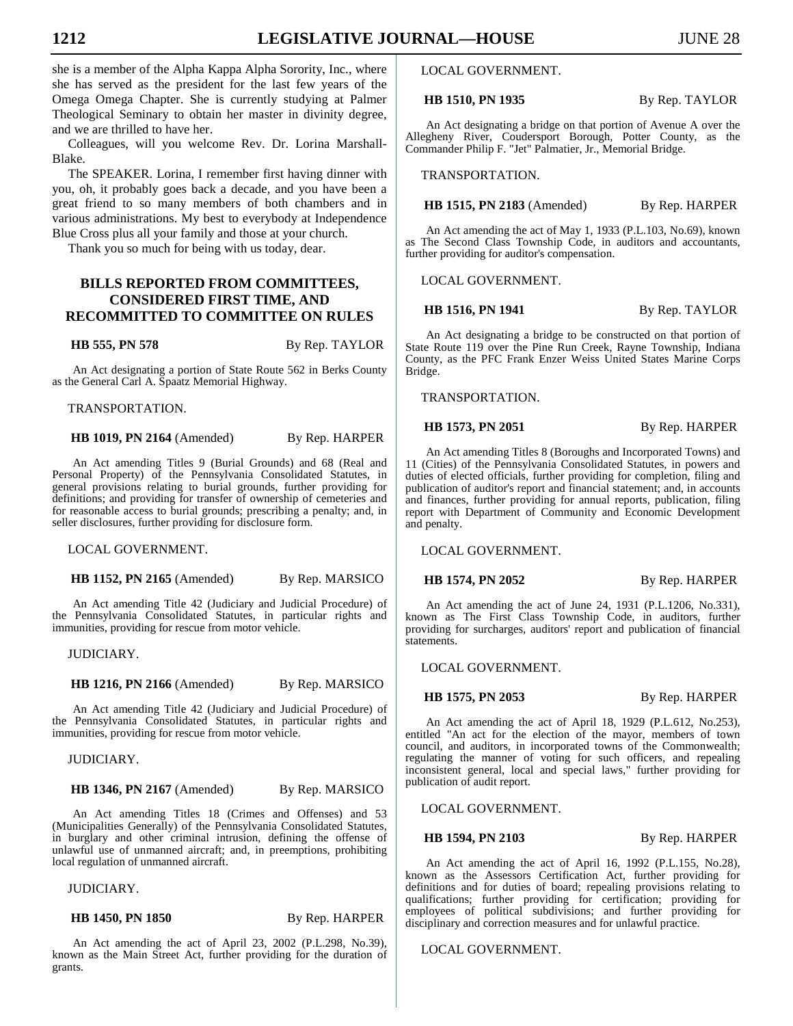she is a member of the Alpha Kappa Alpha Sorority, Inc., where she has served as the president for the last few years of the Omega Omega Chapter. She is currently studying at Palmer Theological Seminary to obtain her master in divinity degree, and we are thrilled to have her.

 Colleagues, will you welcome Rev. Dr. Lorina Marshall-Blake.

 The SPEAKER. Lorina, I remember first having dinner with you, oh, it probably goes back a decade, and you have been a great friend to so many members of both chambers and in various administrations. My best to everybody at Independence Blue Cross plus all your family and those at your church.

Thank you so much for being with us today, dear.

# **BILLS REPORTED FROM COMMITTEES, CONSIDERED FIRST TIME, AND RECOMMITTED TO COMMITTEE ON RULES**

**HB 555, PN 578** By Rep. TAYLOR

An Act designating a portion of State Route 562 in Berks County as the General Carl A. Spaatz Memorial Highway.

TRANSPORTATION.

**HB 1019, PN 2164** (Amended) By Rep. HARPER

An Act amending Titles 9 (Burial Grounds) and 68 (Real and Personal Property) of the Pennsylvania Consolidated Statutes, in general provisions relating to burial grounds, further providing for definitions; and providing for transfer of ownership of cemeteries and for reasonable access to burial grounds; prescribing a penalty; and, in seller disclosures, further providing for disclosure form.

LOCAL GOVERNMENT.

**HB 1152, PN 2165** (Amended) By Rep. MARSICO

An Act amending Title 42 (Judiciary and Judicial Procedure) of the Pennsylvania Consolidated Statutes, in particular rights and immunities, providing for rescue from motor vehicle.

JUDICIARY.

**HB 1216, PN 2166** (Amended) By Rep. MARSICO

An Act amending Title 42 (Judiciary and Judicial Procedure) of the Pennsylvania Consolidated Statutes, in particular rights and immunities, providing for rescue from motor vehicle.

JUDICIARY.

#### **HB 1346, PN 2167** (Amended) By Rep. MARSICO

An Act amending Titles 18 (Crimes and Offenses) and 53 (Municipalities Generally) of the Pennsylvania Consolidated Statutes, in burglary and other criminal intrusion, defining the offense of unlawful use of unmanned aircraft; and, in preemptions, prohibiting local regulation of unmanned aircraft.

JUDICIARY.

**HB 1450, PN 1850** By Rep. HARPER

An Act amending the act of April 23, 2002 (P.L.298, No.39), known as the Main Street Act, further providing for the duration of grants.

LOCAL GOVERNMENT.

**HB 1510, PN 1935** By Rep. TAYLOR

An Act designating a bridge on that portion of Avenue A over the Allegheny River, Coudersport Borough, Potter County, as the Commander Philip F. "Jet" Palmatier, Jr., Memorial Bridge.

TRANSPORTATION.

**HB 1515, PN 2183** (Amended) By Rep. HARPER

An Act amending the act of May 1, 1933 (P.L.103, No.69), known as The Second Class Township Code, in auditors and accountants, further providing for auditor's compensation.

LOCAL GOVERNMENT.

**HB 1516, PN 1941** By Rep. TAYLOR

An Act designating a bridge to be constructed on that portion of State Route 119 over the Pine Run Creek, Rayne Township, Indiana County, as the PFC Frank Enzer Weiss United States Marine Corps Bridge.

TRANSPORTATION.

**HB 1573, PN 2051** By Rep. HARPER

An Act amending Titles 8 (Boroughs and Incorporated Towns) and 11 (Cities) of the Pennsylvania Consolidated Statutes, in powers and duties of elected officials, further providing for completion, filing and publication of auditor's report and financial statement; and, in accounts and finances, further providing for annual reports, publication, filing report with Department of Community and Economic Development and penalty.

LOCAL GOVERNMENT.

**HB 1574, PN 2052** By Rep. HARPER

An Act amending the act of June 24, 1931 (P.L.1206, No.331), known as The First Class Township Code, in auditors, further providing for surcharges, auditors' report and publication of financial statements.

LOCAL GOVERNMENT.

# **HB 1575, PN 2053** By Rep. HARPER

An Act amending the act of April 18, 1929 (P.L.612, No.253), entitled "An act for the election of the mayor, members of town council, and auditors, in incorporated towns of the Commonwealth; regulating the manner of voting for such officers, and repealing inconsistent general, local and special laws," further providing for publication of audit report.

LOCAL GOVERNMENT.

#### **HB 1594, PN 2103** By Rep. HARPER

An Act amending the act of April 16, 1992 (P.L.155, No.28), known as the Assessors Certification Act, further providing for definitions and for duties of board; repealing provisions relating to qualifications; further providing for certification; providing for employees of political subdivisions; and further providing for

disciplinary and correction measures and for unlawful practice.

# LOCAL GOVERNMENT.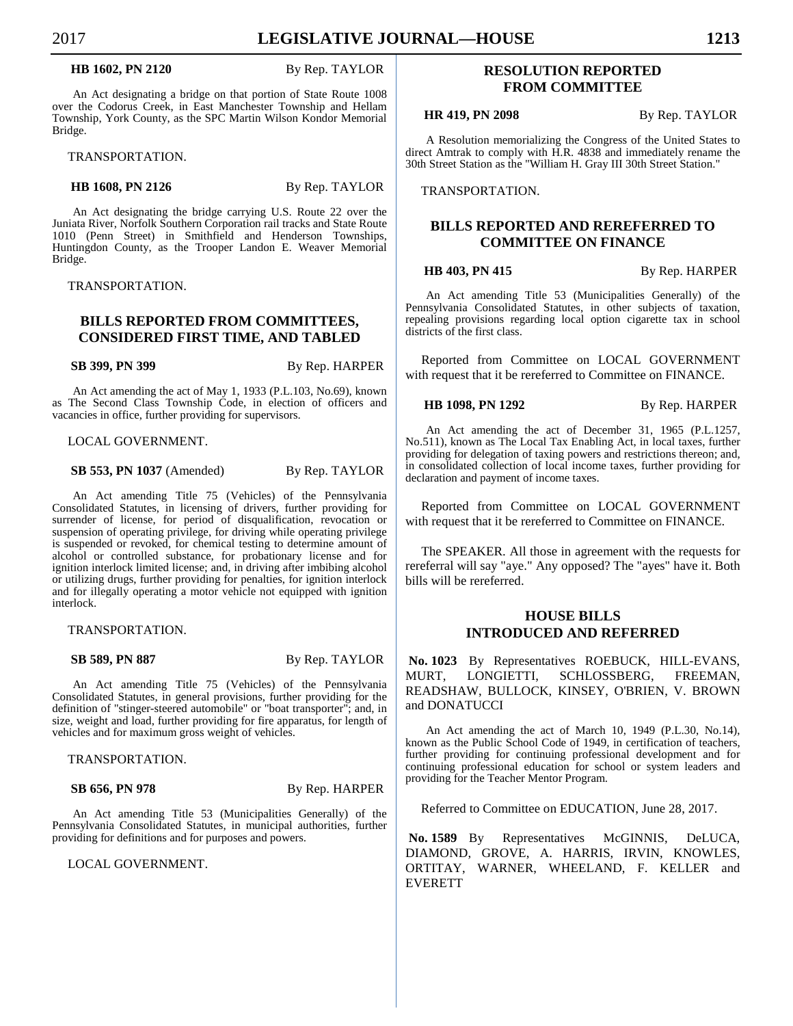#### **HB 1602, PN 2120** By Rep. TAYLOR

An Act designating a bridge on that portion of State Route 1008 over the Codorus Creek, in East Manchester Township and Hellam Township, York County, as the SPC Martin Wilson Kondor Memorial Bridge.

TRANSPORTATION.

**HB 1608, PN 2126** By Rep. TAYLOR

An Act designating the bridge carrying U.S. Route 22 over the Juniata River, Norfolk Southern Corporation rail tracks and State Route 1010 (Penn Street) in Smithfield and Henderson Townships, Huntingdon County, as the Trooper Landon E. Weaver Memorial Bridge.

TRANSPORTATION.

# **BILLS REPORTED FROM COMMITTEES, CONSIDERED FIRST TIME, AND TABLED**

**SB 399, PN 399** By Rep. HARPER

An Act amending the act of May 1, 1933 (P.L.103, No.69), known as The Second Class Township Code, in election of officers and vacancies in office, further providing for supervisors.

LOCAL GOVERNMENT.

**SB 553, PN 1037** (Amended) By Rep. TAYLOR

An Act amending Title 75 (Vehicles) of the Pennsylvania Consolidated Statutes, in licensing of drivers, further providing for surrender of license, for period of disqualification, revocation or suspension of operating privilege, for driving while operating privilege is suspended or revoked, for chemical testing to determine amount of alcohol or controlled substance, for probationary license and for ignition interlock limited license; and, in driving after imbibing alcohol or utilizing drugs, further providing for penalties, for ignition interlock and for illegally operating a motor vehicle not equipped with ignition interlock.

TRANSPORTATION.

**SB 589, PN 887** By Rep. TAYLOR

An Act amending Title 75 (Vehicles) of the Pennsylvania Consolidated Statutes, in general provisions, further providing for the definition of "stinger-steered automobile" or "boat transporter"; and, in size, weight and load, further providing for fire apparatus, for length of vehicles and for maximum gross weight of vehicles.

TRANSPORTATION.

**SB 656, PN 978** By Rep. HARPER

An Act amending Title 53 (Municipalities Generally) of the Pennsylvania Consolidated Statutes, in municipal authorities, further providing for definitions and for purposes and powers.

LOCAL GOVERNMENT.

# **RESOLUTION REPORTED FROM COMMITTEE**

**HR 419, PN 2098** By Rep. TAYLOR

A Resolution memorializing the Congress of the United States to direct Amtrak to comply with H.R. 4838 and immediately rename the 30th Street Station as the "William H. Gray III 30th Street Station."

TRANSPORTATION.

# **BILLS REPORTED AND REREFERRED TO COMMITTEE ON FINANCE**

**HB 403, PN 415** By Rep. HARPER

An Act amending Title 53 (Municipalities Generally) of the Pennsylvania Consolidated Statutes, in other subjects of taxation, repealing provisions regarding local option cigarette tax in school districts of the first class.

 Reported from Committee on LOCAL GOVERNMENT with request that it be rereferred to Committee on FINANCE.

**HB 1098, PN 1292** By Rep. HARPER

An Act amending the act of December 31, 1965 (P.L.1257, No.511), known as The Local Tax Enabling Act, in local taxes, further providing for delegation of taxing powers and restrictions thereon; and, in consolidated collection of local income taxes, further providing for declaration and payment of income taxes.

 Reported from Committee on LOCAL GOVERNMENT with request that it be rereferred to Committee on FINANCE.

 The SPEAKER. All those in agreement with the requests for rereferral will say "aye." Any opposed? The "ayes" have it. Both bills will be rereferred.

# **HOUSE BILLS INTRODUCED AND REFERRED**

 **No. 1023** By Representatives ROEBUCK, HILL-EVANS, MURT, LONGIETTI, SCHLOSSBERG, FREEMAN, READSHAW, BULLOCK, KINSEY, O'BRIEN, V. BROWN and DONATUCCI

An Act amending the act of March 10, 1949 (P.L.30, No.14), known as the Public School Code of 1949, in certification of teachers, further providing for continuing professional development and for continuing professional education for school or system leaders and providing for the Teacher Mentor Program.

Referred to Committee on EDUCATION, June 28, 2017.

 **No. 1589** By Representatives McGINNIS, DeLUCA, DIAMOND, GROVE, A. HARRIS, IRVIN, KNOWLES, ORTITAY, WARNER, WHEELAND, F. KELLER and EVERETT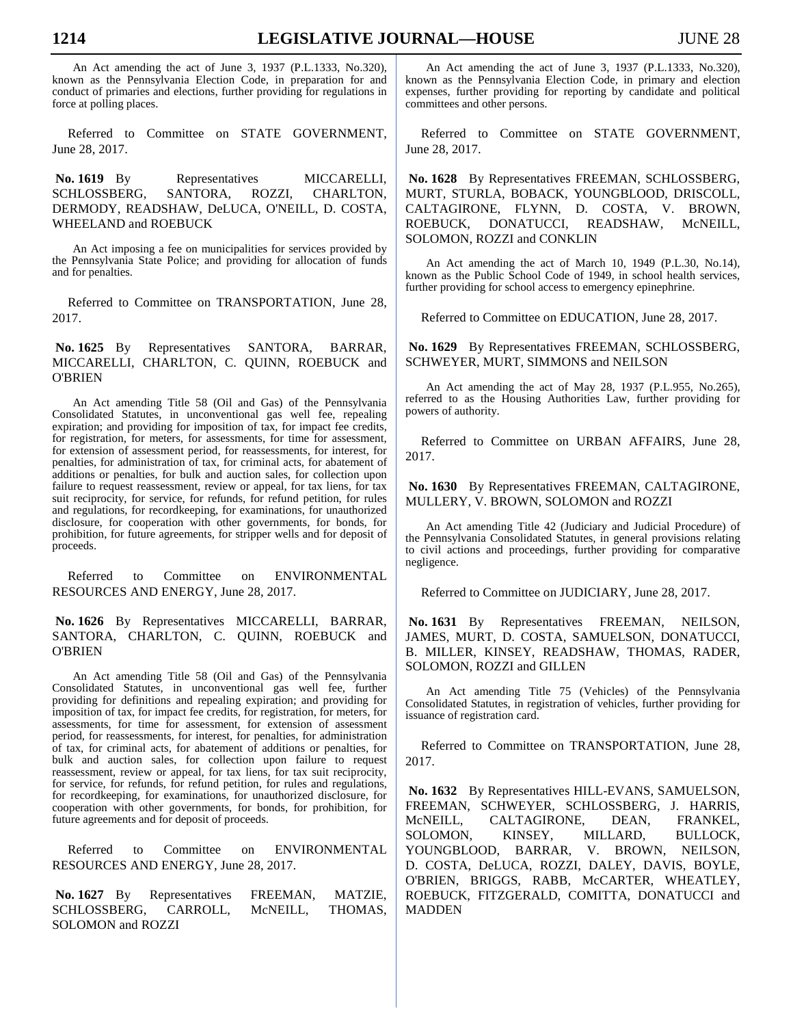An Act amending the act of June 3, 1937 (P.L.1333, No.320), known as the Pennsylvania Election Code, in preparation for and conduct of primaries and elections, further providing for regulations in force at polling places.

Referred to Committee on STATE GOVERNMENT, June 28, 2017.

No. 1619 By Representatives MICCARELLI, SCHLOSSBERG, SANTORA, ROZZI, CHARLTON, DERMODY, READSHAW, DeLUCA, O'NEILL, D. COSTA, WHEELAND and ROEBUCK

An Act imposing a fee on municipalities for services provided by the Pennsylvania State Police; and providing for allocation of funds and for penalties.

Referred to Committee on TRANSPORTATION, June 28, 2017.

 **No. 1625** By Representatives SANTORA, BARRAR, MICCARELLI, CHARLTON, C. QUINN, ROEBUCK and O'BRIEN

An Act amending Title 58 (Oil and Gas) of the Pennsylvania Consolidated Statutes, in unconventional gas well fee, repealing expiration; and providing for imposition of tax, for impact fee credits, for registration, for meters, for assessments, for time for assessment, for extension of assessment period, for reassessments, for interest, for penalties, for administration of tax, for criminal acts, for abatement of additions or penalties, for bulk and auction sales, for collection upon failure to request reassessment, review or appeal, for tax liens, for tax suit reciprocity, for service, for refunds, for refund petition, for rules and regulations, for recordkeeping, for examinations, for unauthorized disclosure, for cooperation with other governments, for bonds, for prohibition, for future agreements, for stripper wells and for deposit of proceeds.

Referred to Committee on ENVIRONMENTAL RESOURCES AND ENERGY, June 28, 2017.

 **No. 1626** By Representatives MICCARELLI, BARRAR, SANTORA, CHARLTON, C. OUINN, ROEBUCK and O'BRIEN

An Act amending Title 58 (Oil and Gas) of the Pennsylvania Consolidated Statutes, in unconventional gas well fee, further providing for definitions and repealing expiration; and providing for imposition of tax, for impact fee credits, for registration, for meters, for assessments, for time for assessment, for extension of assessment period, for reassessments, for interest, for penalties, for administration of tax, for criminal acts, for abatement of additions or penalties, for bulk and auction sales, for collection upon failure to request reassessment, review or appeal, for tax liens, for tax suit reciprocity, for service, for refunds, for refund petition, for rules and regulations, for recordkeeping, for examinations, for unauthorized disclosure, for cooperation with other governments, for bonds, for prohibition, for future agreements and for deposit of proceeds.

Referred to Committee on ENVIRONMENTAL RESOURCES AND ENERGY, June 28, 2017.

 **No. 1627** By Representatives FREEMAN, MATZIE, SCHLOSSBERG, CARROLL, McNEILL, THOMAS, SOLOMON and ROZZI

An Act amending the act of June 3, 1937 (P.L.1333, No.320), known as the Pennsylvania Election Code, in primary and election expenses, further providing for reporting by candidate and political committees and other persons.

Referred to Committee on STATE GOVERNMENT, June 28, 2017.

 **No. 1628** By Representatives FREEMAN, SCHLOSSBERG, MURT, STURLA, BOBACK, YOUNGBLOOD, DRISCOLL, CALTAGIRONE, FLYNN, D. COSTA, V. BROWN, ROEBUCK, DONATUCCI, READSHAW, McNEILL, SOLOMON, ROZZI and CONKLIN

An Act amending the act of March 10, 1949 (P.L.30, No.14), known as the Public School Code of 1949, in school health services, further providing for school access to emergency epinephrine.

Referred to Committee on EDUCATION, June 28, 2017.

 **No. 1629** By Representatives FREEMAN, SCHLOSSBERG, SCHWEYER, MURT, SIMMONS and NEILSON

An Act amending the act of May 28, 1937 (P.L.955, No.265), referred to as the Housing Authorities Law, further providing for powers of authority.

Referred to Committee on URBAN AFFAIRS, June 28, 2017.

 **No. 1630** By Representatives FREEMAN, CALTAGIRONE, MULLERY, V. BROWN, SOLOMON and ROZZI

An Act amending Title 42 (Judiciary and Judicial Procedure) of the Pennsylvania Consolidated Statutes, in general provisions relating to civil actions and proceedings, further providing for comparative negligence.

Referred to Committee on JUDICIARY, June 28, 2017.

 **No. 1631** By Representatives FREEMAN, NEILSON, JAMES, MURT, D. COSTA, SAMUELSON, DONATUCCI, B. MILLER, KINSEY, READSHAW, THOMAS, RADER, SOLOMON, ROZZI and GILLEN

An Act amending Title 75 (Vehicles) of the Pennsylvania Consolidated Statutes, in registration of vehicles, further providing for issuance of registration card.

Referred to Committee on TRANSPORTATION, June 28, 2017.

 **No. 1632** By Representatives HILL-EVANS, SAMUELSON, FREEMAN, SCHWEYER, SCHLOSSBERG, J. HARRIS, McNEILL, CALTAGIRONE, DEAN, FRANKEL, SOLOMON, KINSEY, MILLARD, BULLOCK, YOUNGBLOOD, BARRAR, V. BROWN, NEILSON, D. COSTA, DeLUCA, ROZZI, DALEY, DAVIS, BOYLE, O'BRIEN, BRIGGS, RABB, McCARTER, WHEATLEY, ROEBUCK, FITZGERALD, COMITTA, DONATUCCI and MADDEN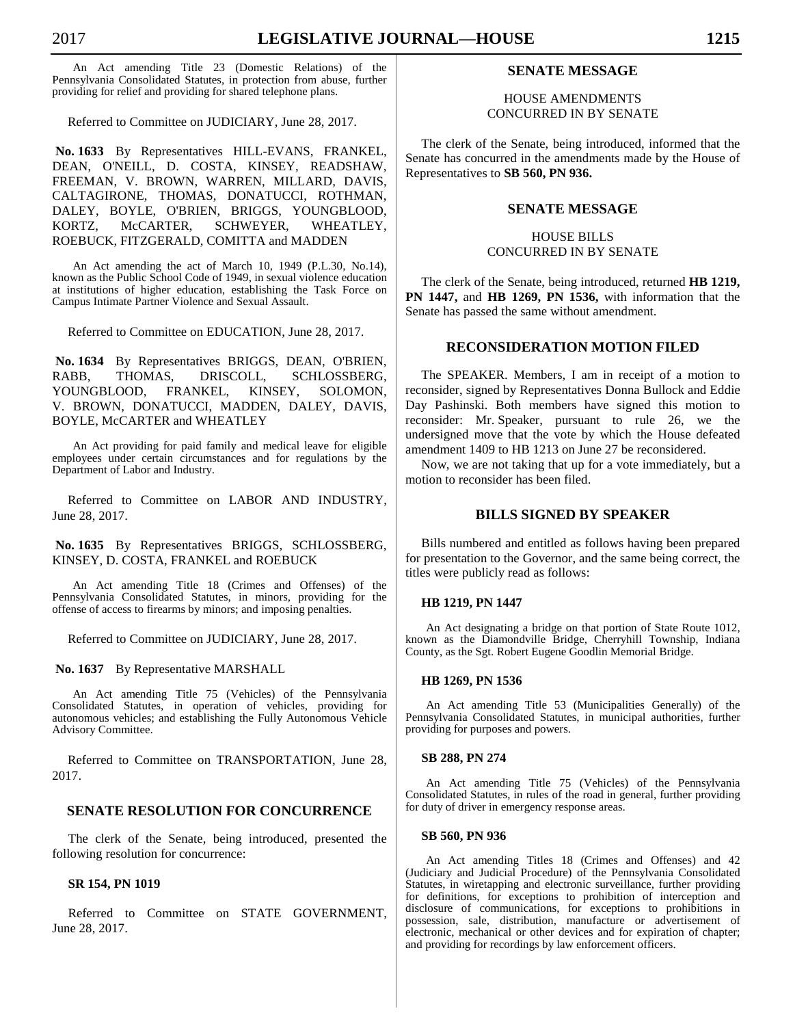An Act amending Title 23 (Domestic Relations) of the Pennsylvania Consolidated Statutes, in protection from abuse, further providing for relief and providing for shared telephone plans.

Referred to Committee on JUDICIARY, June 28, 2017.

 **No. 1633** By Representatives HILL-EVANS, FRANKEL, DEAN, O'NEILL, D. COSTA, KINSEY, READSHAW, FREEMAN, V. BROWN, WARREN, MILLARD, DAVIS, CALTAGIRONE, THOMAS, DONATUCCI, ROTHMAN, DALEY, BOYLE, O'BRIEN, BRIGGS, YOUNGBLOOD, KORTZ, McCARTER, SCHWEYER, WHEATLEY, ROEBUCK, FITZGERALD, COMITTA and MADDEN

An Act amending the act of March 10, 1949 (P.L.30, No.14), known as the Public School Code of 1949, in sexual violence education at institutions of higher education, establishing the Task Force on Campus Intimate Partner Violence and Sexual Assault.

Referred to Committee on EDUCATION, June 28, 2017.

 **No. 1634** By Representatives BRIGGS, DEAN, O'BRIEN, RABB, THOMAS, DRISCOLL, SCHLOSSBERG, YOUNGBLOOD, FRANKEL, KINSEY, SOLOMON, V. BROWN, DONATUCCI, MADDEN, DALEY, DAVIS, BOYLE, McCARTER and WHEATLEY

An Act providing for paid family and medical leave for eligible employees under certain circumstances and for regulations by the Department of Labor and Industry.

Referred to Committee on LABOR AND INDUSTRY, June 28, 2017.

 **No. 1635** By Representatives BRIGGS, SCHLOSSBERG, KINSEY, D. COSTA, FRANKEL and ROEBUCK

An Act amending Title 18 (Crimes and Offenses) of the Pennsylvania Consolidated Statutes, in minors, providing for the offense of access to firearms by minors; and imposing penalties.

Referred to Committee on JUDICIARY, June 28, 2017.

 **No. 1637** By Representative MARSHALL

An Act amending Title 75 (Vehicles) of the Pennsylvania Consolidated Statutes, in operation of vehicles, providing for autonomous vehicles; and establishing the Fully Autonomous Vehicle Advisory Committee.

Referred to Committee on TRANSPORTATION, June 28, 2017.

# **SENATE RESOLUTION FOR CONCURRENCE**

 The clerk of the Senate, being introduced, presented the following resolution for concurrence:

# **SR 154, PN 1019**

 Referred to Committee on STATE GOVERNMENT, June 28, 2017.

# **SENATE MESSAGE**

# HOUSE AMENDMENTS CONCURRED IN BY SENATE

 The clerk of the Senate, being introduced, informed that the Senate has concurred in the amendments made by the House of Representatives to **SB 560, PN 936.**

# **SENATE MESSAGE**

HOUSE BILLS CONCURRED IN BY SENATE

 The clerk of the Senate, being introduced, returned **HB 1219, PN 1447,** and **HB 1269, PN 1536,** with information that the Senate has passed the same without amendment.

# **RECONSIDERATION MOTION FILED**

 The SPEAKER. Members, I am in receipt of a motion to reconsider, signed by Representatives Donna Bullock and Eddie Day Pashinski. Both members have signed this motion to reconsider: Mr. Speaker, pursuant to rule 26, we the undersigned move that the vote by which the House defeated amendment 1409 to HB 1213 on June 27 be reconsidered.

 Now, we are not taking that up for a vote immediately, but a motion to reconsider has been filed.

# **BILLS SIGNED BY SPEAKER**

 Bills numbered and entitled as follows having been prepared for presentation to the Governor, and the same being correct, the titles were publicly read as follows:

# **HB 1219, PN 1447**

An Act designating a bridge on that portion of State Route 1012, known as the Diamondville Bridge, Cherryhill Township, Indiana County, as the Sgt. Robert Eugene Goodlin Memorial Bridge.

# **HB 1269, PN 1536**

An Act amending Title 53 (Municipalities Generally) of the Pennsylvania Consolidated Statutes, in municipal authorities, further providing for purposes and powers.

#### **SB 288, PN 274**

An Act amending Title 75 (Vehicles) of the Pennsylvania Consolidated Statutes, in rules of the road in general, further providing for duty of driver in emergency response areas.

#### **SB 560, PN 936**

An Act amending Titles 18 (Crimes and Offenses) and 42 (Judiciary and Judicial Procedure) of the Pennsylvania Consolidated Statutes, in wiretapping and electronic surveillance, further providing for definitions, for exceptions to prohibition of interception and disclosure of communications, for exceptions to prohibitions in possession, sale, distribution, manufacture or advertisement of electronic, mechanical or other devices and for expiration of chapter; and providing for recordings by law enforcement officers.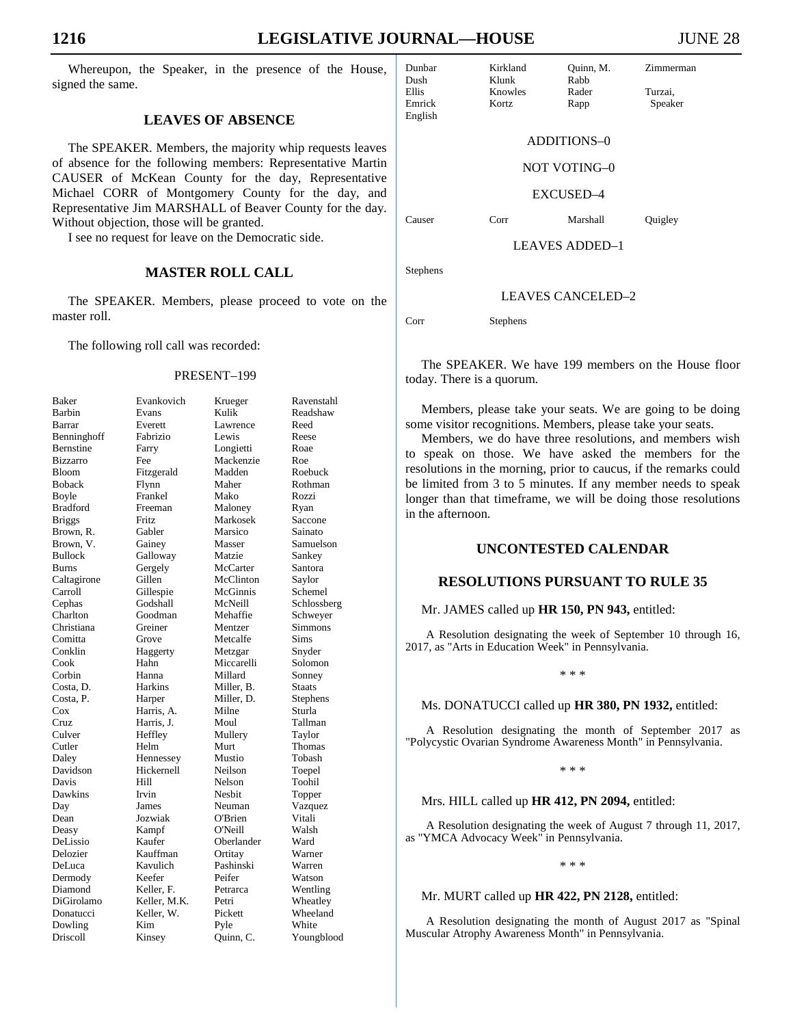Whereupon, the Speaker, in the presence of the House, signed the same.

# **LEAVES OF ABSENCE**

 The SPEAKER. Members, the majority whip requests leaves of absence for the following members: Representative Martin CAUSER of McKean County for the day, Representative Michael CORR of Montgomery County for the day, and Representative Jim MARSHALL of Beaver County for the day. Without objection, those will be granted.

I see no request for leave on the Democratic side.

## **MASTER ROLL CALL**

 The SPEAKER. Members, please proceed to vote on the master roll.

The following roll call was recorded:

#### PRESENT–199

| Baker                  |
|------------------------|
| Barbin                 |
| Barrar                 |
| Benninghoff            |
|                        |
| Bernstine              |
| Bizzarro               |
| Bloom                  |
| <b>Boback</b>          |
| Boyle                  |
| <b>Bradford</b>        |
| <b>Briggs</b>          |
| Brown, R.              |
|                        |
| Brown, V.              |
| <b>Bullock</b>         |
| <b>Burns</b>           |
| Caltagirone            |
| Carroll                |
| Cephas                 |
|                        |
| Charlton<br>Christiana |
|                        |
| Comitta                |
| Conklin                |
| Cook                   |
| Corbin<br>Costa, D.    |
|                        |
| Costa, P.              |
| Cox                    |
|                        |
| Cruz                   |
|                        |
| Culver<br>Cutler       |
| Daley                  |
| Davidson               |
| Davis                  |
|                        |
| Dawkins<br>Day         |
|                        |
| Dean                   |
| Deasy                  |
| DeLissio               |
| Delozier<br>DeLuca     |
|                        |
| Dermody                |
| Diamond                |
| DiGirolamo             |
|                        |
| Donatucci<br>Dowling   |
|                        |
| Driscoll               |
|                        |

| Baker         | Evankovich   | Krueger    | Ravenstahl    |
|---------------|--------------|------------|---------------|
| Barbin        | Evans        | Kulik      | Readshaw      |
| Barrar        | Everett      | Lawrence   | Reed          |
| Benninghoff   | Fabrizio     | Lewis      | Reese         |
| Bernstine     | Farry        | Longietti  | Roae          |
| Bizzarro      | Fee          | Mackenzie  | Roe           |
| Bloom         | Fitzgerald   | Madden     | Roebuck       |
| <b>Boback</b> | Flynn        | Maher      | Rothman       |
| Boyle         | Frankel      | Mako       | Rozzi         |
| Bradford      | Freeman      | Maloney    | Ryan          |
| <b>Briggs</b> | Fritz        | Markosek   | Saccone       |
| Brown, R.     | Gabler       | Marsico    | Sainato       |
| Brown, V.     | Gainey       | Masser     | Samuelson     |
| Bullock       | Galloway     | Matzie     | Sankey        |
| Burns         | Gergely      | McCarter   | Santora       |
| Caltagirone   | Gillen       | McClinton  | Saylor        |
| Carroll       | Gillespie    | McGinnis   | Schemel       |
| Cephas        | Godshall     | McNeill    | Schlossberg   |
| Charlton      | Goodman      | Mehaffie   | Schweyer      |
| Christiana    | Greiner      | Mentzer    | Simmons       |
| Comitta       | Grove        | Metcalfe   | Sims          |
| Conklin       | Haggerty     | Metzgar    | Snyder        |
| Cook          | Hahn         | Miccarelli | Solomon       |
| Corbin        | Hanna        | Millard    | Sonney        |
| Costa, D.     | Harkins      | Miller, B. | <b>Staats</b> |
| Costa, P.     | Harper       | Miller, D. | Stephens      |
| Cox           | Harris, A.   | Milne      | Sturla        |
| Cruz          | Harris, J.   | Moul       | Tallman       |
| Culver        | Heffley      | Mullery    | Taylor        |
| Cutler        | Helm         | Murt       | Thomas        |
| Daley         | Hennessey    | Mustio     | Tobash        |
| Davidson      | Hickernell   | Neilson    | Toepel        |
| Davis         | Hill         | Nelson     | Toohil        |
| Dawkins       | Irvin        | Nesbit     | Topper        |
| Day           | James        | Neuman     | Vazquez       |
| Dean          | Jozwiak      | O'Brien    | Vitali        |
| Deasy         | Kampf        | O'Neill    | Walsh         |
| DeLissio      | Kaufer       | Oberlander | Ward          |
| Delozier      | Kauffman     | Ortitay    | Warner        |
| DeLuca        | Kavulich     | Pashinski  | Warren        |
| Dermody       | Keefer       | Peifer     | Watson        |
| Diamond       | Keller, F.   | Petrarca   | Wentling      |
| DiGirolamo    | Keller, M.K. | Petri      | Wheatley      |
| Donatucci     | Keller, W.   | Pickett    | Wheeland      |
| Dowling       | Kim          | Pyle       | White         |
| Driscoll      | Kinsey       | Quinn, C.  | Youngblood    |
|               |              |            |               |

Dunbar Kirkland Quinn, M. Zimmerman Dush Klunk Rabb<br>Ellis Knowles Rader Ellis Knowles Rader Turzai, Emrick Kortz Rapp Speaker English ADDITIONS–0 NOT VOTING–0 EXCUSED–4 Causer Corr Marshall Quigley LEAVES ADDED–1

Stephens

#### LEAVES CANCELED–2

Corr Stephens

 The SPEAKER. We have 199 members on the House floor today. There is a quorum.

 Members, please take your seats. We are going to be doing some visitor recognitions. Members, please take your seats.

 Members, we do have three resolutions, and members wish to speak on those. We have asked the members for the resolutions in the morning, prior to caucus, if the remarks could be limited from 3 to 5 minutes. If any member needs to speak longer than that timeframe, we will be doing those resolutions in the afternoon.

# **UNCONTESTED CALENDAR**

# **RESOLUTIONS PURSUANT TO RULE 35**

Mr. JAMES called up **HR 150, PN 943,** entitled:

A Resolution designating the week of September 10 through 16, 2017, as "Arts in Education Week" in Pennsylvania.

\* \* \*

#### Ms. DONATUCCI called up **HR 380, PN 1932,** entitled:

A Resolution designating the month of September 2017 as "Polycystic Ovarian Syndrome Awareness Month" in Pennsylvania.

\* \* \*

Mrs. HILL called up **HR 412, PN 2094,** entitled:

A Resolution designating the week of August 7 through 11, 2017, as "YMCA Advocacy Week" in Pennsylvania.

\* \* \*

#### Mr. MURT called up **HR 422, PN 2128,** entitled:

A Resolution designating the month of August 2017 as "Spinal Muscular Atrophy Awareness Month" in Pennsylvania.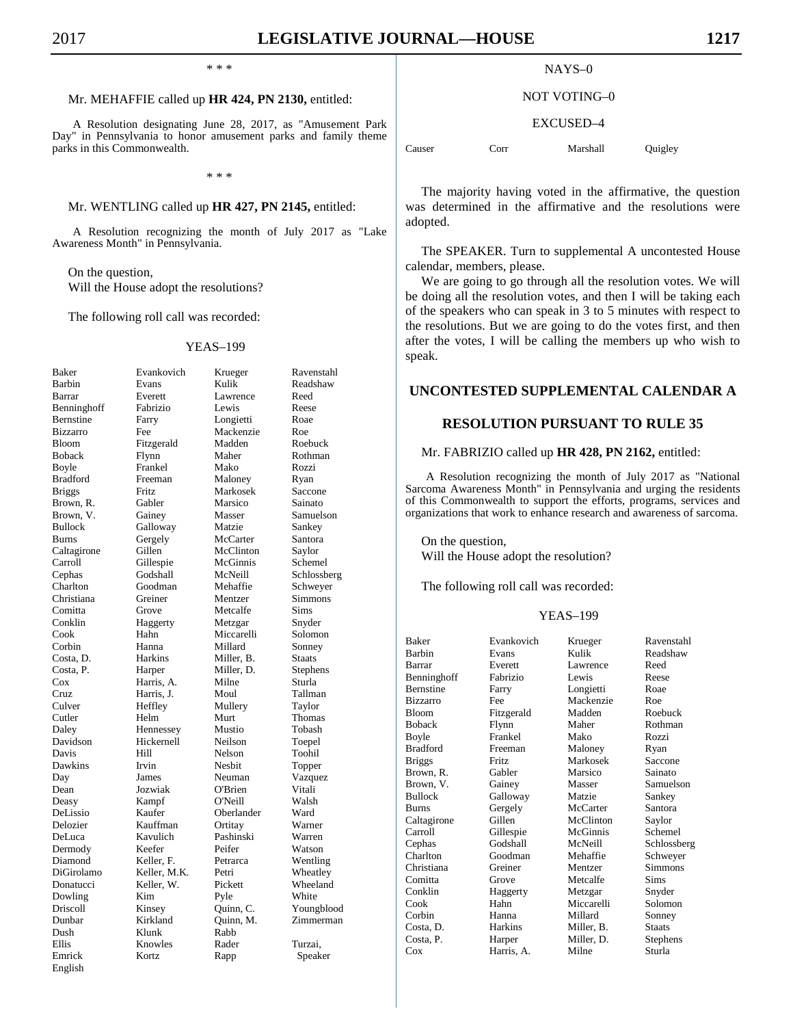\* \* \*

# Mr. MEHAFFIE called up **HR 424, PN 2130,** entitled:

A Resolution designating June 28, 2017, as "Amusement Park Day" in Pennsylvania to honor amusement parks and family theme parks in this Commonwealth.

\* \* \*

### Mr. WENTLING called up **HR 427, PN 2145,** entitled:

A Resolution recognizing the month of July 2017 as "Lake Awareness Month" in Pennsylvania.

 On the question, Will the House adopt the resolutions?

The following roll call was recorded:

#### YEAS–199

| Baker                                                     |
|-----------------------------------------------------------|
| Barbin                                                    |
| Barrar                                                    |
| Benninghoff                                               |
| Bernstine                                                 |
| Bizzarro                                                  |
| Bloom                                                     |
| <b>Boback</b>                                             |
| Boyle                                                     |
| <b>Bradford</b>                                           |
| <b>Briggs</b>                                             |
| Brown, R.                                                 |
| Brown,<br>V.                                              |
| <b>Bullock</b>                                            |
| Burns                                                     |
| Caltagirone                                               |
| Carroll                                                   |
| Cephas                                                    |
| Charlton                                                  |
|                                                           |
| Christiana                                                |
| Comitta                                                   |
| Conklin                                                   |
| Cook                                                      |
|                                                           |
|                                                           |
|                                                           |
|                                                           |
|                                                           |
|                                                           |
| Cooler<br>Costa, D.<br>Costa, P.<br>Cox<br>Cruz<br>Culver |
|                                                           |
| Cutler<br>Daley                                           |
|                                                           |
| Davidson<br>Davis                                         |
| Dawkins                                                   |
|                                                           |
| Day                                                       |
| Dean                                                      |
| Deasy                                                     |
| DeLissio                                                  |
| Delozier                                                  |
| DeLuca                                                    |
| Dermody                                                   |
| Diamond                                                   |
| DiGirolamo                                                |
| Donatucci                                                 |
| Dowling                                                   |
| Driscoll                                                  |
| Dunbar                                                    |
| Dush                                                      |
| Ellis                                                     |
| Emrick<br>English                                         |

| Baker         | Evankovich   | Krueger    | Ravenstahl    |
|---------------|--------------|------------|---------------|
| Barbin        | Evans        | Kulik      | Readshaw      |
| Barrar        | Everett      | Lawrence   | Reed          |
| Benninghoff   | Fabrizio     | Lewis      | Reese         |
| Bernstine     | Farry        | Longietti  | Roae          |
| Bizzarro      | Fee          | Mackenzie  | Roe           |
| Bloom         | Fitzgerald   | Madden     | Roebuck       |
| Boback        | Flynn        | Maher      | Rothman       |
| Boyle         | Frankel      | Mako       | Rozzi         |
| Bradford      | Freeman      | Maloney    | Ryan          |
| <b>Briggs</b> | Fritz        | Markosek   | Saccone       |
| Brown, R.     | Gabler       | Marsico    | Sainato       |
| Brown, V.     | Gainey       | Masser     | Samuelson     |
| Bullock       | Galloway     | Matzie     | Sankey        |
| Burns         | Gergely      | McCarter   | Santora       |
| Caltagirone   | Gillen       | McClinton  | Saylor        |
| Carroll       | Gillespie    | McGinnis   | Schemel       |
| Cephas        | Godshall     | McNeill    | Schlossberg   |
| Charlton      | Goodman      | Mehaffie   | Schweyer      |
| Christiana    | Greiner      | Mentzer    | Simmons       |
| Comitta       |              | Metcalfe   | Sims          |
| Conklin       | Grove        |            |               |
| Cook          | Haggerty     | Metzgar    | Snyder        |
|               | Hahn         | Miccarelli | Solomon       |
| Corbin        | Hanna        | Millard    | Sonney        |
| Costa, D.     | Harkins      | Miller, B. | <b>Staats</b> |
| Costa, P.     | Harper       | Miller, D. | Stephens      |
| Cox           | Harris, A.   | Milne      | Sturla        |
| Cruz          | Harris, J.   | Moul       | Tallman       |
| Culver        | Heffley      | Mullery    | Taylor        |
| Cutler        | Helm         | Murt       | Thomas        |
| Daley         | Hennessey    | Mustio     | Tobash        |
| Davidson      | Hickernell   | Neilson    | Toepel        |
| Davis         | Hill         | Nelson     | Toohil        |
| Dawkins       | Irvin        | Nesbit     | Topper        |
| Day           | James        | Neuman     | Vazquez       |
| Dean          | Jozwiak      | O'Brien    | Vitali        |
| Deasy         | Kampf        | O'Neill    | Walsh         |
| DeLissio      | Kaufer       | Oberlander | Ward          |
| Delozier      | Kauffman     | Ortitay    | Warner        |
| DeLuca        | Kavulich     | Pashinski  | Warren        |
| Dermody       | Keefer       | Peifer     | Watson        |
| Diamond       | Keller, F.   | Petrarca   | Wentling      |
| DiGirolamo    | Keller, M.K. | Petri      | Wheatley      |
| Donatucci     | Keller, W.   | Pickett    | Wheeland      |
| Dowling       | Kim          | Pyle       | White         |
| Driscoll      | Kinsey       | Quinn, C.  | Youngblood    |
| Dunbar        | Kirkland     | Quinn, M.  | Zimmerman     |
| Dush          | Klunk        | Rabb       |               |
| Ellis         | Knowles      | Rader      | Turzai,       |
| Emrick        | Kortz        | Rapp       | Speaker       |
|               |              |            |               |

| Ravenstahl    |
|---------------|
| Readshaw      |
| Reed          |
| Reese         |
| Roae<br>Roe   |
| Roebuck       |
| Rothman       |
| Rozzi         |
| Ryan          |
| Saccone       |
| Sainato       |
| Samuelson     |
| Sankey        |
| Santora       |
| Saylor        |
| Schemel       |
| Schlossberg   |
| Schweyer      |
| Simmons       |
| Sims          |
| Snyder        |
| Solomon       |
| Sonney        |
| <b>Staats</b> |
| Stephens      |
| Sturla        |
| Tallman       |
| Taylor        |
| Thomas        |
| Tobash        |
| Toepel        |
| Toohil        |
| Topper        |
| Vazquez       |
| Vitali        |
| Walsh         |
| Ward          |
| Warner        |
| Warren        |
| Watson        |
| Wentling      |
| Wheatley      |
| Wheeland      |
| White         |
| Youngblood    |
| Zimmerman     |
| Turzai,       |
|               |

### NAYS–0

#### NOT VOTING–0

#### EXCUSED–4

Causer Corr Marshall Quigley

 The majority having voted in the affirmative, the question was determined in the affirmative and the resolutions were adopted.

 The SPEAKER. Turn to supplemental A uncontested House calendar, members, please.

 We are going to go through all the resolution votes. We will be doing all the resolution votes, and then I will be taking each of the speakers who can speak in 3 to 5 minutes with respect to the resolutions. But we are going to do the votes first, and then after the votes, I will be calling the members up who wish to speak.

# **UNCONTESTED SUPPLEMENTAL CALENDAR A**

# **RESOLUTION PURSUANT TO RULE 35**

### Mr. FABRIZIO called up **HR 428, PN 2162,** entitled:

A Resolution recognizing the month of July 2017 as "National Sarcoma Awareness Month" in Pennsylvania and urging the residents of this Commonwealth to support the efforts, programs, services and organizations that work to enhance research and awareness of sarcoma.

 On the question, Will the House adopt the resolution?

The following roll call was recorded:

#### YEAS–199

| Baker           | Evankovich   | Krueger    | Ravenstahl    |
|-----------------|--------------|------------|---------------|
| Barbin          | Evans        | Kulik      | Readshaw      |
| Barrar          | Everett      | Lawrence   | Reed          |
| Benninghoff     | Fabrizio     | Lewis      | Reese         |
| Bernstine       | Farry        | Longietti  | Roae          |
| Bizzarro        | Fee          | Mackenzie  | Roe           |
| Bloom           | Fitzgerald   | Madden     | Roebuck       |
| Boback          | Flynn        | Maher      | Rothman       |
| Boyle           | Frankel      | Mako       | Rozzi         |
| <b>Bradford</b> | Freeman      | Maloney    | Ryan          |
| Briggs          | <b>Fritz</b> | Markosek   | Saccone       |
| Brown, R.       | Gabler       | Marsico    | Sainato       |
| Brown, V.       | Gainey       | Masser     | Samuelson     |
| Bullock         | Galloway     | Matzie     | Sankey        |
| Burns           | Gergely      | McCarter   | Santora       |
| Caltagirone     | Gillen       | McClinton  | Saylor        |
| Carroll         | Gillespie    | McGinnis   | Schemel       |
| Cephas          | Godshall     | McNeill    | Schlossberg   |
| Charlton        | Goodman      | Mehaffie   | Schweyer      |
| Christiana      | Greiner      | Mentzer    | Simmons       |
| Comitta         | Grove        | Metcalfe   | Sims          |
| Conklin         | Haggerty     | Metzgar    | Snyder        |
| Cook            | Hahn         | Miccarelli | Solomon       |
| Corbin          | Hanna        | Millard    | Sonney        |
| Costa, D.       | Harkins      | Miller, B. | <b>Staats</b> |
| Costa, P.       | Harper       | Miller, D. | Stephens      |
| Cox             | Harris, A.   | Milne      | Sturla        |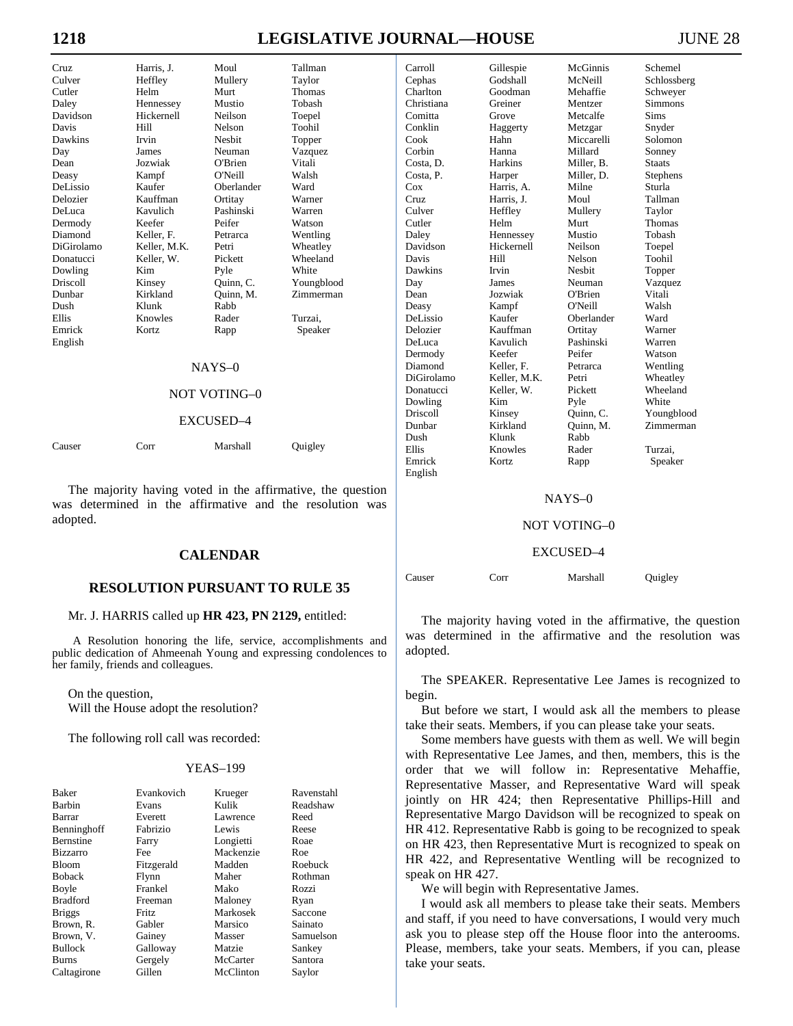# **1218 LEGISLATIVE JOURNAL—HOUSE**

| JUNE 28 |  |  |  |  |  |
|---------|--|--|--|--|--|
|---------|--|--|--|--|--|

| C <sub>TI</sub> | Harris, J.   | Moul          | Tallman       |
|-----------------|--------------|---------------|---------------|
| Culver          | Heffley      | Mullery       | Taylor        |
| Cutler          | Helm         | Murt          | <b>Thomas</b> |
| Daley           | Hennessey    | Mustio        | Tobash        |
| Davidson        | Hickernell   | Neilson       | Toepel        |
| Davis           | Hill         | Nelson        | Toohil        |
| Dawkins         | Irvin        | <b>Neshit</b> | Topper        |
| Day             | James        | Neuman        | Vazquez       |
| Dean            | Jozwiak      | O'Brien       | Vitali        |
| Deasy           | Kampf        | O'Neill       | Walsh         |
| DeLissio        | Kaufer       | Oberlander    | Ward          |
| Delozier        | Kauffman     | Ortitay       | Warner        |
| DeLuca          | Kavulich     | Pashinski     | Warren        |
| Dermody         | Keefer       | Peifer        | Watson        |
| Diamond         | Keller, F.   | Petrarca      | Wentling      |
| DiGirolamo      | Keller, M.K. | Petri         | Wheatley      |
| Donatucci       | Keller. W.   | Pickett       | Wheeland      |
| Dowling         | Kim          | Pyle          | White         |
| Driscoll        | Kinsey       | Quinn, C.     | Youngblood    |
| Dunbar          | Kirkland     | Quinn, M.     | Zimmerman     |
| Dush            | Klunk        | Rabb          |               |
| <b>Ellis</b>    | Knowles      | Rader         | Turzai.       |
| Emrick          | Kortz        | Rapp          | Speaker       |
| English         |              |               |               |
|                 |              | $NAYS-0$      |               |
|                 |              |               |               |

#### NAYS–0

### NOT VOTING–0

#### EXCUSED–4

Causer Corr Marshall Quigley

 The majority having voted in the affirmative, the question was determined in the affirmative and the resolution was adopted.

# **CALENDAR**

# **RESOLUTION PURSUANT TO RULE 35**

#### Mr. J. HARRIS called up **HR 423, PN 2129,** entitled:

A Resolution honoring the life, service, accomplishments and public dedication of Ahmeenah Young and expressing condolences to her family, friends and colleagues.

 On the question, Will the House adopt the resolution?

The following roll call was recorded:

#### YEAS–199

| <b>Baker</b>     | Evankovich   | Krueger   | Ravenstahl |
|------------------|--------------|-----------|------------|
| Barbin           | Evans        | Kulik     | Readshaw   |
| Barrar           | Everett      | Lawrence  | Reed       |
| Benninghoff      | Fabrizio     | Lewis     | Reese      |
| <b>Bernstine</b> | Farry        | Longietti | Roae       |
| <b>Bizzarro</b>  | Fee          | Mackenzie | Roe        |
| Bloom            | Fitzgerald   | Madden    | Roebuck    |
| <b>Boback</b>    | Flynn        | Maher     | Rothman    |
| Boyle            | Frankel      | Mako      | Rozzi      |
| <b>Bradford</b>  | Freeman      | Maloney   | Ryan       |
| <b>Briggs</b>    | <b>Fritz</b> | Markosek  | Saccone    |
| Brown, R.        | Gabler       | Marsico   | Sainato    |
| Brown, V.        | Gainey       | Masser    | Samuelson  |
| <b>Bullock</b>   | Galloway     | Matzie    | Sankey     |
| <b>Burns</b>     | Gergely      | McCarter  | Santora    |
| Caltagirone      | Gillen       | McClinton | Saylor     |

| Cephas     | Godshall     | McNeill       | Schlossberg   |
|------------|--------------|---------------|---------------|
| Charlton   | Goodman      | Mehaffie      | Schweyer      |
| Christiana | Greiner      | Mentzer       | Simmons       |
| Comitta    | Grove        | Metcalfe      | Sims          |
| Conklin    | Haggerty     | Metzgar       | Snyder        |
| Cook       | Hahn         | Miccarelli    | Solomon       |
| Corbin     | Hanna        | Millard       | Sonney        |
| Costa, D.  | Harkins      | Miller, B.    | <b>Staats</b> |
| Costa, P.  | Harper       | Miller, D.    | Stephens      |
| Cox        | Harris, A.   | Milne         | Sturla        |
| Cruz       | Harris, J.   | Moul          | Tallman       |
| Culver     | Heffley      | Mullery       | Taylor        |
| Cutler     | Helm         | Murt          | Thomas        |
| Daley      | Hennessey    | Mustio        | Tobash        |
| Davidson   | Hickernell   | Neilson       | Toepel        |
| Davis      | Hill         | Nelson        | Toohil        |
| Dawkins    | Irvin        | <b>Nesbit</b> | Topper        |
| Day        | James        | Neuman        | Vazquez       |
| Dean       | Jozwiak      | O'Brien       | Vitali        |
| Deasy      | Kampf        | O'Neill       | Walsh         |
| DeLissio   | Kaufer       | Oberlander    | Ward          |
| Delozier   | Kauffman     | Ortitay       | Warner        |
| DeLuca     | Kavulich     | Pashinski     | Warren        |
| Dermody    | Keefer       | Peifer        | Watson        |
| Diamond    | Keller, F.   | Petrarca      | Wentling      |
| DiGirolamo | Keller, M.K. | Petri         | Wheatley      |
| Donatucci  | Keller. W.   | Pickett       | Wheeland      |
| Dowling    | Kim          | Pyle          | White         |
| Driscoll   | Kinsey       | Quinn, C.     | Youngblood    |
| Dunbar     | Kirkland     | Quinn, M.     | Zimmerman     |
| Dush       | Klunk        | Rabb          |               |
| Ellis      | Knowles      | Rader         | Turzai,       |
| Emrick     | Kortz        | Rapp          | Speaker       |
| English    |              |               |               |

Carroll Gillespie McGinnis Schemel

#### NAYS–0

#### NOT VOTING–0

#### EXCUSED–4

| Causer | Corr | Marshall | Quigley |
|--------|------|----------|---------|
|        |      |          |         |

 The majority having voted in the affirmative, the question was determined in the affirmative and the resolution was adopted.

 The SPEAKER. Representative Lee James is recognized to begin.

 But before we start, I would ask all the members to please take their seats. Members, if you can please take your seats.

 Some members have guests with them as well. We will begin with Representative Lee James, and then, members, this is the order that we will follow in: Representative Mehaffie, Representative Masser, and Representative Ward will speak jointly on HR 424; then Representative Phillips-Hill and Representative Margo Davidson will be recognized to speak on HR 412. Representative Rabb is going to be recognized to speak on HR 423, then Representative Murt is recognized to speak on HR 422, and Representative Wentling will be recognized to speak on HR 427.

We will begin with Representative James.

 I would ask all members to please take their seats. Members and staff, if you need to have conversations, I would very much ask you to please step off the House floor into the anterooms. Please, members, take your seats. Members, if you can, please take your seats.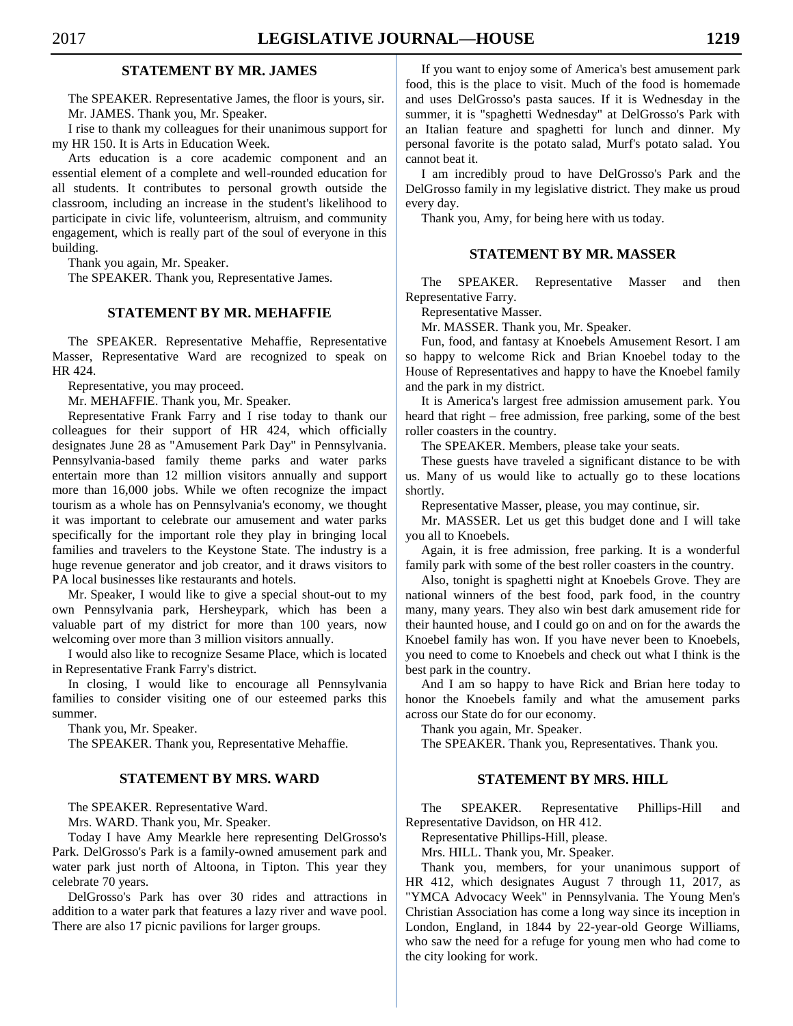# **STATEMENT BY MR. JAMES**

 The SPEAKER. Representative James, the floor is yours, sir. Mr. JAMES. Thank you, Mr. Speaker.

 I rise to thank my colleagues for their unanimous support for my HR 150. It is Arts in Education Week.

 Arts education is a core academic component and an essential element of a complete and well-rounded education for all students. It contributes to personal growth outside the classroom, including an increase in the student's likelihood to participate in civic life, volunteerism, altruism, and community engagement, which is really part of the soul of everyone in this building.

Thank you again, Mr. Speaker.

The SPEAKER. Thank you, Representative James.

# **STATEMENT BY MR. MEHAFFIE**

 The SPEAKER. Representative Mehaffie, Representative Masser, Representative Ward are recognized to speak on HR 424.

Representative, you may proceed.

Mr. MEHAFFIE. Thank you, Mr. Speaker.

 Representative Frank Farry and I rise today to thank our colleagues for their support of HR 424, which officially designates June 28 as "Amusement Park Day" in Pennsylvania. Pennsylvania-based family theme parks and water parks entertain more than 12 million visitors annually and support more than 16,000 jobs. While we often recognize the impact tourism as a whole has on Pennsylvania's economy, we thought it was important to celebrate our amusement and water parks specifically for the important role they play in bringing local families and travelers to the Keystone State. The industry is a huge revenue generator and job creator, and it draws visitors to PA local businesses like restaurants and hotels.

 Mr. Speaker, I would like to give a special shout-out to my own Pennsylvania park, Hersheypark, which has been a valuable part of my district for more than 100 years, now welcoming over more than 3 million visitors annually.

 I would also like to recognize Sesame Place, which is located in Representative Frank Farry's district.

 In closing, I would like to encourage all Pennsylvania families to consider visiting one of our esteemed parks this summer.

Thank you, Mr. Speaker.

The SPEAKER. Thank you, Representative Mehaffie.

# **STATEMENT BY MRS. WARD**

The SPEAKER. Representative Ward.

Mrs. WARD. Thank you, Mr. Speaker.

 Today I have Amy Mearkle here representing DelGrosso's Park. DelGrosso's Park is a family-owned amusement park and water park just north of Altoona, in Tipton. This year they celebrate 70 years.

 DelGrosso's Park has over 30 rides and attractions in addition to a water park that features a lazy river and wave pool. There are also 17 picnic pavilions for larger groups.

 If you want to enjoy some of America's best amusement park food, this is the place to visit. Much of the food is homemade and uses DelGrosso's pasta sauces. If it is Wednesday in the summer, it is "spaghetti Wednesday" at DelGrosso's Park with an Italian feature and spaghetti for lunch and dinner. My personal favorite is the potato salad, Murf's potato salad. You cannot beat it.

 I am incredibly proud to have DelGrosso's Park and the DelGrosso family in my legislative district. They make us proud every day.

Thank you, Amy, for being here with us today.

# **STATEMENT BY MR. MASSER**

 The SPEAKER. Representative Masser and then Representative Farry.

Representative Masser.

Mr. MASSER. Thank you, Mr. Speaker.

 Fun, food, and fantasy at Knoebels Amusement Resort. I am so happy to welcome Rick and Brian Knoebel today to the House of Representatives and happy to have the Knoebel family and the park in my district.

 It is America's largest free admission amusement park. You heard that right – free admission, free parking, some of the best roller coasters in the country.

The SPEAKER. Members, please take your seats.

 These guests have traveled a significant distance to be with us. Many of us would like to actually go to these locations shortly.

Representative Masser, please, you may continue, sir.

 Mr. MASSER. Let us get this budget done and I will take you all to Knoebels.

 Again, it is free admission, free parking. It is a wonderful family park with some of the best roller coasters in the country.

 Also, tonight is spaghetti night at Knoebels Grove. They are national winners of the best food, park food, in the country many, many years. They also win best dark amusement ride for their haunted house, and I could go on and on for the awards the Knoebel family has won. If you have never been to Knoebels, you need to come to Knoebels and check out what I think is the best park in the country.

 And I am so happy to have Rick and Brian here today to honor the Knoebels family and what the amusement parks across our State do for our economy.

Thank you again, Mr. Speaker.

The SPEAKER. Thank you, Representatives. Thank you.

# **STATEMENT BY MRS. HILL**

 The SPEAKER. Representative Phillips-Hill and Representative Davidson, on HR 412.

Representative Phillips-Hill, please.

Mrs. HILL. Thank you, Mr. Speaker.

 Thank you, members, for your unanimous support of HR 412, which designates August 7 through 11, 2017, as "YMCA Advocacy Week" in Pennsylvania. The Young Men's Christian Association has come a long way since its inception in London, England, in 1844 by 22-year-old George Williams, who saw the need for a refuge for young men who had come to the city looking for work.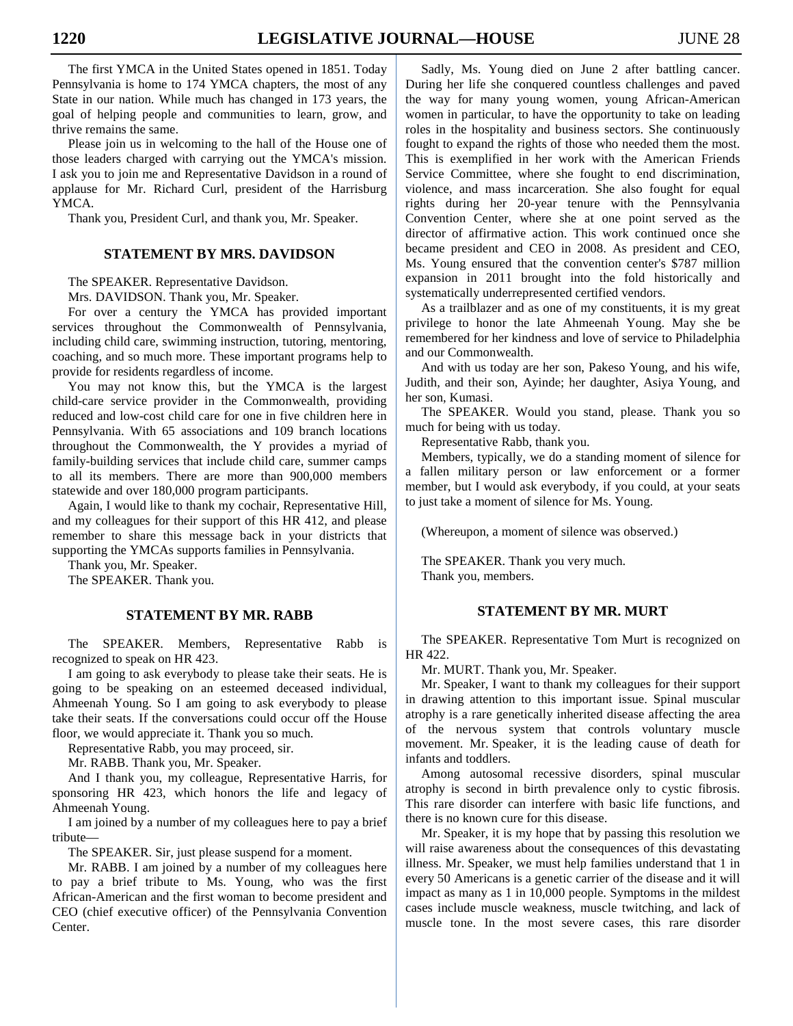The first YMCA in the United States opened in 1851. Today Pennsylvania is home to 174 YMCA chapters, the most of any State in our nation. While much has changed in 173 years, the goal of helping people and communities to learn, grow, and thrive remains the same.

 Please join us in welcoming to the hall of the House one of those leaders charged with carrying out the YMCA's mission. I ask you to join me and Representative Davidson in a round of applause for Mr. Richard Curl, president of the Harrisburg YMCA.

Thank you, President Curl, and thank you, Mr. Speaker.

# **STATEMENT BY MRS. DAVIDSON**

The SPEAKER. Representative Davidson.

Mrs. DAVIDSON. Thank you, Mr. Speaker.

 For over a century the YMCA has provided important services throughout the Commonwealth of Pennsylvania, including child care, swimming instruction, tutoring, mentoring, coaching, and so much more. These important programs help to provide for residents regardless of income.

 You may not know this, but the YMCA is the largest child-care service provider in the Commonwealth, providing reduced and low-cost child care for one in five children here in Pennsylvania. With 65 associations and 109 branch locations throughout the Commonwealth, the Y provides a myriad of family-building services that include child care, summer camps to all its members. There are more than 900,000 members statewide and over 180,000 program participants.

 Again, I would like to thank my cochair, Representative Hill, and my colleagues for their support of this HR 412, and please remember to share this message back in your districts that supporting the YMCAs supports families in Pennsylvania.

Thank you, Mr. Speaker.

The SPEAKER. Thank you.

# **STATEMENT BY MR. RABB**

 The SPEAKER. Members, Representative Rabb is recognized to speak on HR 423.

 I am going to ask everybody to please take their seats. He is going to be speaking on an esteemed deceased individual, Ahmeenah Young. So I am going to ask everybody to please take their seats. If the conversations could occur off the House floor, we would appreciate it. Thank you so much.

Representative Rabb, you may proceed, sir.

Mr. RABB. Thank you, Mr. Speaker.

 And I thank you, my colleague, Representative Harris, for sponsoring HR 423, which honors the life and legacy of Ahmeenah Young.

 I am joined by a number of my colleagues here to pay a brief tribute—

The SPEAKER. Sir, just please suspend for a moment.

 Mr. RABB. I am joined by a number of my colleagues here to pay a brief tribute to Ms. Young, who was the first African-American and the first woman to become president and CEO (chief executive officer) of the Pennsylvania Convention Center.

 Sadly, Ms. Young died on June 2 after battling cancer. During her life she conquered countless challenges and paved the way for many young women, young African-American women in particular, to have the opportunity to take on leading roles in the hospitality and business sectors. She continuously fought to expand the rights of those who needed them the most. This is exemplified in her work with the American Friends Service Committee, where she fought to end discrimination, violence, and mass incarceration. She also fought for equal rights during her 20-year tenure with the Pennsylvania Convention Center, where she at one point served as the director of affirmative action. This work continued once she became president and CEO in 2008. As president and CEO, Ms. Young ensured that the convention center's \$787 million expansion in 2011 brought into the fold historically and systematically underrepresented certified vendors.

 As a trailblazer and as one of my constituents, it is my great privilege to honor the late Ahmeenah Young. May she be remembered for her kindness and love of service to Philadelphia and our Commonwealth.

 And with us today are her son, Pakeso Young, and his wife, Judith, and their son, Ayinde; her daughter, Asiya Young, and her son, Kumasi.

 The SPEAKER. Would you stand, please. Thank you so much for being with us today.

Representative Rabb, thank you.

 Members, typically, we do a standing moment of silence for a fallen military person or law enforcement or a former member, but I would ask everybody, if you could, at your seats to just take a moment of silence for Ms. Young.

(Whereupon, a moment of silence was observed.)

 The SPEAKER. Thank you very much. Thank you, members.

# **STATEMENT BY MR. MURT**

 The SPEAKER. Representative Tom Murt is recognized on HR 422.

Mr. MURT. Thank you, Mr. Speaker.

 Mr. Speaker, I want to thank my colleagues for their support in drawing attention to this important issue. Spinal muscular atrophy is a rare genetically inherited disease affecting the area of the nervous system that controls voluntary muscle movement. Mr. Speaker, it is the leading cause of death for infants and toddlers.

 Among autosomal recessive disorders, spinal muscular atrophy is second in birth prevalence only to cystic fibrosis. This rare disorder can interfere with basic life functions, and there is no known cure for this disease.

 Mr. Speaker, it is my hope that by passing this resolution we will raise awareness about the consequences of this devastating illness. Mr. Speaker, we must help families understand that 1 in every 50 Americans is a genetic carrier of the disease and it will impact as many as 1 in 10,000 people. Symptoms in the mildest cases include muscle weakness, muscle twitching, and lack of muscle tone. In the most severe cases, this rare disorder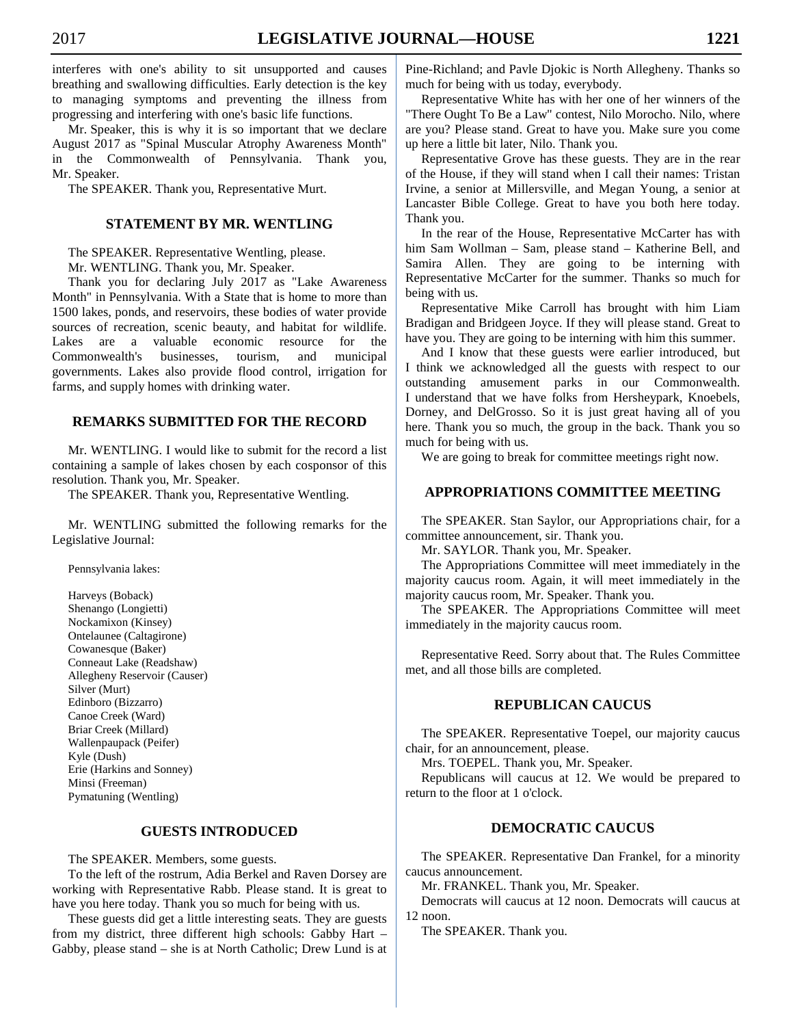interferes with one's ability to sit unsupported and causes breathing and swallowing difficulties. Early detection is the key to managing symptoms and preventing the illness from progressing and interfering with one's basic life functions.

 Mr. Speaker, this is why it is so important that we declare August 2017 as "Spinal Muscular Atrophy Awareness Month" in the Commonwealth of Pennsylvania. Thank you, Mr. Speaker.

The SPEAKER. Thank you, Representative Murt.

# **STATEMENT BY MR. WENTLING**

 The SPEAKER. Representative Wentling, please. Mr. WENTLING. Thank you, Mr. Speaker.

 Thank you for declaring July 2017 as "Lake Awareness Month" in Pennsylvania. With a State that is home to more than 1500 lakes, ponds, and reservoirs, these bodies of water provide sources of recreation, scenic beauty, and habitat for wildlife. Lakes are a valuable economic resource for the Commonwealth's businesses, tourism, and municipal governments. Lakes also provide flood control, irrigation for farms, and supply homes with drinking water.

# **REMARKS SUBMITTED FOR THE RECORD**

 Mr. WENTLING. I would like to submit for the record a list containing a sample of lakes chosen by each cosponsor of this resolution. Thank you, Mr. Speaker.

The SPEAKER. Thank you, Representative Wentling.

 Mr. WENTLING submitted the following remarks for the Legislative Journal:

Pennsylvania lakes:

 Harveys (Boback) Shenango (Longietti) Nockamixon (Kinsey) Ontelaunee (Caltagirone) Cowanesque (Baker) Conneaut Lake (Readshaw) Allegheny Reservoir (Causer) Silver (Murt) Edinboro (Bizzarro) Canoe Creek (Ward) Briar Creek (Millard) Wallenpaupack (Peifer) Kyle (Dush) Erie (Harkins and Sonney) Minsi (Freeman) Pymatuning (Wentling)

# **GUESTS INTRODUCED**

The SPEAKER. Members, some guests.

 To the left of the rostrum, Adia Berkel and Raven Dorsey are working with Representative Rabb. Please stand. It is great to have you here today. Thank you so much for being with us.

 These guests did get a little interesting seats. They are guests from my district, three different high schools: Gabby Hart – Gabby, please stand – she is at North Catholic; Drew Lund is at Pine-Richland; and Pavle Djokic is North Allegheny. Thanks so much for being with us today, everybody.

 Representative White has with her one of her winners of the "There Ought To Be a Law" contest, Nilo Morocho. Nilo, where are you? Please stand. Great to have you. Make sure you come up here a little bit later, Nilo. Thank you.

 Representative Grove has these guests. They are in the rear of the House, if they will stand when I call their names: Tristan Irvine, a senior at Millersville, and Megan Young, a senior at Lancaster Bible College. Great to have you both here today. Thank you.

 In the rear of the House, Representative McCarter has with him Sam Wollman – Sam, please stand – Katherine Bell, and Samira Allen. They are going to be interning with Representative McCarter for the summer. Thanks so much for being with us.

 Representative Mike Carroll has brought with him Liam Bradigan and Bridgeen Joyce. If they will please stand. Great to have you. They are going to be interning with him this summer.

 And I know that these guests were earlier introduced, but I think we acknowledged all the guests with respect to our outstanding amusement parks in our Commonwealth. I understand that we have folks from Hersheypark, Knoebels, Dorney, and DelGrosso. So it is just great having all of you here. Thank you so much, the group in the back. Thank you so much for being with us.

We are going to break for committee meetings right now.

# **APPROPRIATIONS COMMITTEE MEETING**

 The SPEAKER. Stan Saylor, our Appropriations chair, for a committee announcement, sir. Thank you.

Mr. SAYLOR. Thank you, Mr. Speaker.

 The Appropriations Committee will meet immediately in the majority caucus room. Again, it will meet immediately in the majority caucus room, Mr. Speaker. Thank you.

 The SPEAKER. The Appropriations Committee will meet immediately in the majority caucus room.

 Representative Reed. Sorry about that. The Rules Committee met, and all those bills are completed.

# **REPUBLICAN CAUCUS**

 The SPEAKER. Representative Toepel, our majority caucus chair, for an announcement, please.

Mrs. TOEPEL. Thank you, Mr. Speaker.

 Republicans will caucus at 12. We would be prepared to return to the floor at 1 o'clock.

# **DEMOCRATIC CAUCUS**

 The SPEAKER. Representative Dan Frankel, for a minority caucus announcement.

Mr. FRANKEL. Thank you, Mr. Speaker.

 Democrats will caucus at 12 noon. Democrats will caucus at 12 noon.

The SPEAKER. Thank you.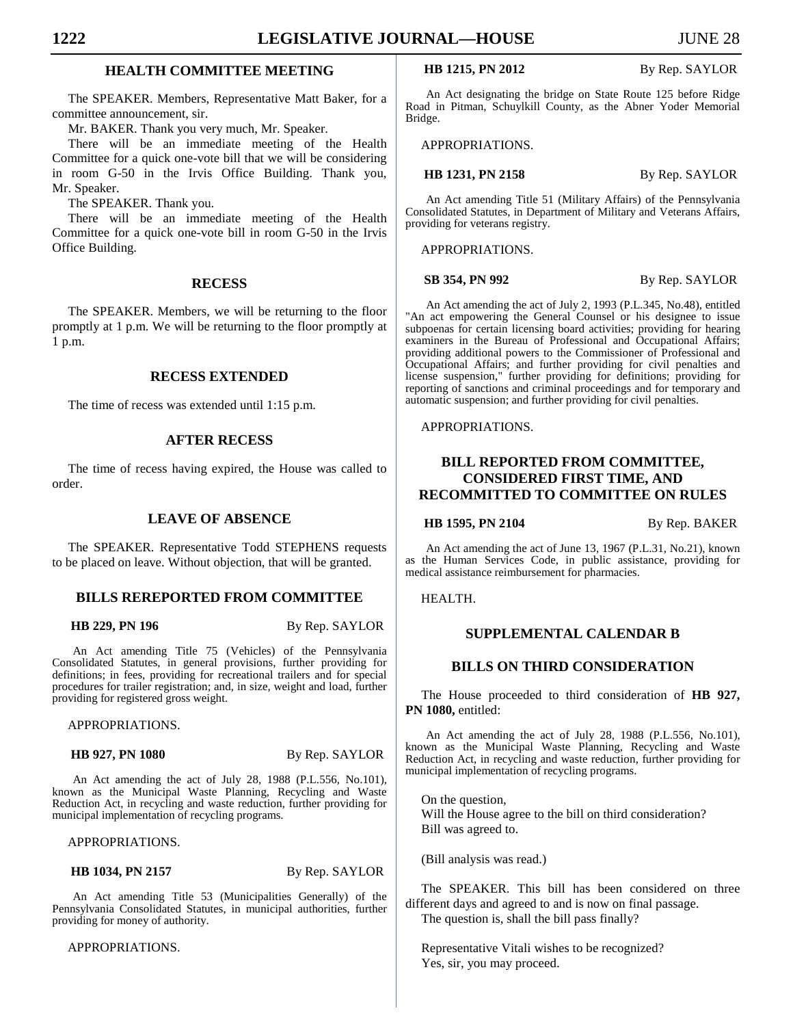# **HEALTH COMMITTEE MEETING**

 The SPEAKER. Members, Representative Matt Baker, for a committee announcement, sir.

Mr. BAKER. Thank you very much, Mr. Speaker.

 There will be an immediate meeting of the Health Committee for a quick one-vote bill that we will be considering in room G-50 in the Irvis Office Building. Thank you, Mr. Speaker.

The SPEAKER. Thank you.

 There will be an immediate meeting of the Health Committee for a quick one-vote bill in room G-50 in the Irvis Office Building.

#### **RECESS**

 The SPEAKER. Members, we will be returning to the floor promptly at 1 p.m. We will be returning to the floor promptly at 1 p.m.

# **RECESS EXTENDED**

The time of recess was extended until 1:15 p.m.

### **AFTER RECESS**

 The time of recess having expired, the House was called to order.

# **LEAVE OF ABSENCE**

 The SPEAKER. Representative Todd STEPHENS requests to be placed on leave. Without objection, that will be granted.

### **BILLS REREPORTED FROM COMMITTEE**

**HB 229, PN 196** By Rep. SAYLOR

An Act amending Title 75 (Vehicles) of the Pennsylvania Consolidated Statutes, in general provisions, further providing for definitions; in fees, providing for recreational trailers and for special procedures for trailer registration; and, in size, weight and load, further providing for registered gross weight.

APPROPRIATIONS.

**HB 927, PN 1080** By Rep. SAYLOR

An Act amending the act of July 28, 1988 (P.L.556, No.101), known as the Municipal Waste Planning, Recycling and Waste Reduction Act, in recycling and waste reduction, further providing for municipal implementation of recycling programs.

APPROPRIATIONS.

**HB 1034, PN 2157** By Rep. SAYLOR

An Act amending Title 53 (Municipalities Generally) of the Pennsylvania Consolidated Statutes, in municipal authorities, further providing for money of authority.

APPROPRIATIONS.

**HB 1215, PN 2012** By Rep. SAYLOR

An Act designating the bridge on State Route 125 before Ridge Road in Pitman, Schuylkill County, as the Abner Yoder Memorial Bridge.

APPROPRIATIONS.

**HB 1231, PN 2158** By Rep. SAYLOR

An Act amending Title 51 (Military Affairs) of the Pennsylvania Consolidated Statutes, in Department of Military and Veterans Affairs, providing for veterans registry.

APPROPRIATIONS.

**SB 354, PN 992** By Rep. SAYLOR

An Act amending the act of July 2, 1993 (P.L.345, No.48), entitled "An act empowering the General Counsel or his designee to issue subpoenas for certain licensing board activities; providing for hearing examiners in the Bureau of Professional and Occupational Affairs; providing additional powers to the Commissioner of Professional and Occupational Affairs; and further providing for civil penalties and license suspension," further providing for definitions; providing for reporting of sanctions and criminal proceedings and for temporary and automatic suspension; and further providing for civil penalties.

APPROPRIATIONS.

# **BILL REPORTED FROM COMMITTEE, CONSIDERED FIRST TIME, AND RECOMMITTED TO COMMITTEE ON RULES**

**HB 1595, PN 2104** By Rep. BAKER

An Act amending the act of June 13, 1967 (P.L.31, No.21), known as the Human Services Code, in public assistance, providing for medical assistance reimbursement for pharmacies.

# HEALTH.

# **SUPPLEMENTAL CALENDAR B**

# **BILLS ON THIRD CONSIDERATION**

 The House proceeded to third consideration of **HB 927, PN 1080,** entitled:

An Act amending the act of July 28, 1988 (P.L.556, No.101), known as the Municipal Waste Planning, Recycling and Waste Reduction Act, in recycling and waste reduction, further providing for municipal implementation of recycling programs.

 On the question, Will the House agree to the bill on third consideration? Bill was agreed to.

(Bill analysis was read.)

 The SPEAKER. This bill has been considered on three different days and agreed to and is now on final passage. The question is, shall the bill pass finally?

 Representative Vitali wishes to be recognized? Yes, sir, you may proceed.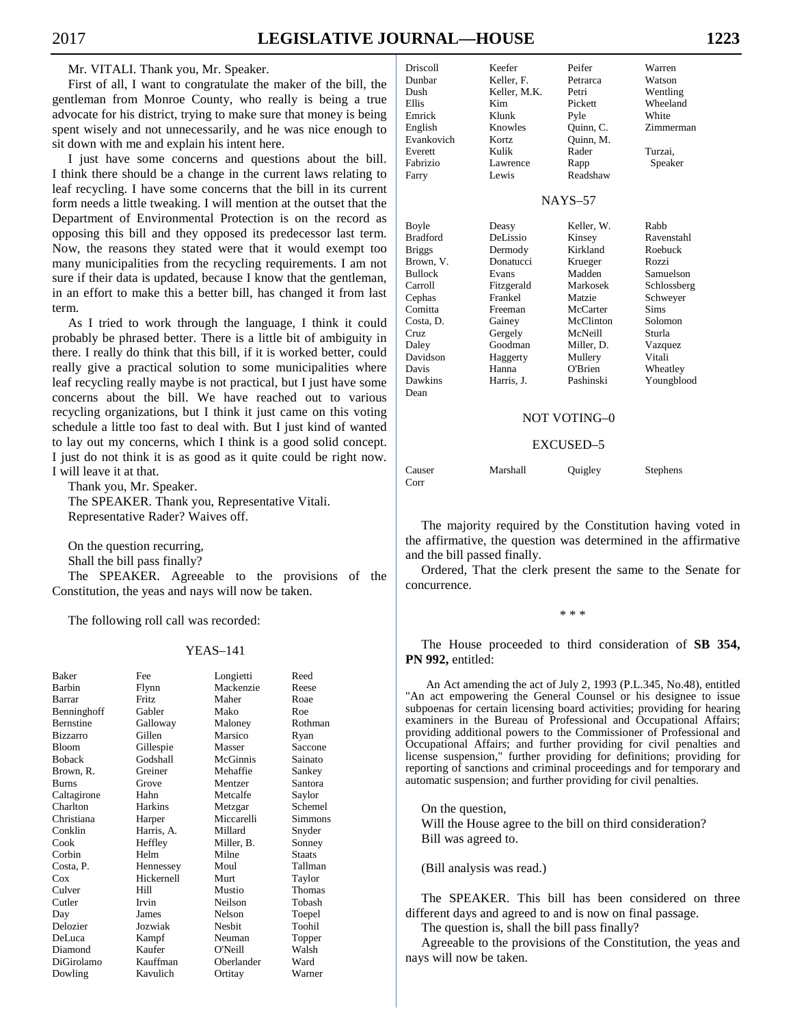Mr. VITALI. Thank you, Mr. Speaker.

 First of all, I want to congratulate the maker of the bill, the gentleman from Monroe County, who really is being a true advocate for his district, trying to make sure that money is bei spent wisely and not unnecessarily, and he was nice enough sit down with me and explain his intent here.

I just have some concerns and questions about the b I think there should be a change in the current laws relating leaf recycling. I have some concerns that the bill in its curr form needs a little tweaking. I will mention at the outset that Department of Environmental Protection is on the record opposing this bill and they opposed its predecessor last term. Now, the reasons they stated were that it would exempt many municipalities from the recycling requirements. I am sure if their data is updated, because I know that the gentlem in an effort to make this a better bill, has changed it from term.

As I tried to work through the language, I think it co probably be phrased better. There is a little bit of ambiguity there. I really do think that this bill, if it is worked better, co really give a practical solution to some municipalities where leaf recycling really maybe is not practical, but I just have some concerns about the bill. We have reached out to various recycling organizations, but I think it just came on this vot schedule a little too fast to deal with. But I just kind of wan to lay out my concerns, which I think is a good solid concept. I just do not think it is as good as it quite could be right now. I will leave it at that.

 Thank you, Mr. Speaker. The SPEAKER. Thank you, Representative Vitali. Representative Rader? Waives off.

 On the question recurring, Shall the bill pass finally?

 The SPEAKER. Agreeable to the provisions of the Constitution, the yeas and nays will now be taken.

The following roll call was recorded:

#### YEAS–141

| Baker            | Fee          | Longietti  | Reed          |
|------------------|--------------|------------|---------------|
| <b>Barbin</b>    | Flynn        | Mackenzie  | Reese         |
| Barrar           | <b>Fritz</b> | Maher      | Roae          |
| Benninghoff      | Gabler       | Mako       | Roe           |
| <b>Bernstine</b> | Galloway     | Maloney    | Rothman       |
| <b>Bizzarro</b>  | Gillen       | Marsico    | Ryan          |
| <b>Bloom</b>     | Gillespie    | Masser     | Saccone       |
| <b>Boback</b>    | Godshall     | McGinnis   | Sainato       |
| Brown, R.        | Greiner      | Mehaffie   | Sankey        |
| <b>Burns</b>     | Grove        | Mentzer    | Santora       |
| Caltagirone      | Hahn         | Metcalfe   | Saylor        |
| Charlton         | Harkins      | Metzgar    | Schemel       |
| Christiana       | Harper       | Miccarelli | Simmons       |
| Conklin          | Harris, A.   | Millard    | Snyder        |
| Cook             | Heffley      | Miller, B. | Sonney        |
| Corbin           | Helm         | Milne      | <b>Staats</b> |
| Costa, P.        | Hennessey    | Moul       | Tallman       |
| Cox              | Hickernell   | Murt       | Taylor        |
| Culver           | Hill         | Mustio     | Thomas        |
| Cutler           | Irvin        | Neilson    | Tobash        |
| Day              | James        | Nelson     | Toepel        |
| Delozier         | Jozwiak      | Nesbit     | Toohil        |
| DeLuca           | Kampf        | Neuman     | Topper        |
| Diamond          | Kaufer       | O'Neill    | Walsh         |
| DiGirolamo       | Kauffman     | Oberlander | Ward          |
| Dowling          | Kavulich     | Ortitay    | Warner        |

| ing              | Emrick          | Klunk      | Pyle                | White       |
|------------------|-----------------|------------|---------------------|-------------|
| ı to             | English         | Knowles    | Quinn, C.           | Zimmerman   |
|                  | Evankovich      | Kortz      | Quinn, M.           |             |
|                  | Everett         | Kulik      | Rader               | Turzai,     |
| ill.             | Fabrizio        | Lawrence   | Rapp                | Speaker     |
| ι to             | Farry           | Lewis      | Readshaw            |             |
| ent:             |                 |            |                     |             |
| the              |                 |            | $NAYS-57$           |             |
| as               | Boyle           | Deasy      | Keller, W.          | Rabb        |
| rm.              | <b>Bradford</b> | DeLissio   | Kinsey              | Ravenstahl  |
| too              | <b>Briggs</b>   | Dermody    | Kirkland            | Roebuck     |
| not              | Brown, V.       | Donatucci  | Krueger             | Rozzi       |
|                  | <b>Bullock</b>  | Evans      | Madden              | Samuelson   |
| ian,             | Carroll         | Fitzgerald | Markosek            | Schlossberg |
| last             | Cephas          | Frankel    | Matzie              | Schweyer    |
|                  | Comitta         | Freeman    | McCarter            | <b>Sims</b> |
| uld              | Costa, D.       | Gainey     | McClinton           | Solomon     |
| $\frac{1}{\pi}$  | Cruz            | Gergely    | McNeill             | Sturla      |
|                  | Daley           | Goodman    | Miller, D.          | Vazquez     |
| uld              | Davidson        | Haggerty   | Mullery             | Vitali      |
| ere              | Davis           | Hanna      | O'Brien             | Wheatley    |
| me               | Dawkins         | Harris, J. | Pashinski           | Youngblood  |
| ous              | Dean            |            |                     |             |
| ing              |                 |            |                     |             |
| ıted             |                 |            | <b>NOT VOTING-0</b> |             |
| $\sim$ $\sim$ 4. |                 |            |                     |             |
|                  |                 |            |                     |             |

Driscoll Keefer Peifer Warren Dunbar Keller, F. Petrarca Watson<br>
Dush Keller, M.K. Petri Wentling

Kim Pickett Wheeland

Dush Keller, M.K. Petri<br>Ellis Kim Picke

#### EXCUSED–5

| Causer | Marshall | Quigley | Stephens |
|--------|----------|---------|----------|
| Corr   |          |         |          |

 The majority required by the Constitution having voted in the affirmative, the question was determined in the affirmative and the bill passed finally.

 Ordered, That the clerk present the same to the Senate for concurrence.

\* \* \*

 The House proceeded to third consideration of **SB 354, PN 992,** entitled:

An Act amending the act of July 2, 1993 (P.L.345, No.48), entitled "An act empowering the General Counsel or his designee to issue subpoenas for certain licensing board activities; providing for hearing examiners in the Bureau of Professional and Occupational Affairs; providing additional powers to the Commissioner of Professional and Occupational Affairs; and further providing for civil penalties and license suspension," further providing for definitions; providing for reporting of sanctions and criminal proceedings and for temporary and automatic suspension; and further providing for civil penalties.

 On the question, Will the House agree to the bill on third consideration? Bill was agreed to.

(Bill analysis was read.)

 The SPEAKER. This bill has been considered on three different days and agreed to and is now on final passage.

The question is, shall the bill pass finally?

 Agreeable to the provisions of the Constitution, the yeas and nays will now be taken.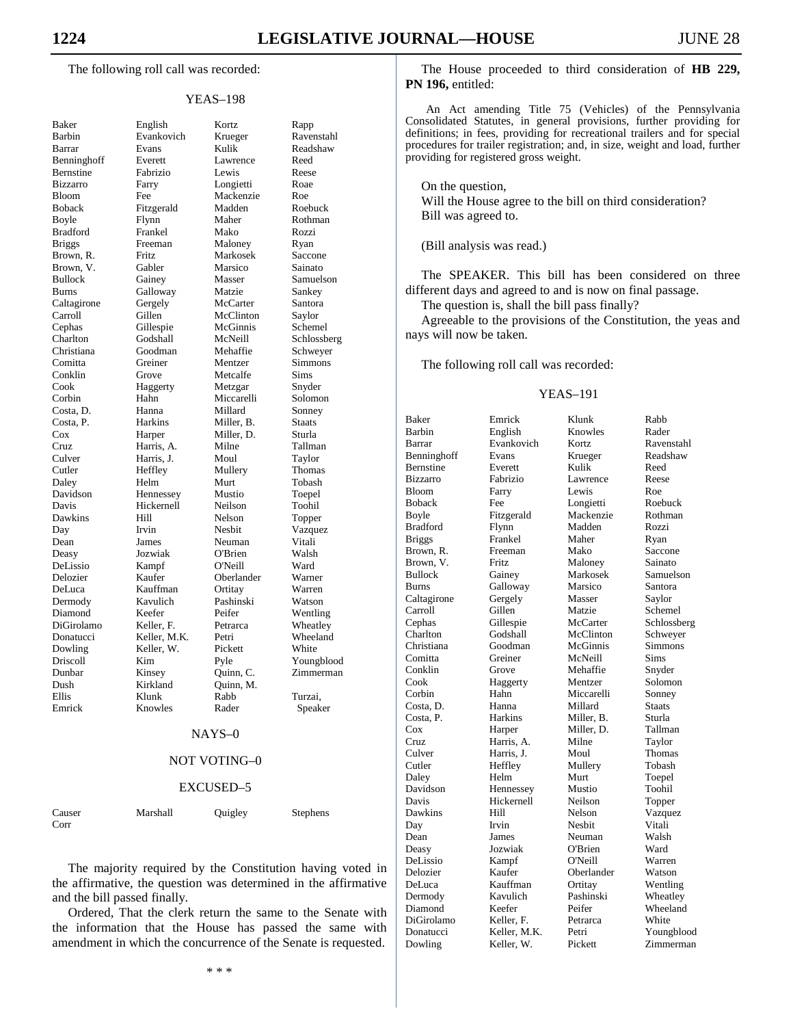The following roll call was recorded:

#### YEAS–198

| Baker                                                    |
|----------------------------------------------------------|
| Barbin                                                   |
| Barrar                                                   |
| Benninghoff                                              |
| Bernstine                                                |
| Bizzarro                                                 |
| Bloom                                                    |
|                                                          |
| <b>Boback</b>                                            |
| Boyle                                                    |
| <b>Bradford</b>                                          |
| <b>Briggs</b>                                            |
| Brown, R.                                                |
| Brown,<br>V.                                             |
| <b>Bullock</b>                                           |
| <b>Burns</b>                                             |
| Caltagirone                                              |
| Carroll                                                  |
| Cephas                                                   |
| Charlton                                                 |
|                                                          |
| Christiana                                               |
| Comitta                                                  |
| Conklin                                                  |
| Cook                                                     |
| Corbin                                                   |
|                                                          |
|                                                          |
| Corom<br>Costa, D.<br>Costa, P.<br>Cox<br>Cruz<br>Culver |
|                                                          |
|                                                          |
| Cutler                                                   |
| Daley                                                    |
|                                                          |
| Davidson                                                 |
| Davis                                                    |
| Dawkins                                                  |
| Day                                                      |
| Dean                                                     |
| Deasy                                                    |
| DeLissio                                                 |
| Delozier                                                 |
| DeLuca                                                   |
| Dermody                                                  |
|                                                          |
| Diamond                                                  |
| DiGirolamo                                               |
| Donatucci                                                |
| Dowling                                                  |
| Driscoll                                                 |
| Dunbar                                                   |
| Dush                                                     |
| Ellis                                                    |
| Emrick                                                   |
|                                                          |
|                                                          |

English Kortz Evankovich Krueger<br>Evans Kulik Barrar Evans Kulik Readshaw Everett Lawrence Bernstine Fabrizio Lewis Reese Farry Longietti Fee Mackenzie Fitzgerald Madden<br>Flynn Maher Boyle Flynn Maher Rothman Frankel Mako Freeman Maloney Fritz Markosek<br>Gabler Marsico Marsico Gainey Masser Galloway Matzie Gergely McCarter<br>Gillen McClintor McClinton Gillespie McGinnis Godshall McNeill Goodman Mehaffie<br>Greiner Mentzer Mentzer Conklin Grove Metcalfe Sims Haggerty Metzgar Hahn Miccarelli<br>
Hanna Millard Costa, D. Hanna Millard Sonney Harkins Miller, B. Harper Miller, D.<br>
Harris, A. Milne Harris, A. Milne<br>Harris, J. Moul Harris, J. Heffley Mullery Daley Helm Murt Tobash Hennessey Mustio<br>Hickernell Neilson Hickernell Dawkins Hill Nelson Topper Day Irvin Nesbit Vazquez Dean James Neuman Vitali Jozwiak O'Brien DeLissio Kampf O'Neill Ward Kaufer Oberlander<br>Kauffman Ortitav Kauffman Kavulich Pashinski Diamond Keefer Peifer Wentling Keller, F. Petrarca Keller, M.K. Petri Keller, W. Pickett Driscoll Kim Pyle Youngblood Kinsey Quinn, C.<br>Kirkland Quinn, M. Ouinn, M. Ellis Klunk Rabb Turzai, Knowles Rader Speaker

| Rapp          |
|---------------|
| Ravenstahl    |
| Readshaw      |
| Reed          |
|               |
| Reese         |
| Roae          |
| Roe           |
| Roebuck       |
| Rothman       |
| Rozzi         |
| Ryan          |
| Saccone       |
| Sainato       |
| Samuelson     |
| Sankey        |
| Santora       |
| Saylor        |
| Schemel       |
| Schlossberg   |
|               |
| Schweyer      |
| Simmons       |
| Sims          |
| Snyder        |
| Solomon       |
| Sonney        |
| <b>Staats</b> |
| Sturla        |
| Tallman       |
| Taylor        |
| Thomas        |
| Tobash        |
| Toepel        |
| Toohil        |
|               |
| Topper        |
| Vazquez       |
| Vitali        |
| Walsh         |
| Ward          |
| Warner        |
| Warren        |
| Watson        |
| Wentling      |
| Wheatley      |
| Wheeland      |
| White         |
|               |
| Youngblood    |
| Zimmerman     |
|               |
| Turzai,       |

#### NAYS–0

#### NOT VOTING–0

#### EXCUSED–5

| . .<br>×.<br>$\sim$<br>۰.<br>$\sim$<br>v |  |
|------------------------------------------|--|
|                                          |  |

Marshall Quigley Stephens

 The majority required by the Constitution having voted in the affirmative, the question was determined in the affirmative and the bill passed finally.

 Ordered, That the clerk return the same to the Senate with the information that the House has passed the same with amendment in which the concurrence of the Senate is requested.

 The House proceeded to third consideration of **HB 229, PN 196,** entitled:

An Act amending Title 75 (Vehicles) of the Pennsylvania Consolidated Statutes, in general provisions, further providing for definitions; in fees, providing for recreational trailers and for special procedures for trailer registration; and, in size, weight and load, further providing for registered gross weight.

 On the question, Will the House agree to the bill on third consideration? Bill was agreed to.

(Bill analysis was read.)

 The SPEAKER. This bill has been considered on three different days and agreed to and is now on final passage.

The question is, shall the bill pass finally?

 Agreeable to the provisions of the Constitution, the yeas and nays will now be taken.

The following roll call was recorded:

### YEAS–191

| Baker             | Emrick          | Klunk      | Rabb        |
|-------------------|-----------------|------------|-------------|
| Barbin            | English         | Knowles    | Rader       |
| Barrar            | Evankovich      | Kortz      | Ravenstahl  |
| Benninghoff       | Evans           | Krueger    | Readshaw    |
| <b>Bernstine</b>  | Everett         | Kulik      | Reed        |
| <b>Bizzarro</b>   | Fabrizio        | Lawrence   | Reese       |
| <b>Bloom</b>      | Farry           | Lewis      | Roe         |
| <b>Boback</b>     | Fee             | Longietti  | Roebuck     |
| Boyle             | Fitzgerald      | Mackenzie  | Rothman     |
| <b>Bradford</b>   | Flynn           | Madden     | Rozzi       |
| <b>Briggs</b>     | Frankel         | Maher      | Ryan        |
| Brown, R.         | Freeman         | Mako       | Saccone     |
| Brown, V.         | Fritz           | Maloney    | Sainato     |
| <b>Bullock</b>    | Gainey          | Markosek   | Samuelson   |
| <b>Burns</b>      | Galloway        | Marsico    | Santora     |
| Caltagirone       | Gergely         | Masser     | Saylor      |
| Carroll           | Gillen          | Matzie     | Schemel     |
| Cephas            | Gillespie       | McCarter   | Schlossberg |
| Charlton          | Godshall        | McClinton  | Schweyer    |
| Christiana        | Goodman         | McGinnis   | Simmons     |
| Comitta           | Greiner         | McNeill    | Sims        |
| Conklin           | Grove           | Mehaffie   | Snyder      |
| Cook              | Haggerty        | Mentzer    | Solomon     |
| Corbin            | Hahn            | Miccarelli | Sonney      |
| Costa, D.         | Hanna           | Millard    | Staats      |
| Costa, P.         | Harkins         | Miller, B. | Sturla      |
| Cox               | Harper          | Miller, D. | Tallman     |
| Cruz              | Harris, A.      | Milne      | Taylor      |
| Culver            | Harris, J.      | Moul       | Thomas      |
| Cutler            | Heffley         | Mullery    | Tobash      |
| Daley             | Helm            | Murt       | Toepel      |
| Davidson          | Hennessey       | Mustio     | Toohil      |
| Davis             | Hickernell      | Neilson    | Topper      |
| Dawkins           | Hill            | Nelson     | Vazquez     |
| Day               | Irvin           | Nesbit     | Vitali      |
| Dean              | James           | Neuman     | Walsh       |
|                   | Jozwiak         | O'Brien    | Ward        |
| Deasy<br>DeLissio |                 | O'Neill    | Warren      |
|                   | Kampf<br>Kaufer |            |             |
| Delozier          | Kauffman        | Oberlander | Watson      |
| DeLuca            |                 | Ortitay    | Wentling    |
| Dermody           | Kavulich        | Pashinski  | Wheatley    |
| Diamond           | Keefer          | Peifer     | Wheeland    |
| DiGirolamo        | Keller, F.      | Petrarca   | White       |
| Donatucci         | Keller, M.K.    | Petri      | Youngblood  |
| Dowling           | Keller. W.      | Pickett    | Zimmerman   |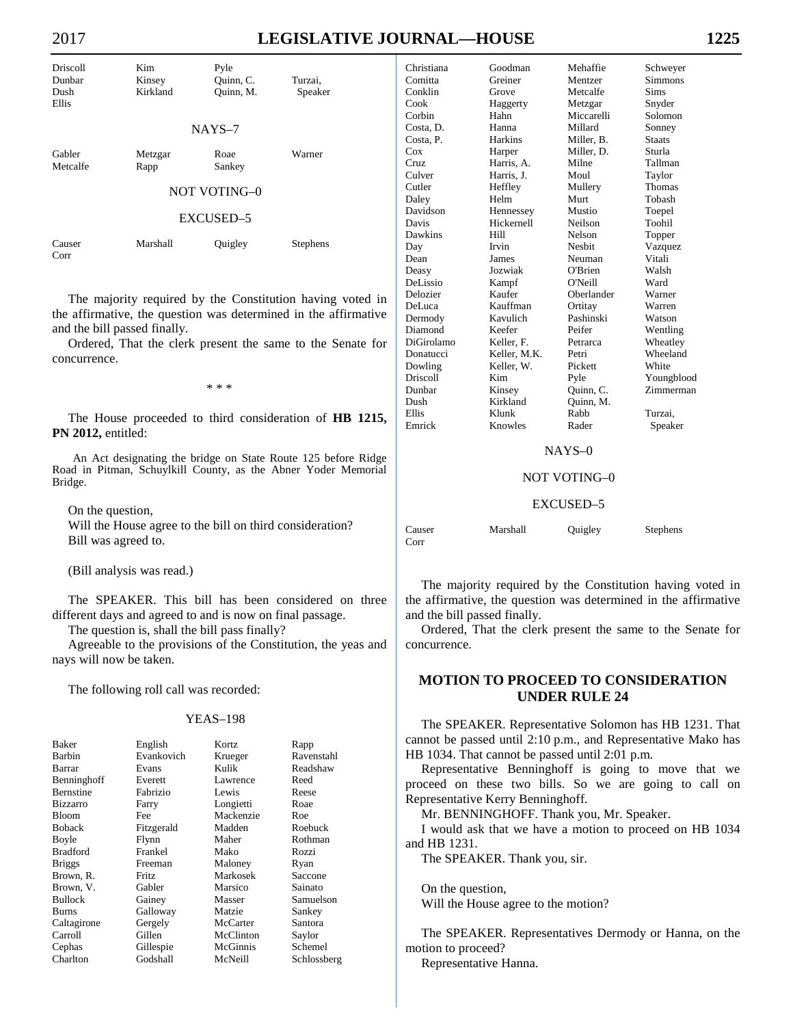| Driscoll<br>Dunbar<br>Dush<br>Ellis | Kim<br>Kinsey<br>Kirkland | Pyle<br>Quinn, C.<br>Ouinn, M. | Turzai.<br>Speaker |  |  |
|-------------------------------------|---------------------------|--------------------------------|--------------------|--|--|
|                                     |                           | $NAYS-7$                       |                    |  |  |
| Gabler<br>Metcalfe                  | Metzgar<br>Rapp           | Roae<br>Sankey                 | Warner             |  |  |
| NOT VOTING-0                        |                           |                                |                    |  |  |
| <b>EXCUSED-5</b>                    |                           |                                |                    |  |  |
| Causer<br>Corr                      | Marshall                  | Quigley                        | Stephens           |  |  |

 The majority required by the Constitution having voted in the affirmative, the question was determined in the affirmative and the bill passed finally.

 Ordered, That the clerk present the same to the Senate for concurrence.

\* \* \*

 The House proceeded to third consideration of **HB 1215, PN 2012,** entitled:

An Act designating the bridge on State Route 125 before Ridge Road in Pitman, Schuylkill County, as the Abner Yoder Memorial Bridge.

 On the question, Will the House agree to the bill on third consideration? Bill was agreed to.

(Bill analysis was read.)

 The SPEAKER. This bill has been considered on three different days and agreed to and is now on final passage.

The question is, shall the bill pass finally?

 Agreeable to the provisions of the Constitution, the yeas and nays will now be taken.

The following roll call was recorded:

#### YEAS–198

| Baker            | English    | Kortz     | Rapp        |
|------------------|------------|-----------|-------------|
| Barbin           | Evankovich | Krueger   | Ravenstahl  |
| Barrar           | Evans      | Kulik     | Readshaw    |
| Benninghoff      | Everett    | Lawrence  | Reed        |
| <b>Bernstine</b> | Fabrizio   | Lewis     | Reese       |
| <b>Bizzarro</b>  | Farry      | Longietti | Roae        |
| <b>Bloom</b>     | Fee        | Mackenzie | Roe         |
| <b>Boback</b>    | Fitzgerald | Madden    | Roebuck     |
| Boyle            | Flynn      | Maher     | Rothman     |
| <b>Bradford</b>  | Frankel    | Mako      | Rozzi       |
| <b>Briggs</b>    | Freeman    | Maloney   | Ryan        |
| Brown, R.        | Fritz      | Markosek  | Saccone     |
| Brown, V.        | Gabler     | Marsico   | Sainato     |
| <b>Bullock</b>   | Gainey     | Masser    | Samuelson   |
| Burns            | Galloway   | Matzie    | Sankey      |
| Caltagirone      | Gergely    | McCarter  | Santora     |
| Carroll          | Gillen     | McClinton | Saylor      |
| Cephas           | Gillespie  | McGinnis  | Schemel     |
| Charlton         | Godshall   | McNeill   | Schlossberg |

| Christiana | Goodman        | Mehaffie      | Schweyer      |
|------------|----------------|---------------|---------------|
| Comitta    | Greiner        | Mentzer       | Simmons       |
| Conklin    | Grove          | Metcalfe      | Sims          |
| Cook       | Haggerty       | Metzgar       | Snyder        |
| Corbin     | Hahn           | Miccarelli    | Solomon       |
| Costa, D.  | Hanna          | Millard       | Sonney        |
| Costa, P.  | <b>Harkins</b> | Miller, B.    | <b>Staats</b> |
| Cox        | Harper         | Miller, D.    | Sturla        |
| Cruz       | Harris, A.     | Milne         | Tallman       |
| Culver     | Harris, J.     | Moul          | Taylor        |
| Cutler     | Heffley        | Mullery       | Thomas        |
| Daley      | Helm           | Murt          | Tobash        |
| Davidson   | Hennessey      | Mustio        | Toepel        |
| Davis      | Hickernell     | Neilson       | Toohil        |
| Dawkins    | Hill           | Nelson        | Topper        |
| Day        | Irvin          | <b>Nesbit</b> | Vazquez       |
| Dean       | James          | Neuman        | Vitali        |
| Deasy      | Jozwiak        | O'Brien       | Walsh         |
| DeLissio   | Kampf          | O'Neill       | Ward          |
| Delozier   | Kaufer         | Oberlander    | Warner        |
| DeLuca     | Kauffman       | Ortitay       | Warren        |
| Dermody    | Kavulich       | Pashinski     | Watson        |
| Diamond    | Keefer         | Peifer        | Wentling      |
| DiGirolamo | Keller, F.     | Petrarca      | Wheatley      |
| Donatucci  | Keller, M.K.   | Petri         | Wheeland      |
| Dowling    | Keller, W.     | Pickett       | White         |
| Driscoll   | Kim            | Pyle          | Youngblood    |
| Dunbar     | Kinsey         | Ouinn, C.     | Zimmerman     |
| Dush       | Kirkland       | Quinn, M.     |               |
| Ellis      | Klunk          | Rabb          | Turzai.       |
| Emrick     | Knowles        | Rader         | Speaker       |
|            |                |               |               |

#### NAYS–0

#### NOT VOTING–0

#### EXCUSED–5

| Causer | Marshall | Quigley | Stephens |
|--------|----------|---------|----------|
| Corr   |          |         |          |

 The majority required by the Constitution having voted in the affirmative, the question was determined in the affirmative and the bill passed finally.

 Ordered, That the clerk present the same to the Senate for concurrence.

# **MOTION TO PROCEED TO CONSIDERATION UNDER RULE 24**

 The SPEAKER. Representative Solomon has HB 1231. That cannot be passed until 2:10 p.m., and Representative Mako has HB 1034. That cannot be passed until 2:01 p.m.

 Representative Benninghoff is going to move that we proceed on these two bills. So we are going to call on Representative Kerry Benninghoff.

Mr. BENNINGHOFF. Thank you, Mr. Speaker.

 I would ask that we have a motion to proceed on HB 1034 and HB 1231.

The SPEAKER. Thank you, sir.

 On the question, Will the House agree to the motion?

 The SPEAKER. Representatives Dermody or Hanna, on the motion to proceed?

Representative Hanna.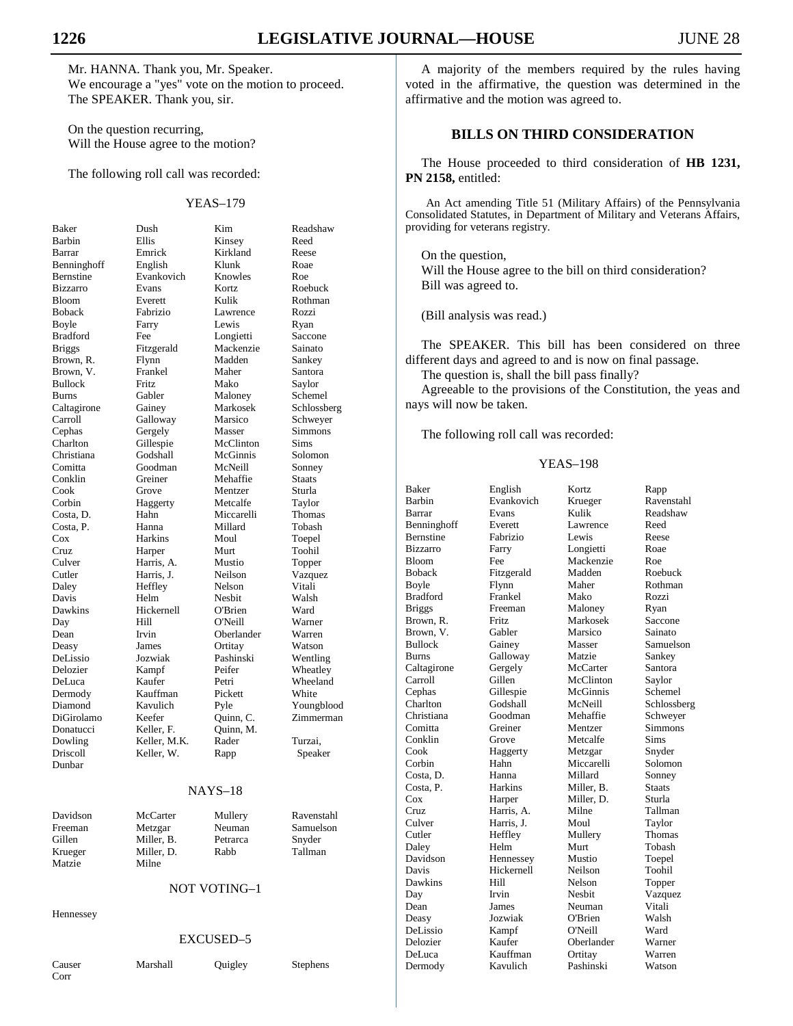Mr. HANNA. Thank you, Mr. Speaker. We encourage a "yes" vote on the motion to proceed. The SPEAKER. Thank you, sir.

 On the question recurring, Will the House agree to the motion?

The following roll call was recorded:

### YEAS–179

| Baker            | Dush         | Kim        | Readshaw    |
|------------------|--------------|------------|-------------|
| Barbin           | Ellis        | Kinsey     | Reed        |
| Barrar           | Emrick       | Kirkland   | Reese       |
| Benninghoff      | English      | Klunk      | Roae        |
| <b>Bernstine</b> | Evankovich   | Knowles    | Roe         |
| <b>Bizzarro</b>  | Evans        | Kortz      | Roebuck     |
| <b>Bloom</b>     | Everett      | Kulik      | Rothman     |
| <b>Boback</b>    | Fabrizio     | Lawrence   | Rozzi       |
| Boyle            | Farry        | Lewis      | Ryan        |
| <b>Bradford</b>  | Fee          | Longietti  | Saccone     |
| <b>Briggs</b>    | Fitzgerald   | Mackenzie  | Sainato     |
| Brown, R.        | Flynn        | Madden     | Sankey      |
| Brown, V.        | Frankel      | Maher      | Santora     |
| <b>Bullock</b>   | Fritz        | Mako       | Saylor      |
| <b>Burns</b>     | Gabler       | Maloney    | Schemel     |
| Caltagirone      | Gainey       | Markosek   | Schlossberg |
| Carroll          | Galloway     | Marsico    | Schweyer    |
| Cephas           | Gergely      | Masser     | Simmons     |
| Charlton         | Gillespie    | McClinton  | Sims        |
| Christiana       | Godshall     | McGinnis   | Solomon     |
| Comitta          | Goodman      | McNeill    | Sonney      |
| Conklin          | Greiner      | Mehaffie   | Staats      |
| Cook             | Grove        | Mentzer    | Sturla      |
| Corbin           | Haggerty     | Metcalfe   | Taylor      |
| Costa, D.        | Hahn         | Miccarelli | Thomas      |
| Costa, P.        | Hanna        | Millard    | Tobash      |
| $\cos$           | Harkins      | Moul       | Toepel      |
| Cruz             | Harper       | Murt       | Toohil      |
| Culver           | Harris, A.   | Mustio     | Topper      |
| Cutler           | Harris, J.   | Neilson    | Vazquez     |
| Daley            | Heffley      | Nelson     | Vitali      |
| Davis            | Helm         | Nesbit     | Walsh       |
| Dawkins          | Hickernell   | O'Brien    | Ward        |
| Day              | Hill         | O'Neill    | Warner      |
| Dean             | Irvin        | Oberlander | Warren      |
| Deasy            | James        | Ortitay    | Watson      |
| DeLissio         | Jozwiak      | Pashinski  | Wentling    |
| Delozier         | Kampf        | Peifer     | Wheatley    |
| DeLuca           | Kaufer       | Petri      | Wheeland    |
| Dermody          | Kauffman     | Pickett    | White       |
| Diamond          | Kavulich     | Pyle       | Youngblood  |
| DiGirolamo       | Keefer       | Quinn, C.  | Zimmerman   |
| Donatucci        | Keller, F.   | Ouinn. M.  |             |
| Dowling          | Keller, M.K. | Rader      | Turzai,     |
| Driscoll         | Keller, W.   | Rapp       | Speaker     |
| Dunbar           |              |            |             |

#### NAYS–18

| Davidson | McCarter   | Mullery  | Ravenstahl | <b>CIUZ</b> | пашь, д.   |  |
|----------|------------|----------|------------|-------------|------------|--|
| Freeman  | Metzgar    | Neuman   | Samuelson  | Culver      | Harris, J. |  |
| Gillen   | Miller, B. | Petrarca | Snyder     | Cutler      | Heffley    |  |
| Krueger  | Miller, D. | Rabb     | Tallman    | Daley       | Helm       |  |
|          |            |          |            | Davidson    | Hennessey  |  |
| Matzie   | Milne      |          |            | Davis       | Hickernell |  |

### NOT VOTING–1

Hennessey

#### EXCUSED–5

Corr

# Causer Marshall Quigley Stephens

 A majority of the members required by the rules having voted in the affirmative, the question was determined in the affirmative and the motion was agreed to.

# **BILLS ON THIRD CONSIDERATION**

 The House proceeded to third consideration of **HB 1231, PN 2158,** entitled:

An Act amending Title 51 (Military Affairs) of the Pennsylvania Consolidated Statutes, in Department of Military and Veterans Affairs, providing for veterans registry.

 On the question, Will the House agree to the bill on third consideration? Bill was agreed to.

(Bill analysis was read.)

 The SPEAKER. This bill has been considered on three different days and agreed to and is now on final passage.

The question is, shall the bill pass finally?

 Agreeable to the provisions of the Constitution, the yeas and nays will now be taken.

The following roll call was recorded:

#### YEAS–198

| Baker            | English    | Kortz         | Rapp          |
|------------------|------------|---------------|---------------|
| <b>Barbin</b>    | Evankovich | Krueger       | Ravenstahl    |
| Barrar           | Evans      | Kulik         | Readshaw      |
| Benninghoff      | Everett    | Lawrence      | Reed          |
| <b>Bernstine</b> | Fabrizio   | Lewis         | Reese         |
| <b>Bizzarro</b>  | Farry      | Longietti     | Roae          |
| <b>Bloom</b>     | Fee        | Mackenzie     | Roe           |
| <b>Boback</b>    | Fitzgerald | Madden        | Roebuck       |
| Boyle            | Flynn      | Maher         | Rothman       |
| <b>Bradford</b>  | Frankel    | Mako          | Rozzi         |
| <b>Briggs</b>    | Freeman    | Maloney       | Ryan          |
| Brown, R.        | Fritz      | Markosek      | Saccone       |
| Brown, V.        | Gabler     | Marsico       | Sainato       |
| <b>Bullock</b>   | Gainey     | Masser        | Samuelson     |
| <b>Burns</b>     | Galloway   | Matzie        | Sankey        |
| Caltagirone      | Gergely    | McCarter      | Santora       |
| Carroll          | Gillen     | McClinton     | Saylor        |
| Cephas           | Gillespie  | McGinnis      | Schemel       |
| Charlton         | Godshall   | McNeill       | Schlossberg   |
| Christiana       | Goodman    | Mehaffie      | Schweyer      |
| Comitta          | Greiner    | Mentzer       | Simmons       |
| Conklin          | Grove      | Metcalfe      | Sims          |
| Cook             | Haggerty   | Metzgar       | Snyder        |
| Corbin           | Hahn       | Miccarelli    | Solomon       |
| Costa, D.        | Hanna      | Millard       | Sonney        |
| Costa, P.        | Harkins    | Miller. B.    | <b>Staats</b> |
| Cox              | Harper     | Miller, D.    | Sturla        |
| Cruz             | Harris, A. | Milne         | Tallman       |
| Culver           | Harris, J. | Moul          | Taylor        |
| Cutler           | Heffley    | Mullery       | Thomas        |
| Daley            | Helm       | Murt          | Tobash        |
| Davidson         | Hennessey  | Mustio        | Toepel        |
| Davis            | Hickernell | Neilson       | Toohil        |
| Dawkins          | Hill       | Nelson        | Topper        |
| Day              | Irvin      | <b>Nesbit</b> | Vazquez       |
| Dean             | James      | Neuman        | Vitali        |
| Deasy            | Jozwiak    | O'Brien       | Walsh         |
| DeLissio         | Kampf      | O'Neill       | Ward          |
| Delozier         | Kaufer     | Oberlander    | Warner        |
| DeLuca           | Kauffman   | Ortitay       | Warren        |
| Dermody          | Kavulich   | Pashinski     | Watson        |
|                  |            |               |               |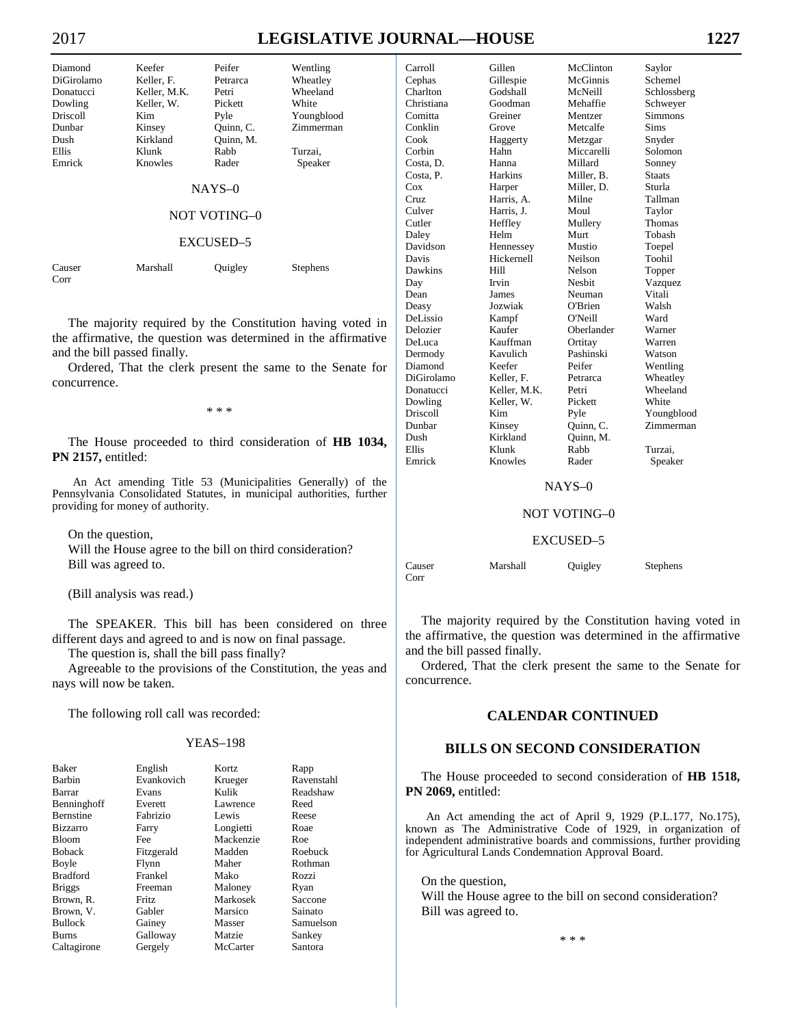Corr

# 2017 **LEGISLATIVE JOURNAL—HOUSE 1227**

| Diamond    | Keefer       | Peifer              | Wentling        |
|------------|--------------|---------------------|-----------------|
| DiGirolamo | Keller, F.   | Petrarca            | Wheatley        |
| Donatucci  | Keller, M.K. | Petri               | Wheeland        |
| Dowling    | Keller, W.   | Pickett             | White           |
| Driscoll   | Kim.         | Pyle                | Youngblood      |
| Dunbar     | Kinsey       | Quinn, C.           | Zimmerman       |
| Dush       | Kirkland     | Ouinn, M.           |                 |
| Ellis      | Klunk        | Rabb                | Turzai,         |
| Emrick     | Knowles      | Rader               | Speaker         |
|            |              | $NAYS-0$            |                 |
|            |              | <b>NOT VOTING-0</b> |                 |
|            |              | EXCUSED-5           |                 |
| Causer     | Marshall     | Ouigley             | <b>Stephens</b> |

 The majority required by the Constitution having voted in the affirmative, the question was determined in the affirmative and the bill passed finally.

 Ordered, That the clerk present the same to the Senate for concurrence.

\* \* \*

 The House proceeded to third consideration of **HB 1034, PN 2157,** entitled:

An Act amending Title 53 (Municipalities Generally) of the Pennsylvania Consolidated Statutes, in municipal authorities, further providing for money of authority.

 On the question, Will the House agree to the bill on third consideration? Bill was agreed to.

(Bill analysis was read.)

 The SPEAKER. This bill has been considered on three different days and agreed to and is now on final passage.

The question is, shall the bill pass finally?

 Agreeable to the provisions of the Constitution, the yeas and nays will now be taken.

The following roll call was recorded:

### YEAS–198

| <b>Baker</b>     | English      | Kortz     | Rapp       |
|------------------|--------------|-----------|------------|
| Barbin           | Evankovich   | Krueger   | Ravenstahl |
| Barrar           | Evans        | Kulik     | Readshaw   |
| Benninghoff      | Everett      | Lawrence  | Reed       |
| <b>Bernstine</b> | Fabrizio     | Lewis     | Reese      |
| <b>Bizzarro</b>  | Farry        | Longietti | Roae       |
| <b>Bloom</b>     | Fee          | Mackenzie | Roe        |
| <b>Boback</b>    | Fitzgerald   | Madden    | Roebuck    |
| Boyle            | Flynn        | Maher     | Rothman    |
| <b>Bradford</b>  | Frankel      | Mako      | Rozzi      |
| <b>Briggs</b>    | Freeman      | Maloney   | Ryan       |
| Brown, R.        | <b>Fritz</b> | Markosek  | Saccone    |
| Brown, V.        | Gabler       | Marsico   | Sainato    |
| <b>Bullock</b>   | Gainey       | Masser    | Samuelson  |
| Burns            | Galloway     | Matzie    | Sankey     |
| Caltagirone      | Gergely      | McCarter  | Santora    |

| Carroll    | Gillen         | McClinton     | Saylor        |
|------------|----------------|---------------|---------------|
| Cephas     | Gillespie      | McGinnis      | Schemel       |
| Charlton   | Godshall       | McNeill       | Schlossberg   |
| Christiana | Goodman        | Mehaffie      | Schweyer      |
| Comitta    | Greiner        | Mentzer       | Simmons       |
| Conklin    | Grove          | Metcalfe      | <b>Sims</b>   |
| Cook       | Haggerty       | Metzgar       | Snyder        |
| Corbin     | Hahn           | Miccarelli    | Solomon       |
| Costa, D.  | Hanna          | Millard       | Sonney        |
| Costa, P.  | <b>Harkins</b> | Miller, B.    | <b>Staats</b> |
| Cox        | Harper         | Miller, D.    | Sturla        |
| Cruz       | Harris, A.     | Milne         | Tallman       |
| Culver     | Harris, J.     | Moul          | Taylor        |
| Cutler     | Heffley        | Mullery       | Thomas        |
| Daley      | Helm           | Murt          | Tobash        |
| Davidson   | Hennessey      | Mustio        | Toepel        |
| Davis      | Hickernell     | Neilson       | Toohil        |
| Dawkins    | Hill           | Nelson        | Topper        |
| Day        | Irvin          | <b>Nesbit</b> | Vazquez       |
| Dean       | James          | Neuman        | Vitali        |
| Deasy      | Jozwiak        | O'Brien       | Walsh         |
| DeLissio   | Kampf          | O'Neill       | Ward          |
| Delozier   | Kaufer         | Oberlander    | Warner        |
| DeLuca     | Kauffman       | Ortitay       | Warren        |
| Dermody    | Kavulich       | Pashinski     | Watson        |
| Diamond    | Keefer         | Peifer        | Wentling      |
| DiGirolamo | Keller, F.     | Petrarca      | Wheatley      |
| Donatucci  | Keller, M.K.   | Petri         | Wheeland      |
| Dowling    | Keller, W.     | Pickett       | White         |
| Driscoll   | Kim            | Pyle          | Youngblood    |
| Dunbar     | Kinsey         | Quinn, C.     | Zimmerman     |
| Dush       | Kirkland       | Quinn, M.     |               |
| Ellis      | Klunk          | Rabb          | Turzai,       |
| Emrick     | Knowles        | Rader         | Speaker       |

#### NAYS–0

# NOT VOTING–0

#### EXCUSED–5

 The majority required by the Constitution having voted in the affirmative, the question was determined in the affirmative and the bill passed finally.

 Ordered, That the clerk present the same to the Senate for concurrence.

# **CALENDAR CONTINUED**

# **BILLS ON SECOND CONSIDERATION**

 The House proceeded to second consideration of **HB 1518, PN 2069,** entitled:

An Act amending the act of April 9, 1929 (P.L.177, No.175), known as The Administrative Code of 1929, in organization of independent administrative boards and commissions, further providing for Agricultural Lands Condemnation Approval Board.

On the question,

 Will the House agree to the bill on second consideration? Bill was agreed to.

\* \* \*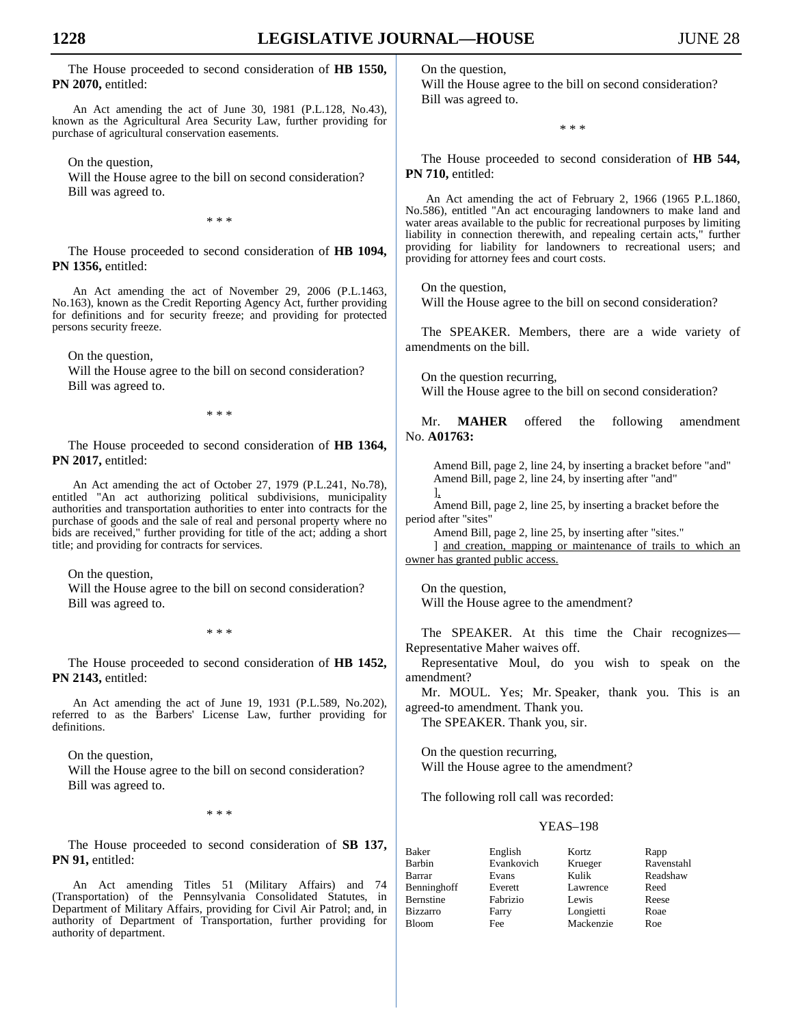The House proceeded to second consideration of **HB 1550, PN 2070,** entitled:

An Act amending the act of June 30, 1981 (P.L.128, No.43), known as the Agricultural Area Security Law, further providing for purchase of agricultural conservation easements.

On the question,

 Will the House agree to the bill on second consideration? Bill was agreed to.

\* \* \*

 The House proceeded to second consideration of **HB 1094, PN 1356,** entitled:

An Act amending the act of November 29, 2006 (P.L.1463, No.163), known as the Credit Reporting Agency Act, further providing for definitions and for security freeze; and providing for protected persons security freeze.

On the question,

 Will the House agree to the bill on second consideration? Bill was agreed to.

\* \* \*

 The House proceeded to second consideration of **HB 1364, PN 2017,** entitled:

An Act amending the act of October 27, 1979 (P.L.241, No.78), entitled "An act authorizing political subdivisions, municipality authorities and transportation authorities to enter into contracts for the purchase of goods and the sale of real and personal property where no bids are received," further providing for title of the act; adding a short title; and providing for contracts for services.

 On the question, Will the House agree to the bill on second consideration? Bill was agreed to.

\* \* \*

 The House proceeded to second consideration of **HB 1452, PN 2143,** entitled:

An Act amending the act of June 19, 1931 (P.L.589, No.202), referred to as the Barbers' License Law, further providing for definitions.

 On the question, Will the House agree to the bill on second consideration? Bill was agreed to.

\* \* \*

 The House proceeded to second consideration of **SB 137, PN 91,** entitled:

An Act amending Titles 51 (Military Affairs) and 74 (Transportation) of the Pennsylvania Consolidated Statutes, in Department of Military Affairs, providing for Civil Air Patrol; and, in authority of Department of Transportation, further providing for authority of department.

 On the question, Will the House agree to the bill on second consideration? Bill was agreed to.

\* \* \*

 The House proceeded to second consideration of **HB 544, PN 710,** entitled:

An Act amending the act of February 2, 1966 (1965 P.L.1860, No.586), entitled "An act encouraging landowners to make land and water areas available to the public for recreational purposes by limiting liability in connection therewith, and repealing certain acts," further providing for liability for landowners to recreational users; and providing for attorney fees and court costs.

On the question,

Will the House agree to the bill on second consideration?

 The SPEAKER. Members, there are a wide variety of amendments on the bill.

 On the question recurring, Will the House agree to the bill on second consideration?

 Mr. **MAHER** offered the following amendment No. **A01763:**

Amend Bill, page 2, line 24, by inserting a bracket before "and" Amend Bill, page 2, line 24, by inserting after "and"

 $\mathbf{I}$ Amend Bill, page 2, line 25, by inserting a bracket before the period after "sites"

Amend Bill, page 2, line 25, by inserting after "sites." ] and creation, mapping or maintenance of trails to which an owner has granted public access.

 On the question, Will the House agree to the amendment?

 The SPEAKER. At this time the Chair recognizes— Representative Maher waives off.

 Representative Moul, do you wish to speak on the amendment?

 Mr. MOUL. Yes; Mr. Speaker, thank you. This is an agreed-to amendment. Thank you.

The SPEAKER. Thank you, sir.

 On the question recurring, Will the House agree to the amendment?

The following roll call was recorded:

### YEAS–198

| Baker       | English    | Kortz     | Rapp       |
|-------------|------------|-----------|------------|
| Barbin      | Evankovich | Krueger   | Ravenstahl |
| Barrar      | Evans      | Kulik     | Readshaw   |
| Benninghoff | Everett    | Lawrence  | Reed       |
| Bernstine   | Fabrizio   | Lewis     | Reese      |
| Bizzarro    | Farry      | Longietti | Roae       |
| Bloom       | Fee        | Mackenzie | Roe        |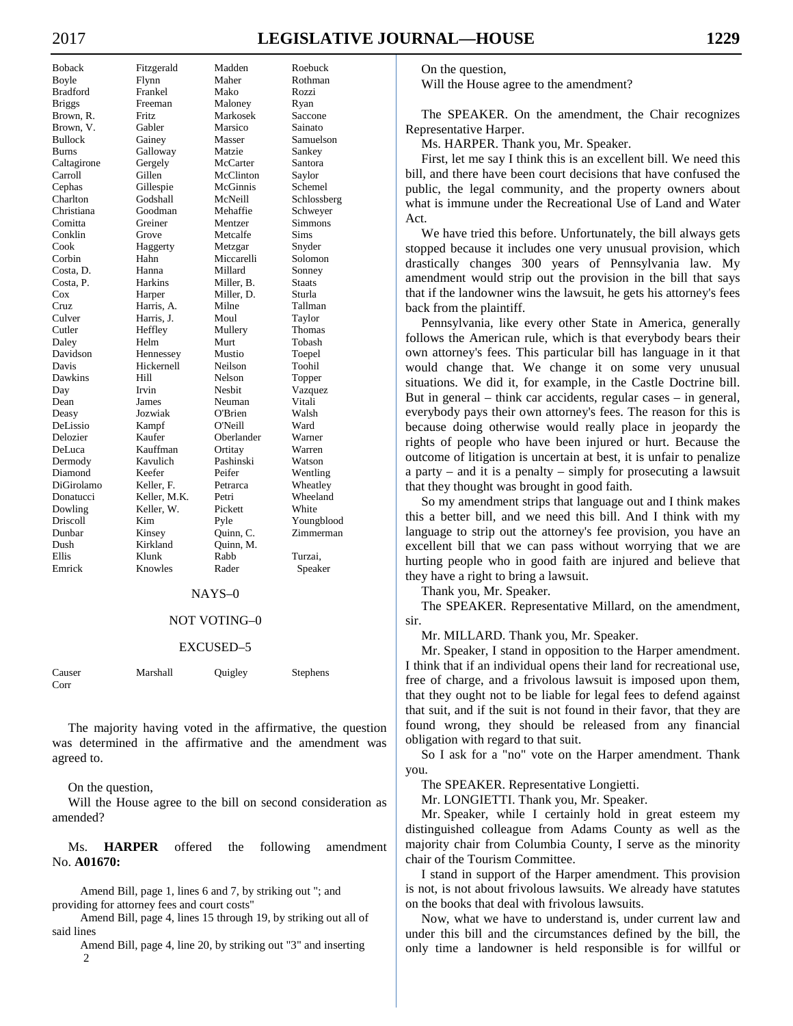# 2017 **LEGISLATIVE JOURNAL—HOUSE 1229**

Boback Fitzgerald Madden Roebuck Boyle Flynn Maher Rothman<br>Bradford Frankel Mako Rozzi Bradford Frankel Mako Rozzi Briggs Freeman Maloney Ryan Brown, R. Fritz Markosek Saccone Brown, V. Gabler Marsico Sainato Bullock Gainey Masser Samuelson Burns Galloway Matzie Sankey Caltagirone Gergely McCarter Santora Carroll Gillen McClinton Saylor Cephas Gillespie McGinnis Schemel<br>Charlton Godshall McNeill Schlossb Christiana Goodman Mehaffie Schweyer Comitta Greiner Mentzer Simmons Conklin Grove Metcalfe Sims Cook Haggerty Metzgar Snyder Corbin Hahn Miccarelli Solomon<br>
Costa, D. Hanna Millard Sonney Costa, D. Hanna Millard Sonney Costa, P. Harkins Miller, B. Staats Cox Harper Miller, D. Sturla Cruz Harris, A. Milne Tallman Harris, J. Cutler Heffley Mullery Thomas Daley Helm Murt Tobash Davidson Hennessey Mustio Toepel Davis Hickernell Neilson Toohil Dawkins Hill Nelson Topper Day Irvin Nesbit Vazquez Dean James Neuman Vitali Deasy Jozwiak O'Brien Walsh DeLissio Kampf O'Neill Ward Delozier Kaufer Oberlander Warner DeLuca Kauffman Ortitay Warren Dermody Kavulich Pashinski Watson Diamond Keefer Peifer Wentling DiGirolamo Keller, F. Petrarca Wheatley Donatucci Keller, M.K. Petri Wheeland Dowling Keller, W. Pickett White Driscoll  $\begin{array}{ccc}\n\text{Xim} & \text{Pyle} & \text{Youngblood} \\
\text{Dunbar} & \text{Kinsey} & \text{Quinn, C.} & \text{Zimmerman}\n\end{array}$ Kinsey Quinn, C. Zimmerman<br>Kirkland Quinn, M. Dush Kirkland Quinn, M. Ellis Klunk Rabb Turzai, Emrick Knowles Rader Speaker

Schlossberg

#### NAYS–0

### NOT VOTING–0

#### EXCUSED–5

| Causer | Marshall | Quigley | Stephens |
|--------|----------|---------|----------|
| Corr   |          |         |          |

 The majority having voted in the affirmative, the question was determined in the affirmative and the amendment was agreed to.

On the question,

 Will the House agree to the bill on second consideration as amended?

 Ms. **HARPER** offered the following amendment No. **A01670:**

Amend Bill, page 1, lines 6 and 7, by striking out "; and providing for attorney fees and court costs"

Amend Bill, page 4, lines 15 through 19, by striking out all of said lines

Amend Bill, page 4, line 20, by striking out "3" and inserting  $\mathcal{D}$ 

 On the question, Will the House agree to the amendment?

 The SPEAKER. On the amendment, the Chair recognizes Representative Harper.

Ms. HARPER. Thank you, Mr. Speaker.

 First, let me say I think this is an excellent bill. We need this bill, and there have been court decisions that have confused the public, the legal community, and the property owners about what is immune under the Recreational Use of Land and Water Act.

 We have tried this before. Unfortunately, the bill always gets stopped because it includes one very unusual provision, which drastically changes 300 years of Pennsylvania law. My amendment would strip out the provision in the bill that says that if the landowner wins the lawsuit, he gets his attorney's fees back from the plaintiff.

 Pennsylvania, like every other State in America, generally follows the American rule, which is that everybody bears their own attorney's fees. This particular bill has language in it that would change that. We change it on some very unusual situations. We did it, for example, in the Castle Doctrine bill. But in general – think car accidents, regular cases – in general, everybody pays their own attorney's fees. The reason for this is because doing otherwise would really place in jeopardy the rights of people who have been injured or hurt. Because the outcome of litigation is uncertain at best, it is unfair to penalize a party – and it is a penalty – simply for prosecuting a lawsuit that they thought was brought in good faith.

 So my amendment strips that language out and I think makes this a better bill, and we need this bill. And I think with my language to strip out the attorney's fee provision, you have an excellent bill that we can pass without worrying that we are hurting people who in good faith are injured and believe that they have a right to bring a lawsuit.

Thank you, Mr. Speaker.

 The SPEAKER. Representative Millard, on the amendment, sir.

Mr. MILLARD. Thank you, Mr. Speaker.

 Mr. Speaker, I stand in opposition to the Harper amendment. I think that if an individual opens their land for recreational use, free of charge, and a frivolous lawsuit is imposed upon them, that they ought not to be liable for legal fees to defend against that suit, and if the suit is not found in their favor, that they are found wrong, they should be released from any financial obligation with regard to that suit.

 So I ask for a "no" vote on the Harper amendment. Thank you.

The SPEAKER. Representative Longietti.

Mr. LONGIETTI. Thank you, Mr. Speaker.

 Mr. Speaker, while I certainly hold in great esteem my distinguished colleague from Adams County as well as the majority chair from Columbia County, I serve as the minority chair of the Tourism Committee.

 I stand in support of the Harper amendment. This provision is not, is not about frivolous lawsuits. We already have statutes on the books that deal with frivolous lawsuits.

 Now, what we have to understand is, under current law and under this bill and the circumstances defined by the bill, the only time a landowner is held responsible is for willful or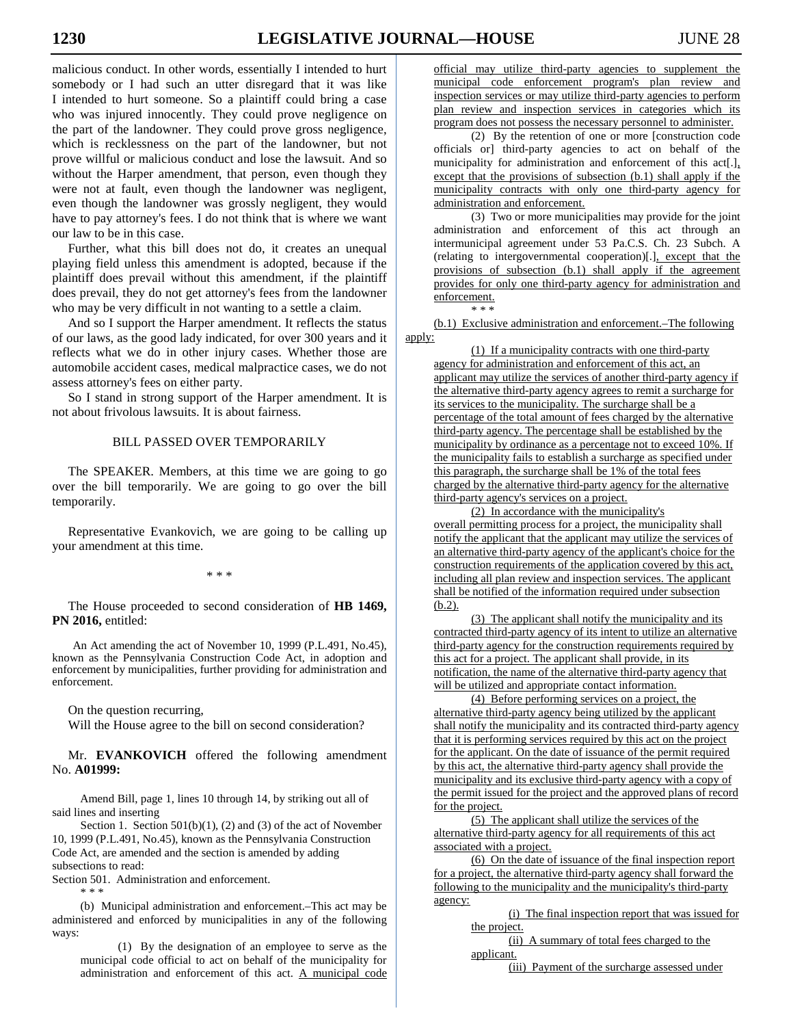malicious conduct. In other words, essentially I intended to hurt somebody or I had such an utter disregard that it was like I intended to hurt someone. So a plaintiff could bring a case who was injured innocently. They could prove negligence on the part of the landowner. They could prove gross negligence, which is recklessness on the part of the landowner, but not prove willful or malicious conduct and lose the lawsuit. And so without the Harper amendment, that person, even though they were not at fault, even though the landowner was negligent, even though the landowner was grossly negligent, they would have to pay attorney's fees. I do not think that is where we want our law to be in this case.

 Further, what this bill does not do, it creates an unequal playing field unless this amendment is adopted, because if the plaintiff does prevail without this amendment, if the plaintiff does prevail, they do not get attorney's fees from the landowner who may be very difficult in not wanting to a settle a claim.

 And so I support the Harper amendment. It reflects the status of our laws, as the good lady indicated, for over 300 years and it reflects what we do in other injury cases. Whether those are automobile accident cases, medical malpractice cases, we do not assess attorney's fees on either party.

 So I stand in strong support of the Harper amendment. It is not about frivolous lawsuits. It is about fairness.

# BILL PASSED OVER TEMPORARILY

 The SPEAKER. Members, at this time we are going to go over the bill temporarily. We are going to go over the bill temporarily.

 Representative Evankovich, we are going to be calling up your amendment at this time.

\* \* \*

 The House proceeded to second consideration of **HB 1469, PN 2016,** entitled:

An Act amending the act of November 10, 1999 (P.L.491, No.45), known as the Pennsylvania Construction Code Act, in adoption and enforcement by municipalities, further providing for administration and enforcement.

On the question recurring,

Will the House agree to the bill on second consideration?

 Mr. **EVANKOVICH** offered the following amendment No. **A01999:**

Amend Bill, page 1, lines 10 through 14, by striking out all of said lines and inserting

Section 1. Section 501(b)(1), (2) and (3) of the act of November 10, 1999 (P.L.491, No.45), known as the Pennsylvania Construction Code Act, are amended and the section is amended by adding subsections to read:

Section 501. Administration and enforcement.

\* \* \*

(b) Municipal administration and enforcement.–This act may be administered and enforced by municipalities in any of the following ways:

(1) By the designation of an employee to serve as the municipal code official to act on behalf of the municipality for administration and enforcement of this act. A municipal code official may utilize third-party agencies to supplement the municipal code enforcement program's plan review and inspection services or may utilize third-party agencies to perform plan review and inspection services in categories which its program does not possess the necessary personnel to administer.

(2) By the retention of one or more [construction code officials or] third-party agencies to act on behalf of the municipality for administration and enforcement of this act[.], except that the provisions of subsection (b.1) shall apply if the municipality contracts with only one third-party agency for administration and enforcement.

(3) Two or more municipalities may provide for the joint administration and enforcement of this act through an intermunicipal agreement under 53 Pa.C.S. Ch. 23 Subch. A (relating to intergovernmental cooperation)[.], except that the provisions of subsection (b.1) shall apply if the agreement provides for only one third-party agency for administration and enforcement. \* \* \*

(b.1) Exclusive administration and enforcement.–The following apply:

(1) If a municipality contracts with one third-party agency for administration and enforcement of this act, an applicant may utilize the services of another third-party agency if the alternative third-party agency agrees to remit a surcharge for its services to the municipality. The surcharge shall be a percentage of the total amount of fees charged by the alternative third-party agency. The percentage shall be established by the municipality by ordinance as a percentage not to exceed 10%. If the municipality fails to establish a surcharge as specified under this paragraph, the surcharge shall be 1% of the total fees charged by the alternative third-party agency for the alternative third-party agency's services on a project.

(2) In accordance with the municipality's overall permitting process for a project, the municipality shall notify the applicant that the applicant may utilize the services of an alternative third-party agency of the applicant's choice for the construction requirements of the application covered by this act, including all plan review and inspection services. The applicant shall be notified of the information required under subsection (b.2).

(3) The applicant shall notify the municipality and its contracted third-party agency of its intent to utilize an alternative third-party agency for the construction requirements required by this act for a project. The applicant shall provide, in its notification, the name of the alternative third-party agency that will be utilized and appropriate contact information.

(4) Before performing services on a project, the alternative third-party agency being utilized by the applicant shall notify the municipality and its contracted third-party agency that it is performing services required by this act on the project for the applicant. On the date of issuance of the permit required by this act, the alternative third-party agency shall provide the municipality and its exclusive third-party agency with a copy of the permit issued for the project and the approved plans of record for the project.

(5) The applicant shall utilize the services of the alternative third-party agency for all requirements of this act associated with a project.

(6) On the date of issuance of the final inspection report for a project, the alternative third-party agency shall forward the following to the municipality and the municipality's third-party agency:

(i) The final inspection report that was issued for the project.

(ii) A summary of total fees charged to the applicant.

(iii) Payment of the surcharge assessed under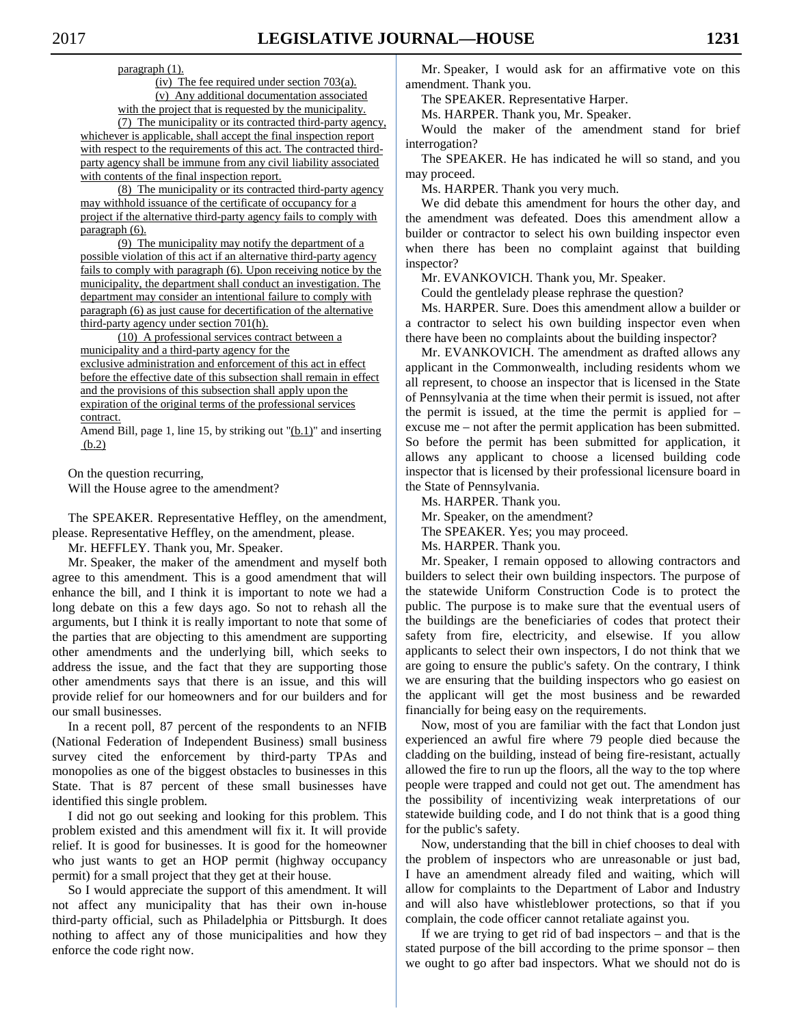paragraph (1).

(iv) The fee required under section  $703(a)$ . (v) Any additional documentation associated with the project that is requested by the municipality.

(7) The municipality or its contracted third-party agency, whichever is applicable, shall accept the final inspection report with respect to the requirements of this act. The contracted thirdparty agency shall be immune from any civil liability associated with contents of the final inspection report.

(8) The municipality or its contracted third-party agency may withhold issuance of the certificate of occupancy for a project if the alternative third-party agency fails to comply with paragraph (6).

(9) The municipality may notify the department of a possible violation of this act if an alternative third-party agency fails to comply with paragraph (6). Upon receiving notice by the municipality, the department shall conduct an investigation. The department may consider an intentional failure to comply with paragraph (6) as just cause for decertification of the alternative third-party agency under section 701(h).

(10) A professional services contract between a municipality and a third-party agency for the exclusive administration and enforcement of this act in effect before the effective date of this subsection shall remain in effect and the provisions of this subsection shall apply upon the expiration of the original terms of the professional services contract.

Amend Bill, page 1, line 15, by striking out "(b.1)" and inserting (b.2)

On the question recurring,

Will the House agree to the amendment?

 The SPEAKER. Representative Heffley, on the amendment, please. Representative Heffley, on the amendment, please.

Mr. HEFFLEY. Thank you, Mr. Speaker.

 Mr. Speaker, the maker of the amendment and myself both agree to this amendment. This is a good amendment that will enhance the bill, and I think it is important to note we had a long debate on this a few days ago. So not to rehash all the arguments, but I think it is really important to note that some of the parties that are objecting to this amendment are supporting other amendments and the underlying bill, which seeks to address the issue, and the fact that they are supporting those other amendments says that there is an issue, and this will provide relief for our homeowners and for our builders and for our small businesses.

 In a recent poll, 87 percent of the respondents to an NFIB (National Federation of Independent Business) small business survey cited the enforcement by third-party TPAs and monopolies as one of the biggest obstacles to businesses in this State. That is 87 percent of these small businesses have identified this single problem.

 I did not go out seeking and looking for this problem. This problem existed and this amendment will fix it. It will provide relief. It is good for businesses. It is good for the homeowner who just wants to get an HOP permit (highway occupancy permit) for a small project that they get at their house.

 So I would appreciate the support of this amendment. It will not affect any municipality that has their own in-house third-party official, such as Philadelphia or Pittsburgh. It does nothing to affect any of those municipalities and how they enforce the code right now.

 Mr. Speaker, I would ask for an affirmative vote on this amendment. Thank you.

The SPEAKER. Representative Harper.

Ms. HARPER. Thank you, Mr. Speaker.

 Would the maker of the amendment stand for brief interrogation?

 The SPEAKER. He has indicated he will so stand, and you may proceed.

Ms. HARPER. Thank you very much.

 We did debate this amendment for hours the other day, and the amendment was defeated. Does this amendment allow a builder or contractor to select his own building inspector even when there has been no complaint against that building inspector?

Mr. EVANKOVICH. Thank you, Mr. Speaker.

Could the gentlelady please rephrase the question?

 Ms. HARPER. Sure. Does this amendment allow a builder or a contractor to select his own building inspector even when there have been no complaints about the building inspector?

 Mr. EVANKOVICH. The amendment as drafted allows any applicant in the Commonwealth, including residents whom we all represent, to choose an inspector that is licensed in the State of Pennsylvania at the time when their permit is issued, not after the permit is issued, at the time the permit is applied for – excuse me – not after the permit application has been submitted. So before the permit has been submitted for application, it allows any applicant to choose a licensed building code inspector that is licensed by their professional licensure board in the State of Pennsylvania.

 Ms. HARPER. Thank you. Mr. Speaker, on the amendment?

The SPEAKER. Yes; you may proceed.

Ms. HARPER. Thank you.

 Mr. Speaker, I remain opposed to allowing contractors and builders to select their own building inspectors. The purpose of the statewide Uniform Construction Code is to protect the public. The purpose is to make sure that the eventual users of the buildings are the beneficiaries of codes that protect their safety from fire, electricity, and elsewise. If you allow applicants to select their own inspectors, I do not think that we are going to ensure the public's safety. On the contrary, I think we are ensuring that the building inspectors who go easiest on the applicant will get the most business and be rewarded financially for being easy on the requirements.

 Now, most of you are familiar with the fact that London just experienced an awful fire where 79 people died because the cladding on the building, instead of being fire-resistant, actually allowed the fire to run up the floors, all the way to the top where people were trapped and could not get out. The amendment has the possibility of incentivizing weak interpretations of our statewide building code, and I do not think that is a good thing for the public's safety.

 Now, understanding that the bill in chief chooses to deal with the problem of inspectors who are unreasonable or just bad, I have an amendment already filed and waiting, which will allow for complaints to the Department of Labor and Industry and will also have whistleblower protections, so that if you complain, the code officer cannot retaliate against you.

 If we are trying to get rid of bad inspectors – and that is the stated purpose of the bill according to the prime sponsor – then we ought to go after bad inspectors. What we should not do is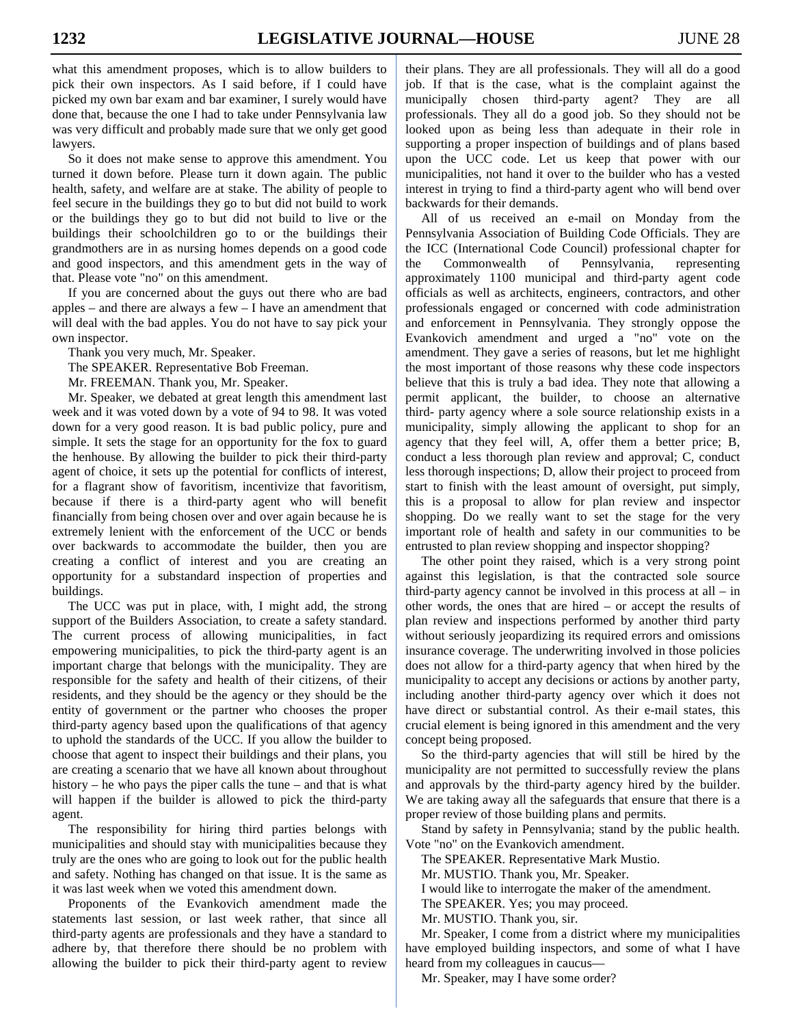what this amendment proposes, which is to allow builders to pick their own inspectors. As I said before, if I could have picked my own bar exam and bar examiner, I surely would have done that, because the one I had to take under Pennsylvania law was very difficult and probably made sure that we only get good lawyers.

 So it does not make sense to approve this amendment. You turned it down before. Please turn it down again. The public health, safety, and welfare are at stake. The ability of people to feel secure in the buildings they go to but did not build to work or the buildings they go to but did not build to live or the buildings their schoolchildren go to or the buildings their grandmothers are in as nursing homes depends on a good code and good inspectors, and this amendment gets in the way of that. Please vote "no" on this amendment.

 If you are concerned about the guys out there who are bad apples – and there are always a few – I have an amendment that will deal with the bad apples. You do not have to say pick your own inspector.

Thank you very much, Mr. Speaker.

The SPEAKER. Representative Bob Freeman.

Mr. FREEMAN. Thank you, Mr. Speaker.

 Mr. Speaker, we debated at great length this amendment last week and it was voted down by a vote of 94 to 98. It was voted down for a very good reason. It is bad public policy, pure and simple. It sets the stage for an opportunity for the fox to guard the henhouse. By allowing the builder to pick their third-party agent of choice, it sets up the potential for conflicts of interest, for a flagrant show of favoritism, incentivize that favoritism, because if there is a third-party agent who will benefit financially from being chosen over and over again because he is extremely lenient with the enforcement of the UCC or bends over backwards to accommodate the builder, then you are creating a conflict of interest and you are creating an opportunity for a substandard inspection of properties and buildings.

 The UCC was put in place, with, I might add, the strong support of the Builders Association, to create a safety standard. The current process of allowing municipalities, in fact empowering municipalities, to pick the third-party agent is an important charge that belongs with the municipality. They are responsible for the safety and health of their citizens, of their residents, and they should be the agency or they should be the entity of government or the partner who chooses the proper third-party agency based upon the qualifications of that agency to uphold the standards of the UCC. If you allow the builder to choose that agent to inspect their buildings and their plans, you are creating a scenario that we have all known about throughout history – he who pays the piper calls the tune – and that is what will happen if the builder is allowed to pick the third-party agent.

 The responsibility for hiring third parties belongs with municipalities and should stay with municipalities because they truly are the ones who are going to look out for the public health and safety. Nothing has changed on that issue. It is the same as it was last week when we voted this amendment down.

 Proponents of the Evankovich amendment made the statements last session, or last week rather, that since all third-party agents are professionals and they have a standard to adhere by, that therefore there should be no problem with allowing the builder to pick their third-party agent to review

their plans. They are all professionals. They will all do a good job. If that is the case, what is the complaint against the municipally chosen third-party agent? They are all professionals. They all do a good job. So they should not be looked upon as being less than adequate in their role in supporting a proper inspection of buildings and of plans based upon the UCC code. Let us keep that power with our municipalities, not hand it over to the builder who has a vested interest in trying to find a third-party agent who will bend over backwards for their demands.

 All of us received an e-mail on Monday from the Pennsylvania Association of Building Code Officials. They are the ICC (International Code Council) professional chapter for the Commonwealth of Pennsylvania, representing approximately 1100 municipal and third-party agent code officials as well as architects, engineers, contractors, and other professionals engaged or concerned with code administration and enforcement in Pennsylvania. They strongly oppose the Evankovich amendment and urged a "no" vote on the amendment. They gave a series of reasons, but let me highlight the most important of those reasons why these code inspectors believe that this is truly a bad idea. They note that allowing a permit applicant, the builder, to choose an alternative third- party agency where a sole source relationship exists in a municipality, simply allowing the applicant to shop for an agency that they feel will, A, offer them a better price; B, conduct a less thorough plan review and approval; C, conduct less thorough inspections; D, allow their project to proceed from start to finish with the least amount of oversight, put simply, this is a proposal to allow for plan review and inspector shopping. Do we really want to set the stage for the very important role of health and safety in our communities to be entrusted to plan review shopping and inspector shopping?

 The other point they raised, which is a very strong point against this legislation, is that the contracted sole source third-party agency cannot be involved in this process at all  $-$  in other words, the ones that are hired – or accept the results of plan review and inspections performed by another third party without seriously jeopardizing its required errors and omissions insurance coverage. The underwriting involved in those policies does not allow for a third-party agency that when hired by the municipality to accept any decisions or actions by another party, including another third-party agency over which it does not have direct or substantial control. As their e-mail states, this crucial element is being ignored in this amendment and the very concept being proposed.

 So the third-party agencies that will still be hired by the municipality are not permitted to successfully review the plans and approvals by the third-party agency hired by the builder. We are taking away all the safeguards that ensure that there is a proper review of those building plans and permits.

 Stand by safety in Pennsylvania; stand by the public health. Vote "no" on the Evankovich amendment.

The SPEAKER. Representative Mark Mustio.

Mr. MUSTIO. Thank you, Mr. Speaker.

I would like to interrogate the maker of the amendment.

The SPEAKER. Yes; you may proceed.

Mr. MUSTIO. Thank you, sir.

 Mr. Speaker, I come from a district where my municipalities have employed building inspectors, and some of what I have heard from my colleagues in caucus—

Mr. Speaker, may I have some order?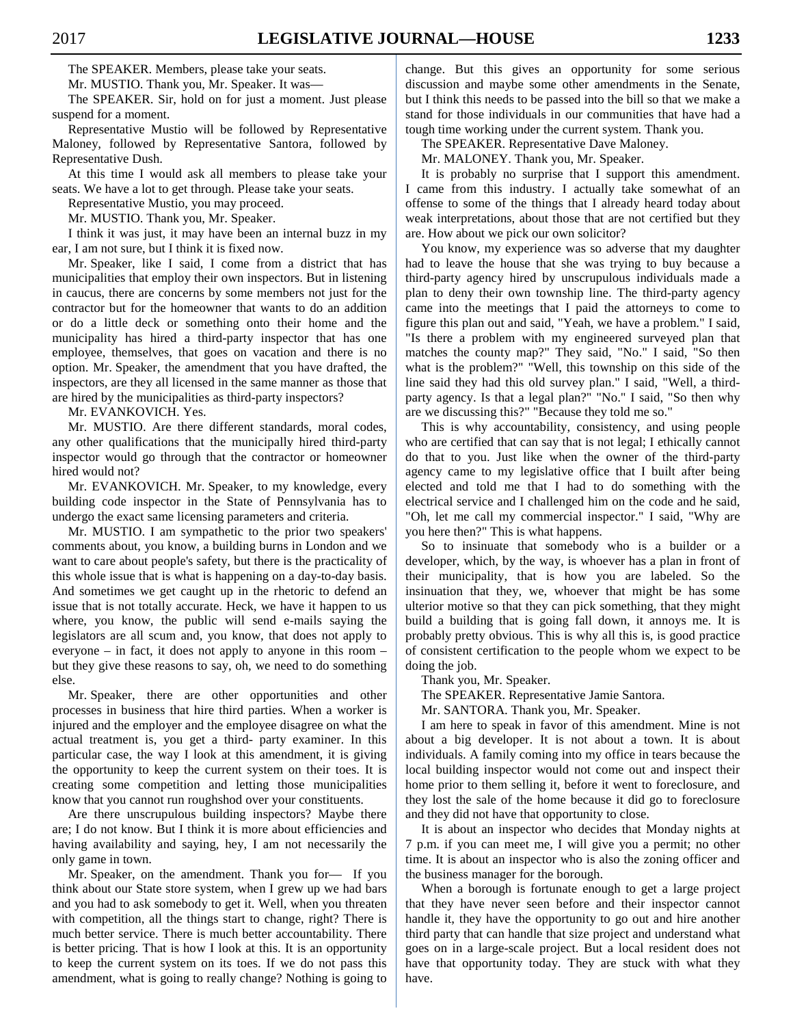The SPEAKER. Members, please take your seats.

Mr. MUSTIO. Thank you, Mr. Speaker. It was—

 The SPEAKER. Sir, hold on for just a moment. Just please suspend for a moment.

 Representative Mustio will be followed by Representative Maloney, followed by Representative Santora, followed by Representative Dush.

 At this time I would ask all members to please take your seats. We have a lot to get through. Please take your seats.

Representative Mustio, you may proceed.

Mr. MUSTIO. Thank you, Mr. Speaker.

 I think it was just, it may have been an internal buzz in my ear, I am not sure, but I think it is fixed now.

 Mr. Speaker, like I said, I come from a district that has municipalities that employ their own inspectors. But in listening in caucus, there are concerns by some members not just for the contractor but for the homeowner that wants to do an addition or do a little deck or something onto their home and the municipality has hired a third-party inspector that has one employee, themselves, that goes on vacation and there is no option. Mr. Speaker, the amendment that you have drafted, the inspectors, are they all licensed in the same manner as those that are hired by the municipalities as third-party inspectors?

Mr. EVANKOVICH. Yes.

 Mr. MUSTIO. Are there different standards, moral codes, any other qualifications that the municipally hired third-party inspector would go through that the contractor or homeowner hired would not?

 Mr. EVANKOVICH. Mr. Speaker, to my knowledge, every building code inspector in the State of Pennsylvania has to undergo the exact same licensing parameters and criteria.

 Mr. MUSTIO. I am sympathetic to the prior two speakers' comments about, you know, a building burns in London and we want to care about people's safety, but there is the practicality of this whole issue that is what is happening on a day-to-day basis. And sometimes we get caught up in the rhetoric to defend an issue that is not totally accurate. Heck, we have it happen to us where, you know, the public will send e-mails saying the legislators are all scum and, you know, that does not apply to everyone – in fact, it does not apply to anyone in this room – but they give these reasons to say, oh, we need to do something else.

 Mr. Speaker, there are other opportunities and other processes in business that hire third parties. When a worker is injured and the employer and the employee disagree on what the actual treatment is, you get a third- party examiner. In this particular case, the way I look at this amendment, it is giving the opportunity to keep the current system on their toes. It is creating some competition and letting those municipalities know that you cannot run roughshod over your constituents.

 Are there unscrupulous building inspectors? Maybe there are; I do not know. But I think it is more about efficiencies and having availability and saying, hey, I am not necessarily the only game in town.

 Mr. Speaker, on the amendment. Thank you for— If you think about our State store system, when I grew up we had bars and you had to ask somebody to get it. Well, when you threaten with competition, all the things start to change, right? There is much better service. There is much better accountability. There is better pricing. That is how I look at this. It is an opportunity to keep the current system on its toes. If we do not pass this amendment, what is going to really change? Nothing is going to change. But this gives an opportunity for some serious discussion and maybe some other amendments in the Senate, but I think this needs to be passed into the bill so that we make a stand for those individuals in our communities that have had a tough time working under the current system. Thank you.

The SPEAKER. Representative Dave Maloney.

Mr. MALONEY. Thank you, Mr. Speaker.

 It is probably no surprise that I support this amendment. I came from this industry. I actually take somewhat of an offense to some of the things that I already heard today about weak interpretations, about those that are not certified but they are. How about we pick our own solicitor?

 You know, my experience was so adverse that my daughter had to leave the house that she was trying to buy because a third-party agency hired by unscrupulous individuals made a plan to deny their own township line. The third-party agency came into the meetings that I paid the attorneys to come to figure this plan out and said, "Yeah, we have a problem." I said, "Is there a problem with my engineered surveyed plan that matches the county map?" They said, "No." I said, "So then what is the problem?" "Well, this township on this side of the line said they had this old survey plan." I said, "Well, a thirdparty agency. Is that a legal plan?" "No." I said, "So then why are we discussing this?" "Because they told me so."

 This is why accountability, consistency, and using people who are certified that can say that is not legal; I ethically cannot do that to you. Just like when the owner of the third-party agency came to my legislative office that I built after being elected and told me that I had to do something with the electrical service and I challenged him on the code and he said, "Oh, let me call my commercial inspector." I said, "Why are you here then?" This is what happens.

 So to insinuate that somebody who is a builder or a developer, which, by the way, is whoever has a plan in front of their municipality, that is how you are labeled. So the insinuation that they, we, whoever that might be has some ulterior motive so that they can pick something, that they might build a building that is going fall down, it annoys me. It is probably pretty obvious. This is why all this is, is good practice of consistent certification to the people whom we expect to be doing the job.

Thank you, Mr. Speaker.

The SPEAKER. Representative Jamie Santora.

Mr. SANTORA. Thank you, Mr. Speaker.

 I am here to speak in favor of this amendment. Mine is not about a big developer. It is not about a town. It is about individuals. A family coming into my office in tears because the local building inspector would not come out and inspect their home prior to them selling it, before it went to foreclosure, and they lost the sale of the home because it did go to foreclosure and they did not have that opportunity to close.

 It is about an inspector who decides that Monday nights at 7 p.m. if you can meet me, I will give you a permit; no other time. It is about an inspector who is also the zoning officer and the business manager for the borough.

 When a borough is fortunate enough to get a large project that they have never seen before and their inspector cannot handle it, they have the opportunity to go out and hire another third party that can handle that size project and understand what goes on in a large-scale project. But a local resident does not have that opportunity today. They are stuck with what they have.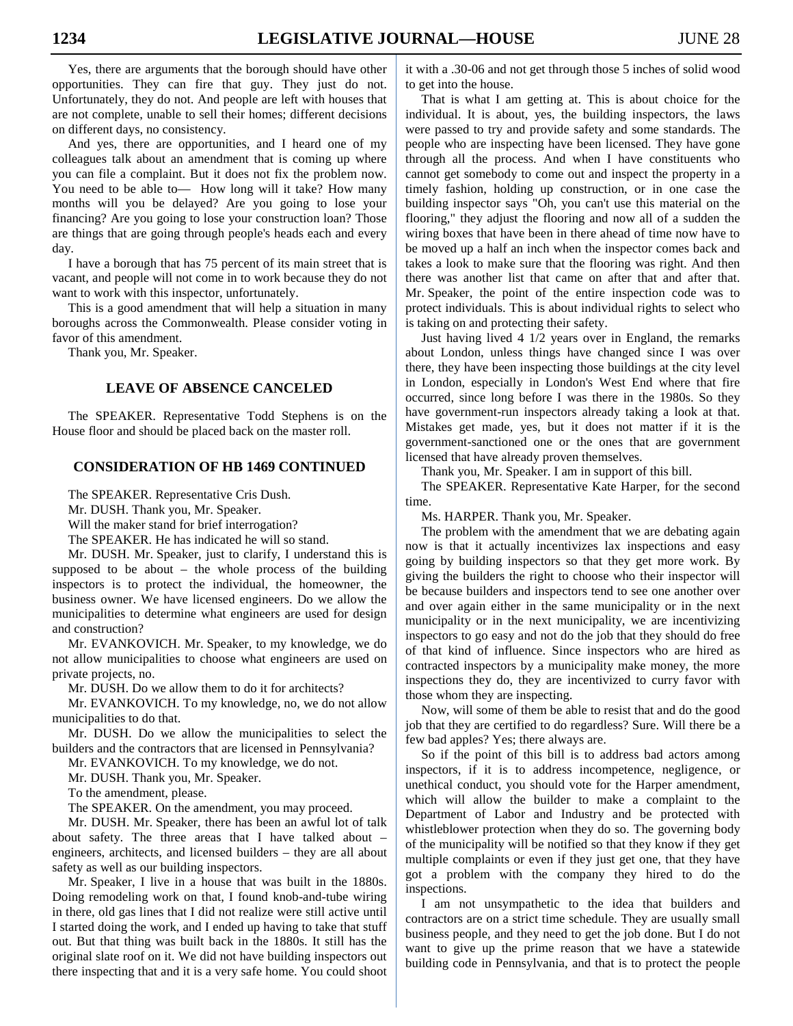Yes, there are arguments that the borough should have other opportunities. They can fire that guy. They just do not. Unfortunately, they do not. And people are left with houses that are not complete, unable to sell their homes; different decisions on different days, no consistency.

 And yes, there are opportunities, and I heard one of my colleagues talk about an amendment that is coming up where you can file a complaint. But it does not fix the problem now. You need to be able to- How long will it take? How many months will you be delayed? Are you going to lose your financing? Are you going to lose your construction loan? Those are things that are going through people's heads each and every day.

 I have a borough that has 75 percent of its main street that is vacant, and people will not come in to work because they do not want to work with this inspector, unfortunately.

 This is a good amendment that will help a situation in many boroughs across the Commonwealth. Please consider voting in favor of this amendment.

Thank you, Mr. Speaker.

# **LEAVE OF ABSENCE CANCELED**

 The SPEAKER. Representative Todd Stephens is on the House floor and should be placed back on the master roll.

# **CONSIDERATION OF HB 1469 CONTINUED**

The SPEAKER. Representative Cris Dush.

Mr. DUSH. Thank you, Mr. Speaker.

Will the maker stand for brief interrogation?

The SPEAKER. He has indicated he will so stand.

 Mr. DUSH. Mr. Speaker, just to clarify, I understand this is supposed to be about – the whole process of the building inspectors is to protect the individual, the homeowner, the business owner. We have licensed engineers. Do we allow the municipalities to determine what engineers are used for design and construction?

 Mr. EVANKOVICH. Mr. Speaker, to my knowledge, we do not allow municipalities to choose what engineers are used on private projects, no.

Mr. DUSH. Do we allow them to do it for architects?

 Mr. EVANKOVICH. To my knowledge, no, we do not allow municipalities to do that.

 Mr. DUSH. Do we allow the municipalities to select the builders and the contractors that are licensed in Pennsylvania?

Mr. EVANKOVICH. To my knowledge, we do not.

Mr. DUSH. Thank you, Mr. Speaker.

To the amendment, please.

The SPEAKER. On the amendment, you may proceed.

 Mr. DUSH. Mr. Speaker, there has been an awful lot of talk about safety. The three areas that I have talked about – engineers, architects, and licensed builders – they are all about safety as well as our building inspectors.

 Mr. Speaker, I live in a house that was built in the 1880s. Doing remodeling work on that, I found knob-and-tube wiring in there, old gas lines that I did not realize were still active until I started doing the work, and I ended up having to take that stuff out. But that thing was built back in the 1880s. It still has the original slate roof on it. We did not have building inspectors out there inspecting that and it is a very safe home. You could shoot it with a .30-06 and not get through those 5 inches of solid wood to get into the house.

 That is what I am getting at. This is about choice for the individual. It is about, yes, the building inspectors, the laws were passed to try and provide safety and some standards. The people who are inspecting have been licensed. They have gone through all the process. And when I have constituents who cannot get somebody to come out and inspect the property in a timely fashion, holding up construction, or in one case the building inspector says "Oh, you can't use this material on the flooring," they adjust the flooring and now all of a sudden the wiring boxes that have been in there ahead of time now have to be moved up a half an inch when the inspector comes back and takes a look to make sure that the flooring was right. And then there was another list that came on after that and after that. Mr. Speaker, the point of the entire inspection code was to protect individuals. This is about individual rights to select who is taking on and protecting their safety.

 Just having lived 4 1/2 years over in England, the remarks about London, unless things have changed since I was over there, they have been inspecting those buildings at the city level in London, especially in London's West End where that fire occurred, since long before I was there in the 1980s. So they have government-run inspectors already taking a look at that. Mistakes get made, yes, but it does not matter if it is the government-sanctioned one or the ones that are government licensed that have already proven themselves.

Thank you, Mr. Speaker. I am in support of this bill.

 The SPEAKER. Representative Kate Harper, for the second time.

Ms. HARPER. Thank you, Mr. Speaker.

 The problem with the amendment that we are debating again now is that it actually incentivizes lax inspections and easy going by building inspectors so that they get more work. By giving the builders the right to choose who their inspector will be because builders and inspectors tend to see one another over and over again either in the same municipality or in the next municipality or in the next municipality, we are incentivizing inspectors to go easy and not do the job that they should do free of that kind of influence. Since inspectors who are hired as contracted inspectors by a municipality make money, the more inspections they do, they are incentivized to curry favor with those whom they are inspecting.

 Now, will some of them be able to resist that and do the good job that they are certified to do regardless? Sure. Will there be a few bad apples? Yes; there always are.

 So if the point of this bill is to address bad actors among inspectors, if it is to address incompetence, negligence, or unethical conduct, you should vote for the Harper amendment, which will allow the builder to make a complaint to the Department of Labor and Industry and be protected with whistleblower protection when they do so. The governing body of the municipality will be notified so that they know if they get multiple complaints or even if they just get one, that they have got a problem with the company they hired to do the inspections.

 I am not unsympathetic to the idea that builders and contractors are on a strict time schedule. They are usually small business people, and they need to get the job done. But I do not want to give up the prime reason that we have a statewide building code in Pennsylvania, and that is to protect the people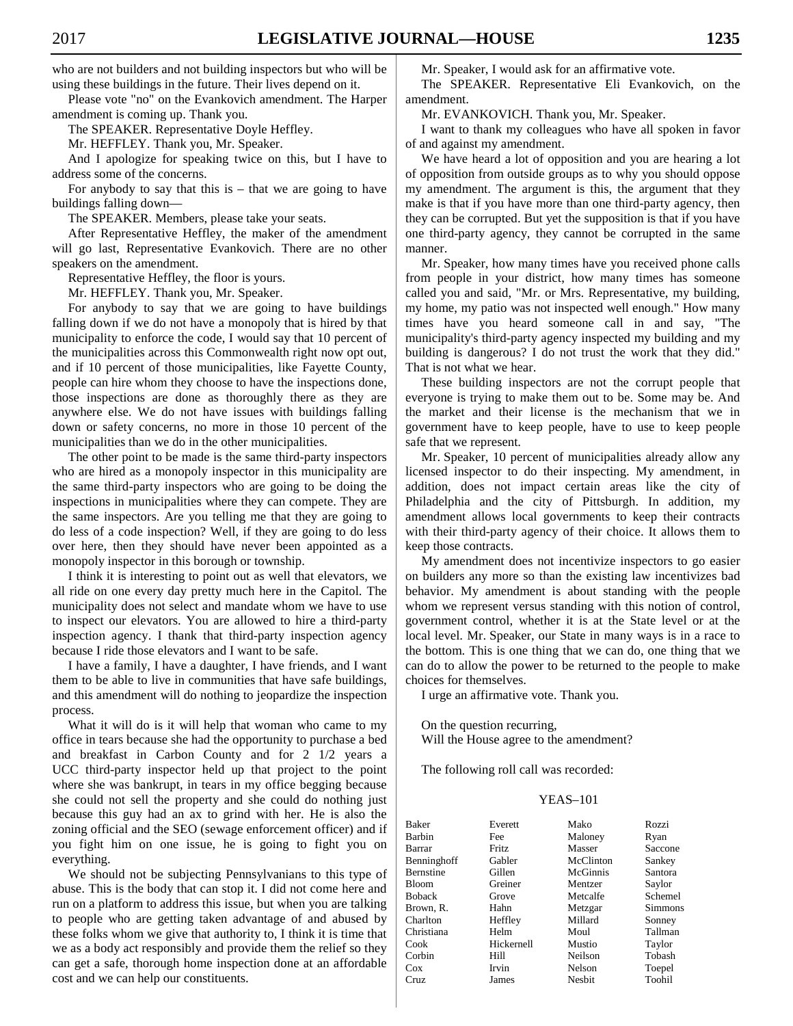who are not builders and not building inspectors but who will be using these buildings in the future. Their lives depend on it.

 Please vote "no" on the Evankovich amendment. The Harper amendment is coming up. Thank you.

The SPEAKER. Representative Doyle Heffley.

Mr. HEFFLEY. Thank you, Mr. Speaker.

 And I apologize for speaking twice on this, but I have to address some of the concerns.

For anybody to say that this  $is - that we are going to have$ buildings falling down—

The SPEAKER. Members, please take your seats.

 After Representative Heffley, the maker of the amendment will go last, Representative Evankovich. There are no other speakers on the amendment.

Representative Heffley, the floor is yours.

Mr. HEFFLEY. Thank you, Mr. Speaker.

 For anybody to say that we are going to have buildings falling down if we do not have a monopoly that is hired by that municipality to enforce the code, I would say that 10 percent of the municipalities across this Commonwealth right now opt out, and if 10 percent of those municipalities, like Fayette County, people can hire whom they choose to have the inspections done, those inspections are done as thoroughly there as they are anywhere else. We do not have issues with buildings falling down or safety concerns, no more in those 10 percent of the municipalities than we do in the other municipalities.

 The other point to be made is the same third-party inspectors who are hired as a monopoly inspector in this municipality are the same third-party inspectors who are going to be doing the inspections in municipalities where they can compete. They are the same inspectors. Are you telling me that they are going to do less of a code inspection? Well, if they are going to do less over here, then they should have never been appointed as a monopoly inspector in this borough or township.

 I think it is interesting to point out as well that elevators, we all ride on one every day pretty much here in the Capitol. The municipality does not select and mandate whom we have to use to inspect our elevators. You are allowed to hire a third-party inspection agency. I thank that third-party inspection agency because I ride those elevators and I want to be safe.

 I have a family, I have a daughter, I have friends, and I want them to be able to live in communities that have safe buildings, and this amendment will do nothing to jeopardize the inspection process.

 What it will do is it will help that woman who came to my office in tears because she had the opportunity to purchase a bed and breakfast in Carbon County and for 2 1/2 years a UCC third-party inspector held up that project to the point where she was bankrupt, in tears in my office begging because she could not sell the property and she could do nothing just because this guy had an ax to grind with her. He is also the zoning official and the SEO (sewage enforcement officer) and if you fight him on one issue, he is going to fight you on everything.

 We should not be subjecting Pennsylvanians to this type of abuse. This is the body that can stop it. I did not come here and run on a platform to address this issue, but when you are talking to people who are getting taken advantage of and abused by these folks whom we give that authority to, I think it is time that we as a body act responsibly and provide them the relief so they can get a safe, thorough home inspection done at an affordable cost and we can help our constituents.

Mr. Speaker, I would ask for an affirmative vote.

 The SPEAKER. Representative Eli Evankovich, on the amendment.

Mr. EVANKOVICH. Thank you, Mr. Speaker.

 I want to thank my colleagues who have all spoken in favor of and against my amendment.

 We have heard a lot of opposition and you are hearing a lot of opposition from outside groups as to why you should oppose my amendment. The argument is this, the argument that they make is that if you have more than one third-party agency, then they can be corrupted. But yet the supposition is that if you have one third-party agency, they cannot be corrupted in the same manner.

 Mr. Speaker, how many times have you received phone calls from people in your district, how many times has someone called you and said, "Mr. or Mrs. Representative, my building, my home, my patio was not inspected well enough." How many times have you heard someone call in and say, "The municipality's third-party agency inspected my building and my building is dangerous? I do not trust the work that they did." That is not what we hear.

 These building inspectors are not the corrupt people that everyone is trying to make them out to be. Some may be. And the market and their license is the mechanism that we in government have to keep people, have to use to keep people safe that we represent.

 Mr. Speaker, 10 percent of municipalities already allow any licensed inspector to do their inspecting. My amendment, in addition, does not impact certain areas like the city of Philadelphia and the city of Pittsburgh. In addition, my amendment allows local governments to keep their contracts with their third-party agency of their choice. It allows them to keep those contracts.

 My amendment does not incentivize inspectors to go easier on builders any more so than the existing law incentivizes bad behavior. My amendment is about standing with the people whom we represent versus standing with this notion of control, government control, whether it is at the State level or at the local level. Mr. Speaker, our State in many ways is in a race to the bottom. This is one thing that we can do, one thing that we can do to allow the power to be returned to the people to make choices for themselves.

I urge an affirmative vote. Thank you.

 On the question recurring, Will the House agree to the amendment?

The following roll call was recorded:

#### YEAS–101

| <b>Baker</b>     | Everett    | Mako          | Rozzi   |
|------------------|------------|---------------|---------|
| Barbin           | Fee        | Maloney       | Ryan    |
| Barrar           | Fritz      | Masser        | Saccone |
| Benninghoff      | Gabler     | McClinton     | Sankey  |
| <b>Bernstine</b> | Gillen     | McGinnis      | Santora |
| <b>Bloom</b>     | Greiner    | Mentzer       | Saylor  |
| <b>Boback</b>    | Grove      | Metcalfe      | Schemel |
| Brown, R.        | Hahn       | Metzgar       | Simmons |
| Charlton         | Heffley    | Millard       | Sonney  |
| Christiana       | Helm       | Moul          | Tallman |
| Cook             | Hickernell | Mustio        | Taylor  |
| Corbin           | Hill       | Neilson       | Tobash  |
| Cox              | Irvin      | Nelson        | Toepel  |
| Cruz             | James      | <b>Nesbit</b> | Toohil  |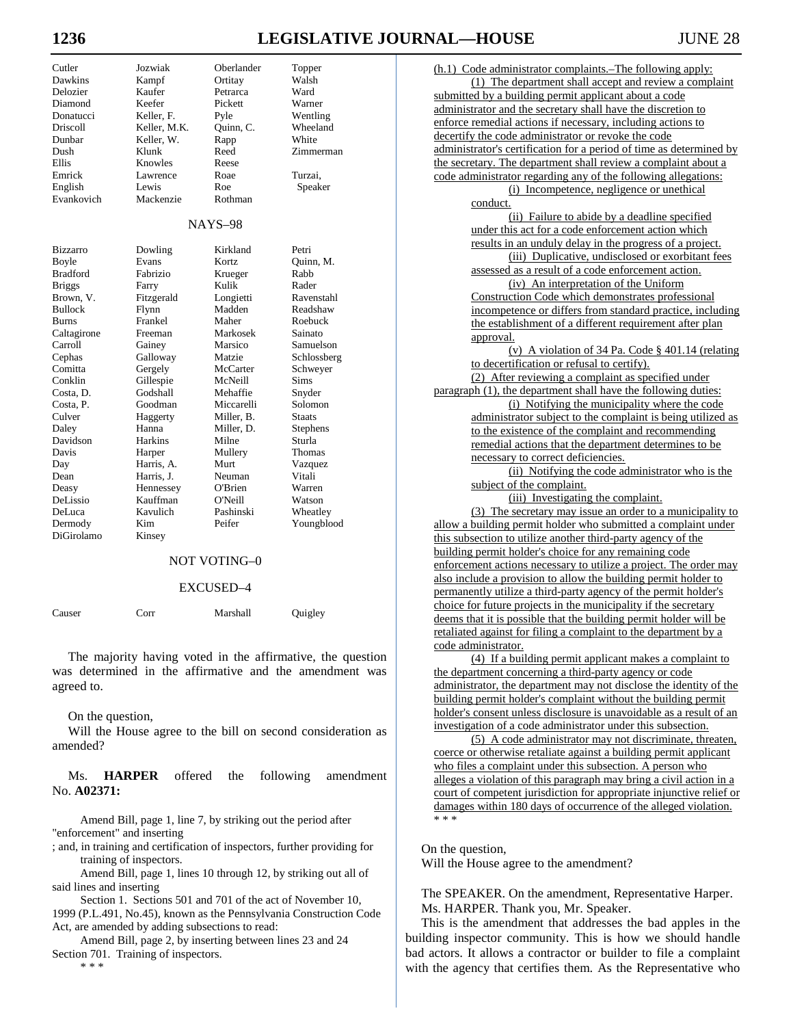# **1236 LEGISLATIVE JOURNAL—HOUSE** JUNE 28

| Cutler          | Jozwiak      | Oberlander | Topper      |
|-----------------|--------------|------------|-------------|
| Dawkins         | Kampf        | Ortitay    | Walsh       |
| Delozier        | Kaufer       | Petrarca   | Ward        |
| Diamond         | Keefer       | Pickett    | Warner      |
| Donatucci       | Keller, F.   | Pyle       | Wentling    |
| Driscoll        | Keller, M.K. | Quinn, C.  | Wheeland    |
| Dunbar          | Keller, W.   | Rapp       | White       |
| Dush            | Klunk        | Reed       | Zimmerman   |
| Ellis           | Knowles      | Reese      |             |
| Emrick          | Lawrence     | Roae       | Turzai,     |
| English         | Lewis        | Roe        | Speaker     |
| Evankovich      | Mackenzie    | Rothman    |             |
|                 |              | NAYS-98    |             |
| Bizzarro        | Dowling      | Kirkland   | Petri       |
| Boyle           | Evans        | Kortz      | Quinn, M.   |
| <b>Bradford</b> | Fabrizio     | Krueger    | Rabb        |
| <b>Briggs</b>   | Farry        | Kulik      | Rader       |
| Brown, V.       | Fitzgerald   | Longietti  | Ravenstahl  |
| <b>Bullock</b>  | Flynn        | Madden     | Readshaw    |
| Burns           | Frankel      | Maher      | Roebuck     |
| Caltagirone     | Freeman      | Markosek   | Sainato     |
| Carroll         | Gainey       | Marsico    | Samuelson   |
| Cephas          | Galloway     | Matzie     | Schlossberg |
| Comitta         | Gergely      | McCarter   | Schweyer    |
| Conklin         | Gillespie    | McNeill    | Sims        |
| Costa, D.       | Godshall     | Mehaffie   | Snyder      |
| Costa, P.       | Goodman      | Miccarelli | Solomon     |
| Culver          | Haggerty     | Miller, B. | Staats      |
| Daley           | Hanna        | Miller, D. | Stephens    |
| Davidson        | Harkins      | Milne      | Sturla      |
| Davis           | Harper       | Mullery    | Thomas      |
| Day             | Harris, A.   | Murt       | Vazquez     |
| Dean            | Harris, J.   | Neuman     | Vitali      |
| Deasy           | Hennessey    | O'Brien    | Warren      |
| DeLissio        | Kauffman     | O'Neill    | Watson      |
| DeLuca          | Kavulich     | Pashinski  | Wheatley    |
| Dermody         | Kim          | Peifer     | Youngblood  |
| DiGirolamo      | Kinsey       |            |             |
|                 |              |            |             |

### NOT VOTING–0

#### EXCUSED–4

| Quigley |
|---------|
|         |

 The majority having voted in the affirmative, the question was determined in the affirmative and the amendment was agreed to.

On the question,

 Will the House agree to the bill on second consideration as amended?

 Ms. **HARPER** offered the following amendment No. **A02371:**

Amend Bill, page 1, line 7, by striking out the period after "enforcement" and inserting

; and, in training and certification of inspectors, further providing for training of inspectors.

Amend Bill, page 1, lines 10 through 12, by striking out all of said lines and inserting

Section 1. Sections 501 and 701 of the act of November 10, 1999 (P.L.491, No.45), known as the Pennsylvania Construction Code Act, are amended by adding subsections to read:

Amend Bill, page 2, by inserting between lines 23 and 24 Section 701. Training of inspectors. \* \* \*

(h.1) Code administrator complaints.–The following apply: (1) The department shall accept and review a complaint submitted by a building permit applicant about a code administrator and the secretary shall have the discretion to enforce remedial actions if necessary, including actions to decertify the code administrator or revoke the code administrator's certification for a period of time as determined by the secretary. The department shall review a complaint about a code administrator regarding any of the following allegations: (i) Incompetence, negligence or unethical

conduct.

(ii) Failure to abide by a deadline specified under this act for a code enforcement action which results in an unduly delay in the progress of a project.

(iii) Duplicative, undisclosed or exorbitant fees assessed as a result of a code enforcement action.

(iv) An interpretation of the Uniform Construction Code which demonstrates professional incompetence or differs from standard practice, including the establishment of a different requirement after plan approval.

(v) A violation of 34 Pa. Code § 401.14 (relating to decertification or refusal to certify). (2) After reviewing a complaint as specified under

paragraph (1), the department shall have the following duties: (i) Notifying the municipality where the code

administrator subject to the complaint is being utilized as to the existence of the complaint and recommending remedial actions that the department determines to be necessary to correct deficiencies.

(ii) Notifying the code administrator who is the subject of the complaint.

(iii) Investigating the complaint.

(3) The secretary may issue an order to a municipality to allow a building permit holder who submitted a complaint under this subsection to utilize another third-party agency of the building permit holder's choice for any remaining code enforcement actions necessary to utilize a project. The order may also include a provision to allow the building permit holder to permanently utilize a third-party agency of the permit holder's choice for future projects in the municipality if the secretary deems that it is possible that the building permit holder will be retaliated against for filing a complaint to the department by a code administrator.

(4) If a building permit applicant makes a complaint to the department concerning a third-party agency or code administrator, the department may not disclose the identity of the building permit holder's complaint without the building permit holder's consent unless disclosure is unavoidable as a result of an investigation of a code administrator under this subsection.

(5) A code administrator may not discriminate, threaten, coerce or otherwise retaliate against a building permit applicant who files a complaint under this subsection. A person who alleges a violation of this paragraph may bring a civil action in a court of competent jurisdiction for appropriate injunctive relief or damages within 180 days of occurrence of the alleged violation. \* \* \*

On the question,

Will the House agree to the amendment?

 The SPEAKER. On the amendment, Representative Harper. Ms. HARPER. Thank you, Mr. Speaker.

 This is the amendment that addresses the bad apples in the building inspector community. This is how we should handle bad actors. It allows a contractor or builder to file a complaint with the agency that certifies them. As the Representative who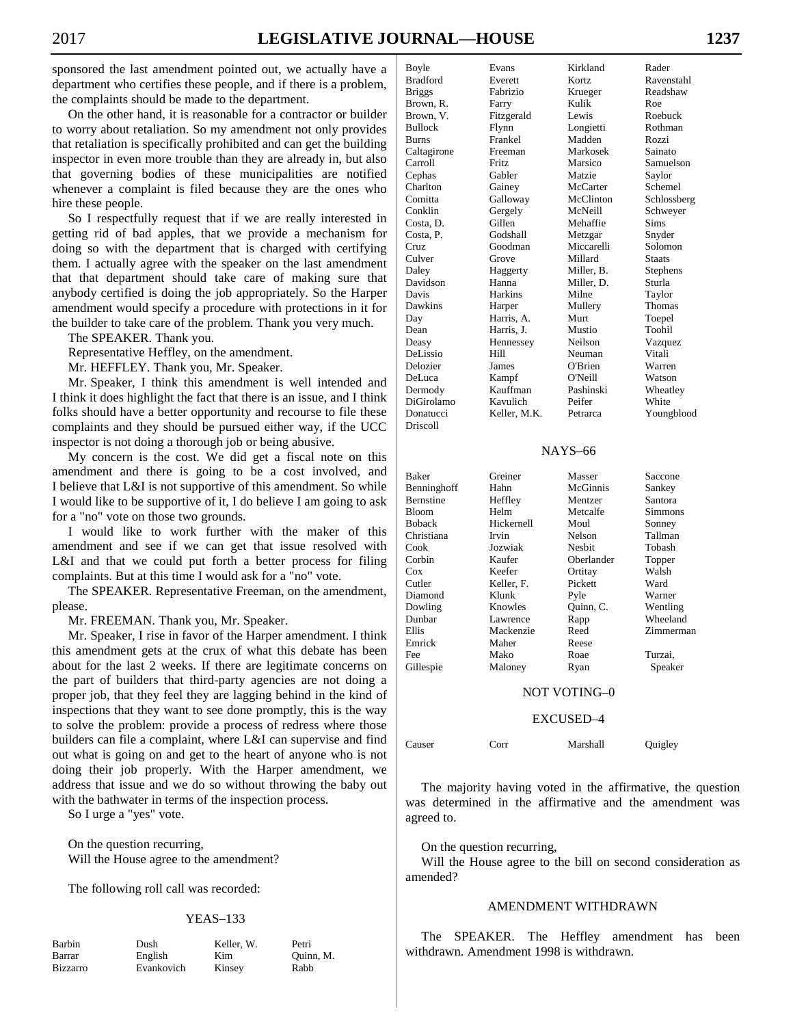sponsored the last amendment pointed out, we actually have a department who certifies these people, and if there is a problem, the complaints should be made to the department.

 On the other hand, it is reasonable for a contractor or builder to worry about retaliation. So my amendment not only provides that retaliation is specifically prohibited and can get the building inspector in even more trouble than they are already in, but also that governing bodies of these municipalities are notified whenever a complaint is filed because they are the ones who hire these people.

 So I respectfully request that if we are really interested in getting rid of bad apples, that we provide a mechanism for doing so with the department that is charged with certifying them. I actually agree with the speaker on the last amendment that that department should take care of making sure that anybody certified is doing the job appropriately. So the Harper amendment would specify a procedure with protections in it for the builder to take care of the problem. Thank you very much.

The SPEAKER. Thank you.

Representative Heffley, on the amendment.

Mr. HEFFLEY. Thank you, Mr. Speaker.

 Mr. Speaker, I think this amendment is well intended and I think it does highlight the fact that there is an issue, and I think folks should have a better opportunity and recourse to file these complaints and they should be pursued either way, if the UCC inspector is not doing a thorough job or being abusive.

 My concern is the cost. We did get a fiscal note on this amendment and there is going to be a cost involved, and I believe that L&I is not supportive of this amendment. So while I would like to be supportive of it, I do believe I am going to ask for a "no" vote on those two grounds.

 I would like to work further with the maker of this amendment and see if we can get that issue resolved with L&I and that we could put forth a better process for filing complaints. But at this time I would ask for a "no" vote.

 The SPEAKER. Representative Freeman, on the amendment, please.

Mr. FREEMAN. Thank you, Mr. Speaker.

 Mr. Speaker, I rise in favor of the Harper amendment. I think this amendment gets at the crux of what this debate has been about for the last 2 weeks. If there are legitimate concerns on the part of builders that third-party agencies are not doing a proper job, that they feel they are lagging behind in the kind of inspections that they want to see done promptly, this is the way to solve the problem: provide a process of redress where those builders can file a complaint, where L&I can supervise and find out what is going on and get to the heart of anyone who is not doing their job properly. With the Harper amendment, we address that issue and we do so without throwing the baby out with the bathwater in terms of the inspection process.

So I urge a "yes" vote.

 On the question recurring, Will the House agree to the amendment?

The following roll call was recorded:

#### YEAS–133

| <b>Barbin</b>   |
|-----------------|
| Barrar          |
| <b>Bizzarro</b> |

Dush Keller, W. Petri English Kim Quinn, M. Evankovich Kinsey Rabb

| Boyle           | Evans        | Kirkland   | Rader         |
|-----------------|--------------|------------|---------------|
| <b>Bradford</b> | Everett      | Kortz      | Ravenstahl    |
| <b>Briggs</b>   | Fabrizio     | Krueger    | Readshaw      |
| Brown, R.       | Farry        | Kulik      | Roe           |
| Brown, V.       | Fitzgerald   | Lewis      | Roebuck       |
| Bullock         | Flynn        | Longietti  | Rothman       |
| Burns           | Frankel      | Madden     | Rozzi         |
| Caltagirone     | Freeman      | Markosek   | Sainato       |
| Carroll         | <b>Fritz</b> | Marsico    | Samuelson     |
| Cephas          | Gabler       | Matzie     | Saylor        |
| Charlton        | Gainey       | McCarter   | Schemel       |
| Comitta         | Galloway     | McClinton  | Schlossberg   |
| Conklin         | Gergely      | McNeill    | Schweyer      |
| Costa, D.       | Gillen       | Mehaffie   | Sims          |
| Costa, P.       | Godshall     | Metzgar    | Snyder        |
| Cruz            | Goodman      | Miccarelli | Solomon       |
| Culver          | Grove        | Millard    | <b>Staats</b> |
| Daley           | Haggerty     | Miller, B. | Stephens      |
| Davidson        | Hanna        | Miller, D. | Sturla        |
| Davis           | Harkins      | Milne      | Taylor        |
| Dawkins         | Harper       | Mullery    | Thomas        |
| Day             | Harris, A.   | Murt       | Toepel        |
| Dean            | Harris, J.   | Mustio     | Toohil        |
| Deasy           | Hennessey    | Neilson    | Vazquez       |
| DeLissio        | Hill         | Neuman     | Vitali        |
| Delozier        | James        | O'Brien    | Warren        |
| DeLuca          | Kampf        | O'Neill    | Watson        |
| Dermody         | Kauffman     | Pashinski  | Wheatley      |
| DiGirolamo      | Kavulich     | Peifer     | White         |
| Donatucci       | Keller, M.K. | Petrarca   | Youngblood    |
| Driscoll        |              |            |               |
|                 |              |            |               |
|                 |              | NAYS-66    |               |

# Baker Greiner Masser Saccone Benninghoff Hahn McGinnis Sankey<br>Bernstine Heffley Mentzer Santora Bernstine Bloom Helm Metcalfe Simmons Boback Hickernell Moul Sonney Christiana Irvin Nelson Tallman Jozwiak Corbin Kaufer Oberlander Topper Cox Keefer Ortitay Walsh Cutler Keller, F. Pickett Ward Diamond Klunk Pyle Warner Dowling Knowles Quinn, C. Wentling<br>
Dunbar Lawrence Rapp Wheeland Wheeland Ellis Mackenzie Reed Zimmerman Emrick Maher Reese Fee Mako Roae Turzai, Gillespie Maloney Ryan Speaker NOT VOTING–0 EXCUSED–4 Causer Corr Marshall Quigley

 The majority having voted in the affirmative, the question was determined in the affirmative and the amendment was agreed to.

On the question recurring,

 Will the House agree to the bill on second consideration as amended?

#### AMENDMENT WITHDRAWN

 The SPEAKER. The Heffley amendment has been withdrawn. Amendment 1998 is withdrawn.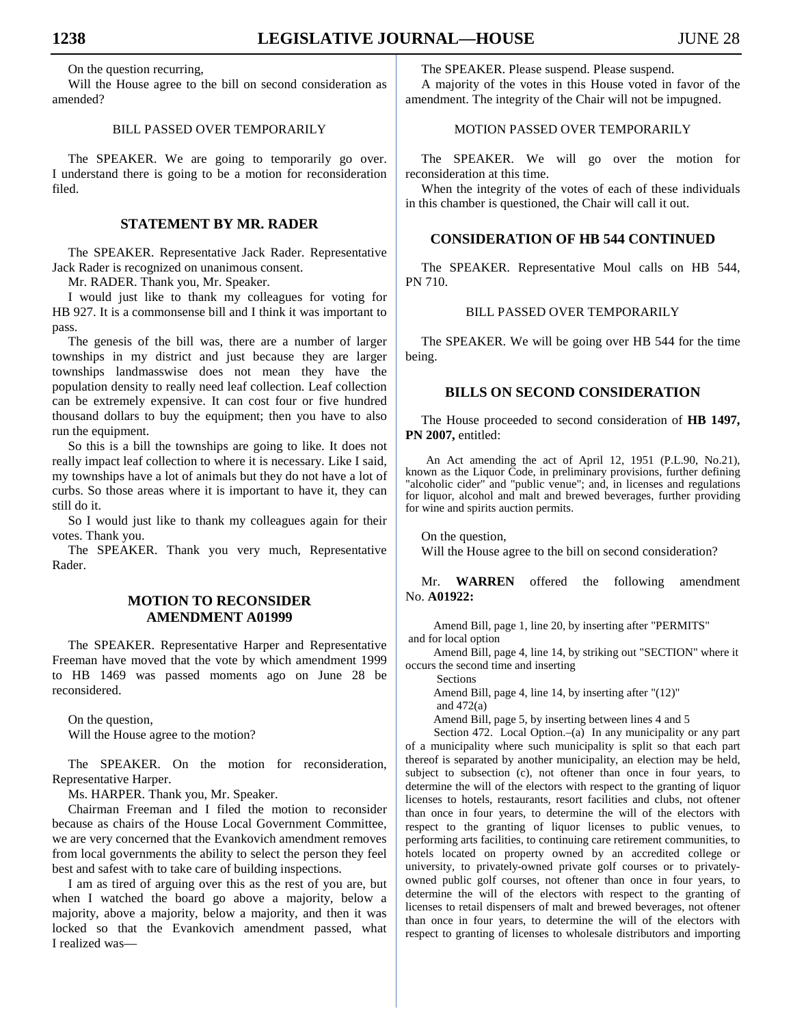On the question recurring,

 Will the House agree to the bill on second consideration as amended?

# BILL PASSED OVER TEMPORARILY

 The SPEAKER. We are going to temporarily go over. I understand there is going to be a motion for reconsideration filed.

# **STATEMENT BY MR. RADER**

 The SPEAKER. Representative Jack Rader. Representative Jack Rader is recognized on unanimous consent.

Mr. RADER. Thank you, Mr. Speaker.

 I would just like to thank my colleagues for voting for HB 927. It is a commonsense bill and I think it was important to pass.

 The genesis of the bill was, there are a number of larger townships in my district and just because they are larger townships landmasswise does not mean they have the population density to really need leaf collection. Leaf collection can be extremely expensive. It can cost four or five hundred thousand dollars to buy the equipment; then you have to also run the equipment.

 So this is a bill the townships are going to like. It does not really impact leaf collection to where it is necessary. Like I said, my townships have a lot of animals but they do not have a lot of curbs. So those areas where it is important to have it, they can still do it.

 So I would just like to thank my colleagues again for their votes. Thank you.

 The SPEAKER. Thank you very much, Representative Rader.

# **MOTION TO RECONSIDER AMENDMENT A01999**

 The SPEAKER. Representative Harper and Representative Freeman have moved that the vote by which amendment 1999 to HB 1469 was passed moments ago on June 28 be reconsidered.

 On the question, Will the House agree to the motion?

 The SPEAKER. On the motion for reconsideration, Representative Harper.

Ms. HARPER. Thank you, Mr. Speaker.

 Chairman Freeman and I filed the motion to reconsider because as chairs of the House Local Government Committee, we are very concerned that the Evankovich amendment removes from local governments the ability to select the person they feel best and safest with to take care of building inspections.

 I am as tired of arguing over this as the rest of you are, but when I watched the board go above a majority, below a majority, above a majority, below a majority, and then it was locked so that the Evankovich amendment passed, what I realized wasThe SPEAKER. Please suspend. Please suspend.

 A majority of the votes in this House voted in favor of the amendment. The integrity of the Chair will not be impugned.

# MOTION PASSED OVER TEMPORARILY

 The SPEAKER. We will go over the motion for reconsideration at this time.

 When the integrity of the votes of each of these individuals in this chamber is questioned, the Chair will call it out.

# **CONSIDERATION OF HB 544 CONTINUED**

 The SPEAKER. Representative Moul calls on HB 544, PN 710.

### BILL PASSED OVER TEMPORARILY

 The SPEAKER. We will be going over HB 544 for the time being.

# **BILLS ON SECOND CONSIDERATION**

 The House proceeded to second consideration of **HB 1497, PN 2007,** entitled:

An Act amending the act of April 12, 1951 (P.L.90, No.21), known as the Liquor Code, in preliminary provisions, further defining "alcoholic cider" and "public venue"; and, in licenses and regulations for liquor, alcohol and malt and brewed beverages, further providing for wine and spirits auction permits.

On the question. Will the House agree to the bill on second consideration?

 Mr. **WARREN** offered the following amendment No. **A01922:**

Amend Bill, page 1, line 20, by inserting after "PERMITS" and for local option

Amend Bill, page 4, line 14, by striking out "SECTION" where it occurs the second time and inserting

Sections

Amend Bill, page 4, line 14, by inserting after "(12)"

and 472(a)

Amend Bill, page 5, by inserting between lines 4 and 5

Section 472. Local Option.–(a) In any municipality or any part of a municipality where such municipality is split so that each part thereof is separated by another municipality, an election may be held, subject to subsection (c), not oftener than once in four years, to determine the will of the electors with respect to the granting of liquor licenses to hotels, restaurants, resort facilities and clubs, not oftener than once in four years, to determine the will of the electors with respect to the granting of liquor licenses to public venues, to performing arts facilities, to continuing care retirement communities, to hotels located on property owned by an accredited college or university, to privately-owned private golf courses or to privatelyowned public golf courses, not oftener than once in four years, to determine the will of the electors with respect to the granting of licenses to retail dispensers of malt and brewed beverages, not oftener than once in four years, to determine the will of the electors with respect to granting of licenses to wholesale distributors and importing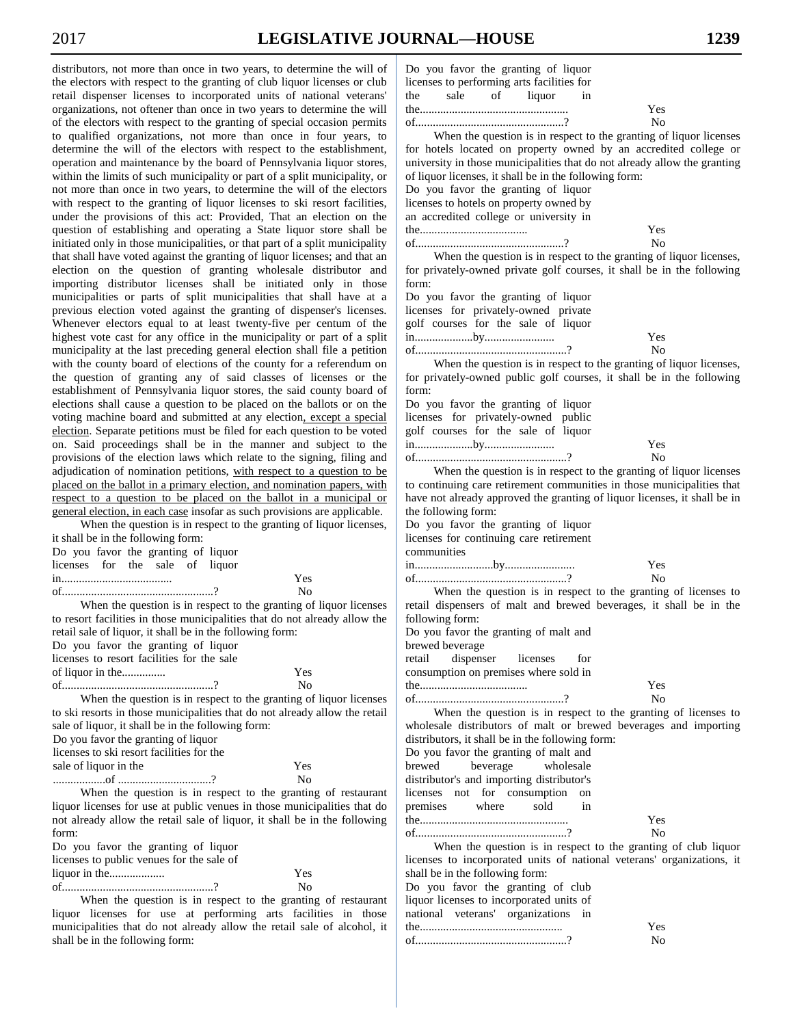distributors, not more than once in two years, to determine the will of the electors with respect to the granting of club liquor licenses or club retail dispenser licenses to incorporated units of national veterans' organizations, not oftener than once in two years to determine the will of the electors with respect to the granting of special occasion permits to qualified organizations, not more than once in four years, to determine the will of the electors with respect to the establishment, operation and maintenance by the board of Pennsylvania liquor stores, within the limits of such municipality or part of a split municipality, or not more than once in two years, to determine the will of the electors with respect to the granting of liquor licenses to ski resort facilities, under the provisions of this act: Provided, That an election on the question of establishing and operating a State liquor store shall be initiated only in those municipalities, or that part of a split municipality that shall have voted against the granting of liquor licenses; and that an election on the question of granting wholesale distributor and importing distributor licenses shall be initiated only in those municipalities or parts of split municipalities that shall have at a previous election voted against the granting of dispenser's licenses. Whenever electors equal to at least twenty-five per centum of the highest vote cast for any office in the municipality or part of a split municipality at the last preceding general election shall file a petition with the county board of elections of the county for a referendum on the question of granting any of said classes of licenses or the establishment of Pennsylvania liquor stores, the said county board of elections shall cause a question to be placed on the ballots or on the voting machine board and submitted at any election, except a special election. Separate petitions must be filed for each question to be voted on. Said proceedings shall be in the manner and subject to the provisions of the election laws which relate to the signing, filing and adjudication of nomination petitions, with respect to a question to be placed on the ballot in a primary election, and nomination papers, with respect to a question to be placed on the ballot in a municipal or general election, in each case insofar as such provisions are applicable.

When the question is in respect to the granting of liquor licenses, it shall be in the following form: Do you favor the granting of liquor

| licenses for the sale of liquor |  |  |                                                          |
|---------------------------------|--|--|----------------------------------------------------------|
|                                 |  |  | Yes                                                      |
|                                 |  |  | $N_{\Omega}$                                             |
|                                 |  |  | When the question is in respect to the granting of liquo |

nor licenses to resort facilities in those municipalities that do not already allow the retail sale of liquor, it shall be in the following form: Do you favor the granting of liquor licenses to resort facilities for the sale of liquor in the............... Yes

of....................................................? When the question is in respect to the granting of liquor licenses

to ski resorts in those municipalities that do not already allow the retail sale of liquor, it shall be in the following form: Do you favor the granting of liquor licenses to ski resort facilities for the sale of liquor in the Yes

No

No

..................of ................................?

When the question is in respect to the granting of restaurant liquor licenses for use at public venues in those municipalities that do not already allow the retail sale of liquor, it shall be in the following form:

| Do you favor the granting of liquor       |     |
|-------------------------------------------|-----|
| licenses to public venues for the sale of |     |
|                                           | Yes |
|                                           | Nο  |
|                                           |     |

When the question is in respect to the granting of restaurant liquor licenses for use at performing arts facilities in those municipalities that do not already allow the retail sale of alcohol, it shall be in the following form:

|                                            |  |  | Do you favor the granting of liquor |  |     |  |
|--------------------------------------------|--|--|-------------------------------------|--|-----|--|
| licenses to performing arts facilities for |  |  |                                     |  |     |  |
|                                            |  |  | the sale of liquor in               |  |     |  |
|                                            |  |  |                                     |  | Yes |  |
|                                            |  |  |                                     |  | No  |  |
|                                            |  |  |                                     |  |     |  |

When the question is in respect to the granting of liquor licenses for hotels located on property owned by an accredited college or university in those municipalities that do not already allow the granting of liquor licenses, it shall be in the following form: Do you favor the granting of liquor

licenses to hotels on property owned by an accredited college or university in the..................................... of...................................................?

When the question is in respect to the granting of liquor licenses, for privately-owned private golf courses, it shall be in the following form:

Yes No

Yes No

Yes No

Yes

Yes No

Yes No

Do you favor the granting of liquor licenses for privately-owned private golf courses for the sale of liquor in....................by........................ of....................................................?

When the question is in respect to the granting of liquor licenses, for privately-owned public golf courses, it shall be in the following form:

Do you favor the granting of liquor licenses for privately-owned public golf courses for the sale of liquor in....................by........................ of....................................................?

When the question is in respect to the granting of liquor licenses to continuing care retirement communities in those municipalities that have not already approved the granting of liquor licenses, it shall be in the following form:

Do you favor the granting of liquor licenses for continuing care retirement communities

in...........................by........................

of....................................................? No When the question is in respect to the granting of licenses to retail dispensers of malt and brewed beverages, it shall be in the following form: Do you favor the granting of malt and

brewed beverage

retail dispenser licenses for consumption on premises where sold in the..................................... of...................................................?

When the question is in respect to the granting of licenses to wholesale distributors of malt or brewed beverages and importing distributors, it shall be in the following form:

Do you favor the granting of malt and brewed beverage wholesale distributor's and importing distributor's licenses not for consumption on premises where sold the................................................... of....................................................?

When the question is in respect to the granting of club liquor licenses to incorporated units of national veterans' organizations, it shall be in the following form: Do you favor the granting of club

liquor licenses to incorporated units of national veterans' organizations in the.................................................

| of |  |
|----|--|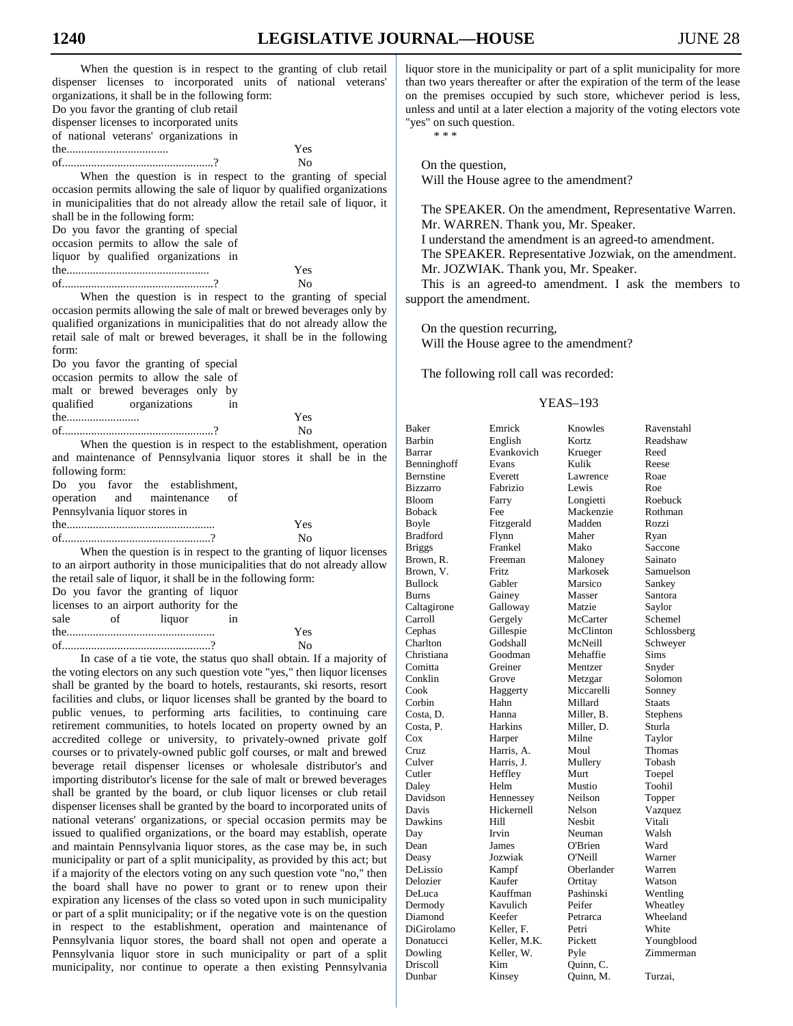| When the question is in respect to the granting of club retail<br>dispenser licenses to incorporated units of national veterans'                                                                                   | 1<br>t         |
|--------------------------------------------------------------------------------------------------------------------------------------------------------------------------------------------------------------------|----------------|
| organizations, it shall be in the following form:                                                                                                                                                                  | C              |
| Do you favor the granting of club retail                                                                                                                                                                           |                |
| dispenser licenses to incorporated units                                                                                                                                                                           |                |
| of national veterans' organizations in                                                                                                                                                                             |                |
| Yes                                                                                                                                                                                                                |                |
| No                                                                                                                                                                                                                 |                |
| When the question is in respect to the granting of special<br>occasion permits allowing the sale of liquor by qualified organizations<br>in municipalities that do not already allow the retail sale of liquor, it |                |
| shall be in the following form:                                                                                                                                                                                    |                |
| Do you favor the granting of special                                                                                                                                                                               |                |
| occasion permits to allow the sale of                                                                                                                                                                              |                |
| liquor by qualified organizations in                                                                                                                                                                               |                |
| Yes                                                                                                                                                                                                                |                |
| No                                                                                                                                                                                                                 |                |
| When the question is in respect to the granting of special                                                                                                                                                         | S              |
| occasion permits allowing the sale of malt or brewed beverages only by                                                                                                                                             |                |
| qualified organizations in municipalities that do not already allow the                                                                                                                                            |                |
| retail sale of malt or brewed beverages, it shall be in the following                                                                                                                                              |                |
| form:                                                                                                                                                                                                              |                |
| Do you favor the granting of special                                                                                                                                                                               |                |
| occasion permits to allow the sale of                                                                                                                                                                              |                |
| malt or brewed beverages only by                                                                                                                                                                                   |                |
| qualified<br>organizations<br>in                                                                                                                                                                                   |                |
| the<br>Yes                                                                                                                                                                                                         |                |
| No                                                                                                                                                                                                                 | I              |
| When the question is in respect to the establishment, operation                                                                                                                                                    | I<br>I         |
| and maintenance of Pennsylvania liquor stores it shall be in the                                                                                                                                                   | I              |
| following form:                                                                                                                                                                                                    | I              |
| the establishment,<br>Do<br>you<br>favor                                                                                                                                                                           | I              |
| operation<br>and<br>maintenance<br>οf                                                                                                                                                                              | I              |
| Pennsylvania liquor stores in                                                                                                                                                                                      | I              |
| Yes                                                                                                                                                                                                                | I<br>I         |
| No                                                                                                                                                                                                                 | I              |
| When the question is in respect to the granting of liquor licenses                                                                                                                                                 | I              |
| to an airport authority in those municipalities that do not already allow                                                                                                                                          | I              |
| the retail sale of liquor, it shall be in the following form:                                                                                                                                                      | I              |
| Do you favor the granting of liquor                                                                                                                                                                                | I              |
| licenses to an airport authority for the<br>sale<br>οf<br>liquor<br>in                                                                                                                                             |                |
| Yes<br>the                                                                                                                                                                                                         |                |
| No                                                                                                                                                                                                                 | (              |
| In case of a tie vote, the status quo shall obtain. If a majority of                                                                                                                                               | (              |
| the voting electors on any such question vote "yes," then liquor licenses                                                                                                                                          | (              |
| shall be granted by the board to hotels, restaurants, ski resorts, resort                                                                                                                                          | (              |
| facilities and clubs, or liquor licenses shall be granted by the board to                                                                                                                                          | $\overline{a}$ |
| public venues, to performing arts facilities, to continuing care                                                                                                                                                   | (              |
| retirement communities, to hotels located on property owned by an                                                                                                                                                  | (              |
| executing college or university to privately owned private colf                                                                                                                                                    |                |

accredited college or university, to privately-owned private golf courses or to privately-owned public golf courses, or malt and brewed beverage retail dispenser licenses or wholesale distributor's and importing distributor's license for the sale of malt or brewed beverages shall be granted by the board, or club liquor licenses or club retail dispenser licenses shall be granted by the board to incorporated units of national veterans' organizations, or special occasion permits may be issued to qualified organizations, or the board may establish, operate and maintain Pennsylvania liquor stores, as the case may be, in such municipality or part of a split municipality, as provided by this act; but if a majority of the electors voting on any such question vote "no," then the board shall have no power to grant or to renew upon their expiration any licenses of the class so voted upon in such municipality or part of a split municipality; or if the negative vote is on the question in respect to the establishment, operation and maintenance of Pennsylvania liquor stores, the board shall not open and operate a Pennsylvania liquor store in such municipality or part of a split municipality, nor continue to operate a then existing Pennsylvania

iquor store in the municipality or part of a split municipality for more than two years thereafter or after the expiration of the term of the lease on the premises occupied by such store, whichever period is less, unless and until at a later election a majority of the voting electors vote 'yes" on such question. \* \* \*

 On the question, Will the House agree to the amendment?

 The SPEAKER. On the amendment, Representative Warren. Mr. WARREN. Thank you, Mr. Speaker. I understand the amendment is an agreed-to amendment. The SPEAKER. Representative Jozwiak, on the amendment.

Mr. JOZWIAK. Thank you, Mr. Speaker.

 This is an agreed-to amendment. I ask the members to support the amendment.

On the question recurring,

Will the House agree to the amendment?

The following roll call was recorded:

# YEAS–193

| Baker             | Emrick          | Knowles    | Ravenstahl  |
|-------------------|-----------------|------------|-------------|
| <b>Barbin</b>     | English         | Kortz      | Readshaw    |
| Barrar            | Evankovich      | Krueger    | Reed        |
| Benninghoff       | Evans           | Kulik      | Reese       |
| Bernstine         | Everett         | Lawrence   | Roae        |
| <b>Bizzarro</b>   | Fabrizio        | Lewis      | Roe         |
| Bloom             | Farry           | Longietti  | Roebuck     |
| <b>Boback</b>     | Fee             | Mackenzie  | Rothman     |
| Boyle             | Fitzgerald      | Madden     | Rozzi       |
| <b>Bradford</b>   | Flynn           | Maher      | Ryan        |
| <b>Briggs</b>     | Frankel         | Mako       | Saccone     |
| Brown, R.         | Freeman         | Maloney    | Sainato     |
| Brown, V.         | Fritz           | Markosek   | Samuelson   |
| <b>Bullock</b>    | Gabler          | Marsico    | Sankey      |
| <b>Burns</b>      | Gainey          | Masser     | Santora     |
| Caltagirone       | Galloway        | Matzie     | Saylor      |
| Carroll           | Gergely         | McCarter   | Schemel     |
| Cephas            | Gillespie       | McClinton  | Schlossberg |
| Charlton          | Godshall        | McNeill    | Schweyer    |
| Christiana        | Goodman         | Mehaffie   | Sims        |
| Comitta           | Greiner         | Mentzer    | Snyder      |
| Conklin           | Grove           | Metzgar    | Solomon     |
| Cook              | Haggerty        | Miccarelli | Sonney      |
| Corbin            | Hahn            | Millard    | Staats      |
| Costa. D.         | Hanna           | Miller, B. | Stephens    |
| Costa, P.         | Harkins         | Miller, D. | Sturla      |
| Cox               | Harper          | Milne      | Taylor      |
| Cruz              | Harris. A.      | Moul       | Thomas      |
| Culver            | Harris, J.      | Mullery    | Tobash      |
| Cutler            | Heffley         | Murt       | Toepel      |
| Daley             | Helm            | Mustio     | Toohil      |
| Davidson          | Hennessey       | Neilson    | Topper      |
| Davis             | Hickernell      | Nelson     | Vazquez     |
| Dawkins           | Hill            | Nesbit     | Vitali      |
|                   | Irvin           | Neuman     | Walsh       |
| Day<br>Dean       | James           | O'Brien    | Ward        |
|                   | Jozwiak         | O'Neill    | Warner      |
| Deasy<br>DeLissio |                 |            |             |
|                   | Kampf<br>Kaufer | Oberlander | Warren      |
| Delozier          |                 | Ortitay    | Watson      |
| DeLuca            | Kauffman        | Pashinski  | Wentling    |
| Dermody           | Kavulich        | Peifer     | Wheatley    |
| Diamond           | Keefer          | Petrarca   | Wheeland    |
| DiGirolamo        | Keller. F.      | Petri      | White       |
| Donatucci         | Keller, M.K.    | Pickett    | Youngblood  |
| Dowling           | Keller, W.      | Pyle       | Zimmerman   |
| Driscoll          | Kim             | Ouinn, C.  |             |
| Dunbar            | Kinsey          | Ouinn, M.  | Turzai,     |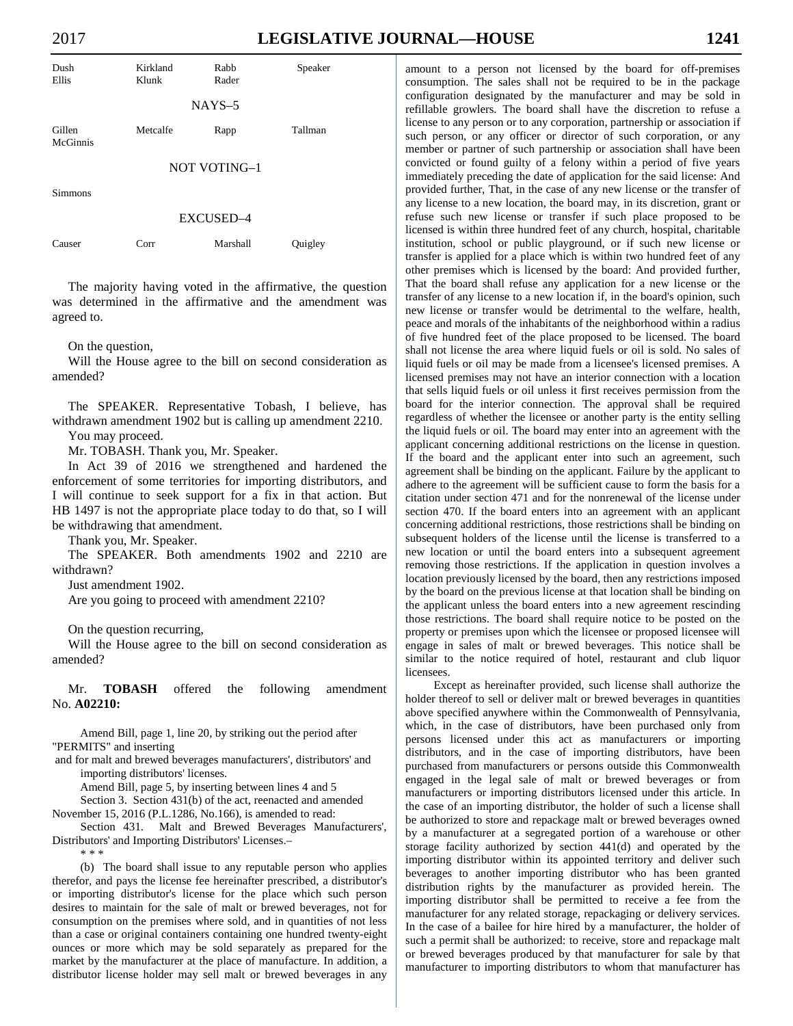|--|--|



 The majority having voted in the affirmative, the question was determined in the affirmative and the amendment was agreed to.

On the question,

 Will the House agree to the bill on second consideration as amended?

 The SPEAKER. Representative Tobash, I believe, has withdrawn amendment 1902 but is calling up amendment 2210. You may proceed.

Mr. TOBASH. Thank you, Mr. Speaker.

 In Act 39 of 2016 we strengthened and hardened the enforcement of some territories for importing distributors, and I will continue to seek support for a fix in that action. But HB 1497 is not the appropriate place today to do that, so I will be withdrawing that amendment.

Thank you, Mr. Speaker.

 The SPEAKER. Both amendments 1902 and 2210 are withdrawn?

Just amendment 1902.

Are you going to proceed with amendment 2210?

On the question recurring,

 Will the House agree to the bill on second consideration as amended?

 Mr. **TOBASH** offered the following amendment No. **A02210:**

Amend Bill, page 1, line 20, by striking out the period after "PERMITS" and inserting

 and for malt and brewed beverages manufacturers', distributors' and importing distributors' licenses.

Amend Bill, page 5, by inserting between lines 4 and 5

Section 3. Section 431(b) of the act, reenacted and amended November 15, 2016 (P.L.1286, No.166), is amended to read:

Section 431. Malt and Brewed Beverages Manufacturers', Distributors' and Importing Distributors' Licenses.–

\* \* \*

(b) The board shall issue to any reputable person who applies therefor, and pays the license fee hereinafter prescribed, a distributor's or importing distributor's license for the place which such person desires to maintain for the sale of malt or brewed beverages, not for consumption on the premises where sold, and in quantities of not less than a case or original containers containing one hundred twenty-eight ounces or more which may be sold separately as prepared for the market by the manufacturer at the place of manufacture. In addition, a distributor license holder may sell malt or brewed beverages in any

amount to a person not licensed by the board for off-premises consumption. The sales shall not be required to be in the package configuration designated by the manufacturer and may be sold in refillable growlers. The board shall have the discretion to refuse a license to any person or to any corporation, partnership or association if such person, or any officer or director of such corporation, or any member or partner of such partnership or association shall have been convicted or found guilty of a felony within a period of five years immediately preceding the date of application for the said license: And provided further, That, in the case of any new license or the transfer of any license to a new location, the board may, in its discretion, grant or refuse such new license or transfer if such place proposed to be licensed is within three hundred feet of any church, hospital, charitable institution, school or public playground, or if such new license or transfer is applied for a place which is within two hundred feet of any other premises which is licensed by the board: And provided further, That the board shall refuse any application for a new license or the transfer of any license to a new location if, in the board's opinion, such new license or transfer would be detrimental to the welfare, health, peace and morals of the inhabitants of the neighborhood within a radius of five hundred feet of the place proposed to be licensed. The board shall not license the area where liquid fuels or oil is sold. No sales of liquid fuels or oil may be made from a licensee's licensed premises. A licensed premises may not have an interior connection with a location that sells liquid fuels or oil unless it first receives permission from the board for the interior connection. The approval shall be required regardless of whether the licensee or another party is the entity selling the liquid fuels or oil. The board may enter into an agreement with the applicant concerning additional restrictions on the license in question. If the board and the applicant enter into such an agreement, such agreement shall be binding on the applicant. Failure by the applicant to adhere to the agreement will be sufficient cause to form the basis for a citation under section 471 and for the nonrenewal of the license under section 470. If the board enters into an agreement with an applicant concerning additional restrictions, those restrictions shall be binding on subsequent holders of the license until the license is transferred to a new location or until the board enters into a subsequent agreement removing those restrictions. If the application in question involves a location previously licensed by the board, then any restrictions imposed by the board on the previous license at that location shall be binding on the applicant unless the board enters into a new agreement rescinding those restrictions. The board shall require notice to be posted on the property or premises upon which the licensee or proposed licensee will engage in sales of malt or brewed beverages. This notice shall be similar to the notice required of hotel, restaurant and club liquor licensees.

Except as hereinafter provided, such license shall authorize the holder thereof to sell or deliver malt or brewed beverages in quantities above specified anywhere within the Commonwealth of Pennsylvania, which, in the case of distributors, have been purchased only from persons licensed under this act as manufacturers or importing distributors, and in the case of importing distributors, have been purchased from manufacturers or persons outside this Commonwealth engaged in the legal sale of malt or brewed beverages or from manufacturers or importing distributors licensed under this article. In the case of an importing distributor, the holder of such a license shall be authorized to store and repackage malt or brewed beverages owned by a manufacturer at a segregated portion of a warehouse or other storage facility authorized by section 441(d) and operated by the importing distributor within its appointed territory and deliver such beverages to another importing distributor who has been granted distribution rights by the manufacturer as provided herein. The importing distributor shall be permitted to receive a fee from the manufacturer for any related storage, repackaging or delivery services. In the case of a bailee for hire hired by a manufacturer, the holder of such a permit shall be authorized: to receive, store and repackage malt or brewed beverages produced by that manufacturer for sale by that manufacturer to importing distributors to whom that manufacturer has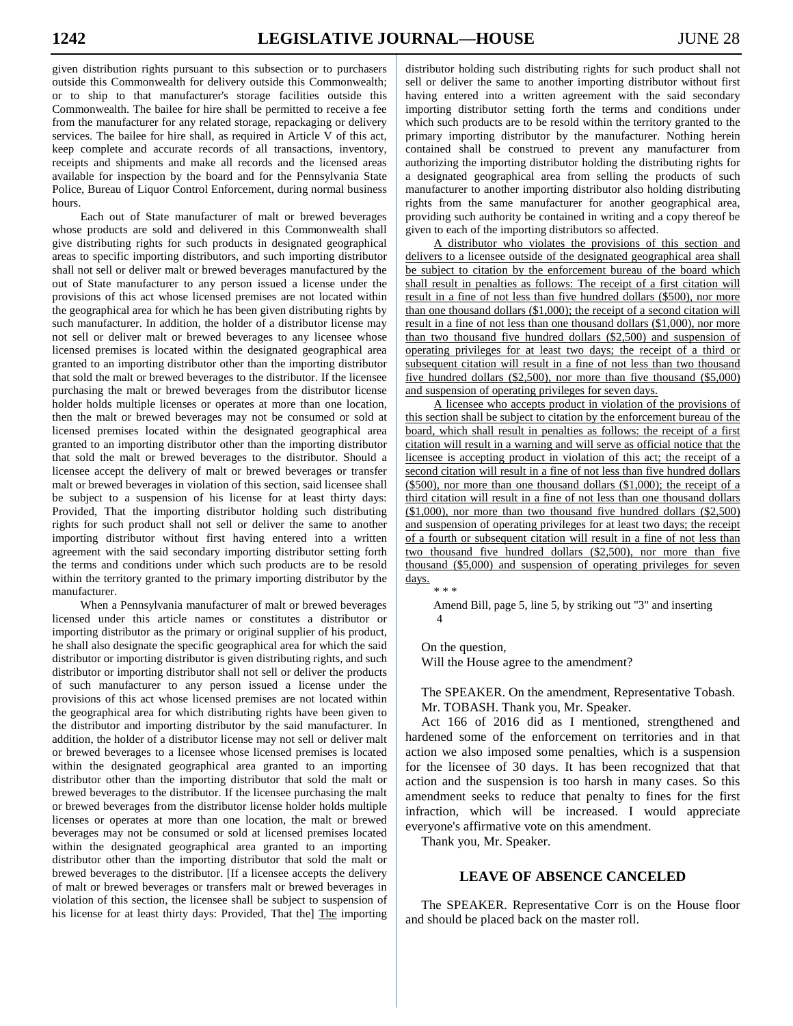given distribution rights pursuant to this subsection or to purchasers outside this Commonwealth for delivery outside this Commonwealth; or to ship to that manufacturer's storage facilities outside this Commonwealth. The bailee for hire shall be permitted to receive a fee from the manufacturer for any related storage, repackaging or delivery services. The bailee for hire shall, as required in Article V of this act, keep complete and accurate records of all transactions, inventory, receipts and shipments and make all records and the licensed areas available for inspection by the board and for the Pennsylvania State Police, Bureau of Liquor Control Enforcement, during normal business hours.

Each out of State manufacturer of malt or brewed beverages whose products are sold and delivered in this Commonwealth shall give distributing rights for such products in designated geographical areas to specific importing distributors, and such importing distributor shall not sell or deliver malt or brewed beverages manufactured by the out of State manufacturer to any person issued a license under the provisions of this act whose licensed premises are not located within the geographical area for which he has been given distributing rights by such manufacturer. In addition, the holder of a distributor license may not sell or deliver malt or brewed beverages to any licensee whose licensed premises is located within the designated geographical area granted to an importing distributor other than the importing distributor that sold the malt or brewed beverages to the distributor. If the licensee purchasing the malt or brewed beverages from the distributor license holder holds multiple licenses or operates at more than one location, then the malt or brewed beverages may not be consumed or sold at licensed premises located within the designated geographical area granted to an importing distributor other than the importing distributor that sold the malt or brewed beverages to the distributor. Should a licensee accept the delivery of malt or brewed beverages or transfer malt or brewed beverages in violation of this section, said licensee shall be subject to a suspension of his license for at least thirty days: Provided, That the importing distributor holding such distributing rights for such product shall not sell or deliver the same to another importing distributor without first having entered into a written agreement with the said secondary importing distributor setting forth the terms and conditions under which such products are to be resold within the territory granted to the primary importing distributor by the manufacturer.

When a Pennsylvania manufacturer of malt or brewed beverages licensed under this article names or constitutes a distributor or importing distributor as the primary or original supplier of his product, he shall also designate the specific geographical area for which the said distributor or importing distributor is given distributing rights, and such distributor or importing distributor shall not sell or deliver the products of such manufacturer to any person issued a license under the provisions of this act whose licensed premises are not located within the geographical area for which distributing rights have been given to the distributor and importing distributor by the said manufacturer. In addition, the holder of a distributor license may not sell or deliver malt or brewed beverages to a licensee whose licensed premises is located within the designated geographical area granted to an importing distributor other than the importing distributor that sold the malt or brewed beverages to the distributor. If the licensee purchasing the malt or brewed beverages from the distributor license holder holds multiple licenses or operates at more than one location, the malt or brewed beverages may not be consumed or sold at licensed premises located within the designated geographical area granted to an importing distributor other than the importing distributor that sold the malt or brewed beverages to the distributor. [If a licensee accepts the delivery of malt or brewed beverages or transfers malt or brewed beverages in violation of this section, the licensee shall be subject to suspension of his license for at least thirty days: Provided, That the] The importing

distributor holding such distributing rights for such product shall not sell or deliver the same to another importing distributor without first having entered into a written agreement with the said secondary importing distributor setting forth the terms and conditions under which such products are to be resold within the territory granted to the primary importing distributor by the manufacturer. Nothing herein contained shall be construed to prevent any manufacturer from authorizing the importing distributor holding the distributing rights for a designated geographical area from selling the products of such manufacturer to another importing distributor also holding distributing rights from the same manufacturer for another geographical area, providing such authority be contained in writing and a copy thereof be given to each of the importing distributors so affected.

A distributor who violates the provisions of this section and delivers to a licensee outside of the designated geographical area shall be subject to citation by the enforcement bureau of the board which shall result in penalties as follows: The receipt of a first citation will result in a fine of not less than five hundred dollars (\$500), nor more than one thousand dollars (\$1,000); the receipt of a second citation will result in a fine of not less than one thousand dollars (\$1,000), nor more than two thousand five hundred dollars (\$2,500) and suspension of operating privileges for at least two days; the receipt of a third or subsequent citation will result in a fine of not less than two thousand five hundred dollars (\$2,500), nor more than five thousand (\$5,000) and suspension of operating privileges for seven days.

A licensee who accepts product in violation of the provisions of this section shall be subject to citation by the enforcement bureau of the board, which shall result in penalties as follows: the receipt of a first citation will result in a warning and will serve as official notice that the licensee is accepting product in violation of this act; the receipt of a second citation will result in a fine of not less than five hundred dollars (\$500), nor more than one thousand dollars (\$1,000); the receipt of a third citation will result in a fine of not less than one thousand dollars (\$1,000), nor more than two thousand five hundred dollars (\$2,500) and suspension of operating privileges for at least two days; the receipt of a fourth or subsequent citation will result in a fine of not less than two thousand five hundred dollars (\$2,500), nor more than five thousand (\$5,000) and suspension of operating privileges for seven days.

\* \* \*

Amend Bill, page 5, line 5, by striking out "3" and inserting 4

On the question,

Will the House agree to the amendment?

 The SPEAKER. On the amendment, Representative Tobash. Mr. TOBASH. Thank you, Mr. Speaker.

 Act 166 of 2016 did as I mentioned, strengthened and hardened some of the enforcement on territories and in that action we also imposed some penalties, which is a suspension for the licensee of 30 days. It has been recognized that that action and the suspension is too harsh in many cases. So this amendment seeks to reduce that penalty to fines for the first infraction, which will be increased. I would appreciate everyone's affirmative vote on this amendment.

Thank you, Mr. Speaker.

# **LEAVE OF ABSENCE CANCELED**

 The SPEAKER. Representative Corr is on the House floor and should be placed back on the master roll.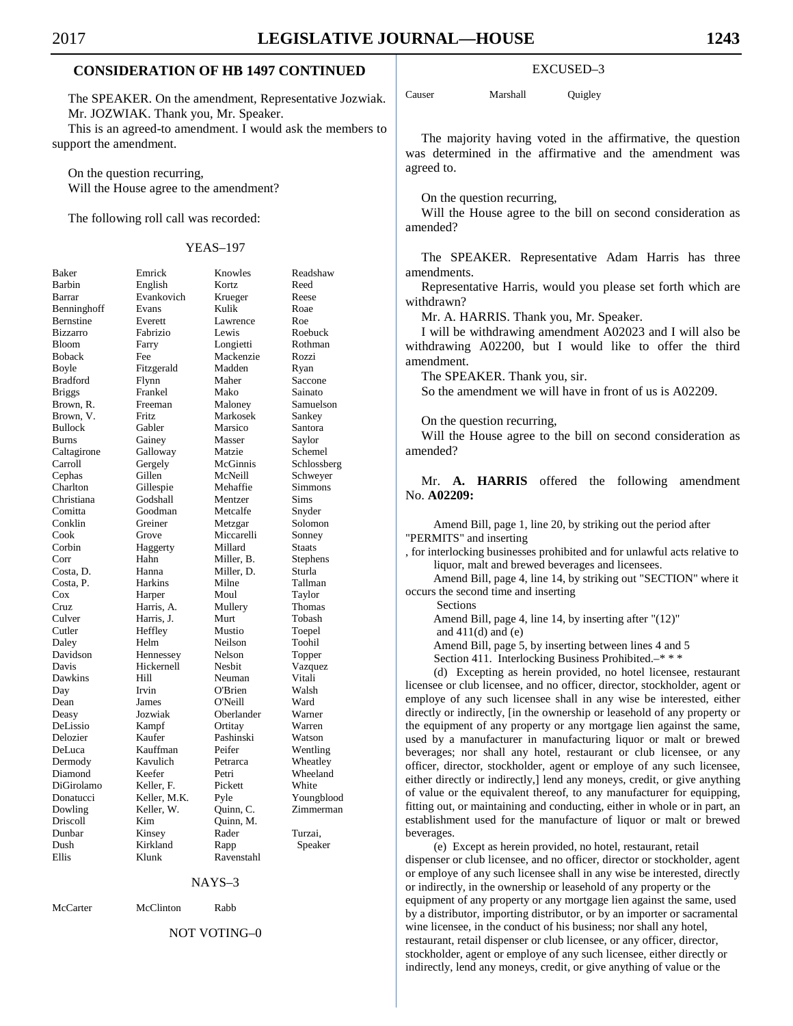# **CONSIDERATION OF HB 1497 CONTINUED**

 The SPEAKER. On the amendment, Representative Jozwiak. Mr. JOZWIAK. Thank you, Mr. Speaker. This is an agreed-to amendment. I would ask the members to support the amendment.

 On the question recurring, Will the House agree to the amendment?

The following roll call was recorded:

| Baker                                    |
|------------------------------------------|
| Barbin                                   |
| Barrar                                   |
| Benninghoff                              |
| Bernstine                                |
| Bizzarro                                 |
| Bloom                                    |
| <b>Boback</b>                            |
| Boyle                                    |
| <b>Bradford</b>                          |
| <b>Briggs</b>                            |
| Brown, R.                                |
| Brown,<br>V.                             |
| <b>Bullock</b>                           |
| <b>Burns</b>                             |
| Caltagirone                              |
| Carroll                                  |
| Cephas                                   |
| Charlton                                 |
| Christiana                               |
| Comitta                                  |
| Conklin                                  |
| Cook                                     |
| Corbin                                   |
| Corr                                     |
| Costa, D.                                |
| Costa, P.<br>Costa, P.<br>Cruz<br>Culver |
|                                          |
|                                          |
|                                          |
| Cutler                                   |
| Daley                                    |
| Davidson                                 |
| Davis                                    |
| Dawkins                                  |
| Day                                      |
|                                          |
| Dean<br>Deasy                            |
| DeLissio                                 |
| Delozier                                 |
| DeLuca                                   |
| Dermody                                  |
| Diamond                                  |
| DiGirolamo                               |
| Donatucci                                |
| Dowling                                  |
| Driscoll                                 |
| Dunbar                                   |
| Dush                                     |
| Ellis                                    |
|                                          |

|                |              | <b>YEAS-197</b> |             |
|----------------|--------------|-----------------|-------------|
| Baker          | Emrick       | Knowles         | Readshaw    |
| Barbin         | English      | Kortz           | Reed        |
| Barrar         | Evankovich   | Krueger         | Reese       |
| Benninghoff    | Evans        | Kulik           | Roae        |
| Bernstine      | Everett      | Lawrence        | Roe         |
| Bizzarro       | Fabrizio     | Lewis           | Roebuck     |
| Bloom          | Farry        | Longietti       | Rothman     |
| Boback         | Fee          | Mackenzie       | Rozzi       |
| Boyle          | Fitzgerald   | Madden          | Ryan        |
| Bradford       | Flynn        | Maher           | Saccone     |
| <b>Briggs</b>  | Frankel      | Mako            | Sainato     |
| Brown, R.      | Freeman      | Maloney         | Samuelson   |
| Brown, V.      | Fritz        | Markosek        | Sankey      |
| <b>Bullock</b> | Gabler       | Marsico         | Santora     |
| Burns          | Gainey       | Masser          | Saylor      |
| Caltagirone    | Galloway     | Matzie          | Schemel     |
| Carroll        | Gergely      | McGinnis        | Schlossberg |
| Cephas         | Gillen       | McNeill         | Schweyer    |
| Charlton       | Gillespie    | Mehaffie        | Simmons     |
| Christiana     | Godshall     | Mentzer         | Sims        |
| Comitta        | Goodman      | Metcalfe        | Snyder      |
| Conklin        | Greiner      | Metzgar         | Solomon     |
| Cook           | Grove        | Miccarelli      | Sonney      |
| Corbin         | Haggerty     | Millard         | Staats      |
| Corr           | Hahn         | Miller, B.      | Stephens    |
| Costa, D.      | Hanna        | Miller, D.      | Sturla      |
| Costa, P.      | Harkins      | Milne           | Tallman     |
| Cox            | Harper       | Moul            | Taylor      |
| Cruz           | Harris, A.   | Mullery         | Thomas      |
| Culver         | Harris, J.   | Murt            | Tobash      |
| Cutler         | Heffley      | Mustio          | Toepel      |
| Daley          | Helm         | Neilson         | Toohil      |
| Davidson       | Hennessey    | Nelson          | Topper      |
| Davis          | Hickernell   | Nesbit          | Vazquez     |
| Dawkins        | Hill         | Neuman          | Vitali      |
| Day            | Irvin        | O'Brien         | Walsh       |
| Dean           | James        | O'Neill         | Ward        |
| Deasy          | Jozwiak      | Oberlander      | Warner      |
| DeLissio       | Kampf        | Ortitay         | Warren      |
| Delozier       | Kaufer       | Pashinski       | Watson      |
| DeLuca         | Kauffman     | Peifer          | Wentling    |
| Dermody        | Kavulich     | Petrarca        | Wheatley    |
| Diamond        | Keefer       | Petri           | Wheeland    |
| DiGirolamo     | Keller, F.   | Pickett         | White       |
| Donatucci      | Keller, M.K. | Pyle            | Youngblood  |
| Dowling        | Keller, W.   | Quinn, C.       | Zimmerman   |
| Driscoll       | Kim          | Quinn, M.       |             |
| Dunbar         | Kinsey       | Rader           | Turzai,     |
| Dush           | Kirkland     | Rapp            | Speaker     |
| Ellis          | Klunk        | Ravenstahl      |             |
|                |              |                 |             |

NAYS–3

McCarter McClinton Rabb

### NOT VOTING–0

#### EXCUSED–3

Causer Marshall Quigley

 The majority having voted in the affirmative, the question was determined in the affirmative and the amendment was agreed to.

On the question recurring,

 Will the House agree to the bill on second consideration as amended?

 The SPEAKER. Representative Adam Harris has three amendments.

 Representative Harris, would you please set forth which are withdrawn?

Mr. A. HARRIS. Thank you, Mr. Speaker.

 I will be withdrawing amendment A02023 and I will also be withdrawing A02200, but I would like to offer the third amendment.

The SPEAKER. Thank you, sir.

So the amendment we will have in front of us is A02209.

On the question recurring,

 Will the House agree to the bill on second consideration as amended?

 Mr. **A. HARRIS** offered the following amendment No. **A02209:** 

Amend Bill, page 1, line 20, by striking out the period after "PERMITS" and inserting

, for interlocking businesses prohibited and for unlawful acts relative to liquor, malt and brewed beverages and licensees.

Amend Bill, page 4, line 14, by striking out "SECTION" where it occurs the second time and inserting

 Sections Amend Bill, page 4, line 14, by inserting after "(12)" and  $411(d)$  and  $(e)$ Amend Bill, page 5, by inserting between lines 4 and 5

Section 411. Interlocking Business Prohibited.–\* \* \*

(d) Excepting as herein provided, no hotel licensee, restaurant licensee or club licensee, and no officer, director, stockholder, agent or employe of any such licensee shall in any wise be interested, either directly or indirectly, [in the ownership or leasehold of any property or the equipment of any property or any mortgage lien against the same, used by a manufacturer in manufacturing liquor or malt or brewed beverages; nor shall any hotel, restaurant or club licensee, or any officer, director, stockholder, agent or employe of any such licensee, either directly or indirectly,] lend any moneys, credit, or give anything of value or the equivalent thereof, to any manufacturer for equipping, fitting out, or maintaining and conducting, either in whole or in part, an establishment used for the manufacture of liquor or malt or brewed beverages.

(e) Except as herein provided, no hotel, restaurant, retail dispenser or club licensee, and no officer, director or stockholder, agent or employe of any such licensee shall in any wise be interested, directly or indirectly, in the ownership or leasehold of any property or the equipment of any property or any mortgage lien against the same, used by a distributor, importing distributor, or by an importer or sacramental wine licensee, in the conduct of his business; nor shall any hotel, restaurant, retail dispenser or club licensee, or any officer, director, stockholder, agent or employe of any such licensee, either directly or indirectly, lend any moneys, credit, or give anything of value or the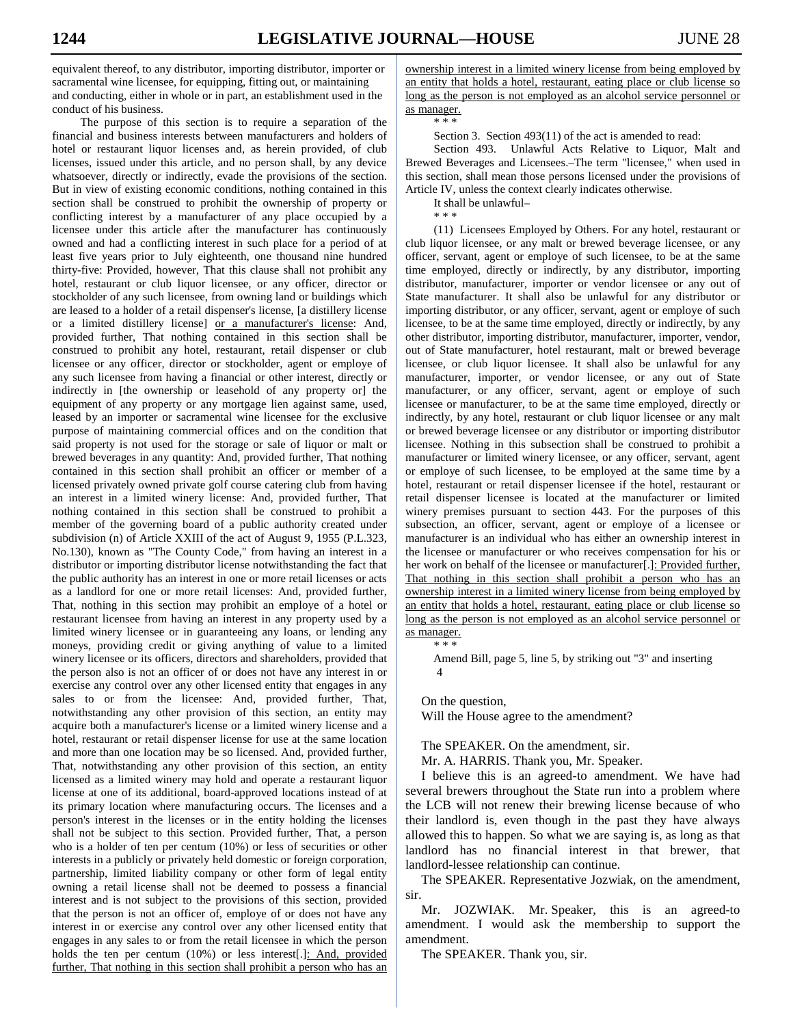equivalent thereof, to any distributor, importing distributor, importer or sacramental wine licensee, for equipping, fitting out, or maintaining and conducting, either in whole or in part, an establishment used in the conduct of his business.

The purpose of this section is to require a separation of the financial and business interests between manufacturers and holders of hotel or restaurant liquor licenses and, as herein provided, of club licenses, issued under this article, and no person shall, by any device whatsoever, directly or indirectly, evade the provisions of the section. But in view of existing economic conditions, nothing contained in this section shall be construed to prohibit the ownership of property or conflicting interest by a manufacturer of any place occupied by a licensee under this article after the manufacturer has continuously owned and had a conflicting interest in such place for a period of at least five years prior to July eighteenth, one thousand nine hundred thirty-five: Provided, however, That this clause shall not prohibit any hotel, restaurant or club liquor licensee, or any officer, director or stockholder of any such licensee, from owning land or buildings which are leased to a holder of a retail dispenser's license, [a distillery license or a limited distillery license] or a manufacturer's license: And, provided further, That nothing contained in this section shall be construed to prohibit any hotel, restaurant, retail dispenser or club licensee or any officer, director or stockholder, agent or employe of any such licensee from having a financial or other interest, directly or indirectly in [the ownership or leasehold of any property or] the equipment of any property or any mortgage lien against same, used, leased by an importer or sacramental wine licensee for the exclusive purpose of maintaining commercial offices and on the condition that said property is not used for the storage or sale of liquor or malt or brewed beverages in any quantity: And, provided further, That nothing contained in this section shall prohibit an officer or member of a licensed privately owned private golf course catering club from having an interest in a limited winery license: And, provided further, That nothing contained in this section shall be construed to prohibit a member of the governing board of a public authority created under subdivision (n) of Article XXIII of the act of August 9, 1955 (P.L.323, No.130), known as "The County Code," from having an interest in a distributor or importing distributor license notwithstanding the fact that the public authority has an interest in one or more retail licenses or acts as a landlord for one or more retail licenses: And, provided further, That, nothing in this section may prohibit an employe of a hotel or restaurant licensee from having an interest in any property used by a limited winery licensee or in guaranteeing any loans, or lending any moneys, providing credit or giving anything of value to a limited winery licensee or its officers, directors and shareholders, provided that the person also is not an officer of or does not have any interest in or exercise any control over any other licensed entity that engages in any sales to or from the licensee: And, provided further, That, notwithstanding any other provision of this section, an entity may acquire both a manufacturer's license or a limited winery license and a hotel, restaurant or retail dispenser license for use at the same location and more than one location may be so licensed. And, provided further, That, notwithstanding any other provision of this section, an entity licensed as a limited winery may hold and operate a restaurant liquor license at one of its additional, board-approved locations instead of at its primary location where manufacturing occurs. The licenses and a person's interest in the licenses or in the entity holding the licenses shall not be subject to this section. Provided further, That, a person who is a holder of ten per centum (10%) or less of securities or other interests in a publicly or privately held domestic or foreign corporation, partnership, limited liability company or other form of legal entity owning a retail license shall not be deemed to possess a financial interest and is not subject to the provisions of this section, provided that the person is not an officer of, employe of or does not have any interest in or exercise any control over any other licensed entity that engages in any sales to or from the retail licensee in which the person holds the ten per centum (10%) or less interest[.]: And, provided further, That nothing in this section shall prohibit a person who has an ownership interest in a limited winery license from being employed by an entity that holds a hotel, restaurant, eating place or club license so long as the person is not employed as an alcohol service personnel or as manager.

\* \* \*

Section 3. Section 493(11) of the act is amended to read:

Section 493. Unlawful Acts Relative to Liquor, Malt and Brewed Beverages and Licensees.–The term "licensee," when used in this section, shall mean those persons licensed under the provisions of Article IV, unless the context clearly indicates otherwise.

It shall be unlawful–

\* \* \* (11) Licensees Employed by Others. For any hotel, restaurant or club liquor licensee, or any malt or brewed beverage licensee, or any officer, servant, agent or employe of such licensee, to be at the same time employed, directly or indirectly, by any distributor, importing distributor, manufacturer, importer or vendor licensee or any out of State manufacturer. It shall also be unlawful for any distributor or importing distributor, or any officer, servant, agent or employe of such licensee, to be at the same time employed, directly or indirectly, by any other distributor, importing distributor, manufacturer, importer, vendor, out of State manufacturer, hotel restaurant, malt or brewed beverage licensee, or club liquor licensee. It shall also be unlawful for any manufacturer, importer, or vendor licensee, or any out of State manufacturer, or any officer, servant, agent or employe of such licensee or manufacturer, to be at the same time employed, directly or indirectly, by any hotel, restaurant or club liquor licensee or any malt or brewed beverage licensee or any distributor or importing distributor licensee. Nothing in this subsection shall be construed to prohibit a manufacturer or limited winery licensee, or any officer, servant, agent or employe of such licensee, to be employed at the same time by a hotel, restaurant or retail dispenser licensee if the hotel, restaurant or retail dispenser licensee is located at the manufacturer or limited winery premises pursuant to section 443. For the purposes of this subsection, an officer, servant, agent or employe of a licensee or manufacturer is an individual who has either an ownership interest in the licensee or manufacturer or who receives compensation for his or her work on behalf of the licensee or manufacturer[.]: Provided further, That nothing in this section shall prohibit a person who has an ownership interest in a limited winery license from being employed by an entity that holds a hotel, restaurant, eating place or club license so long as the person is not employed as an alcohol service personnel or as manager. \* \* \*

Amend Bill, page 5, line 5, by striking out "3" and inserting 4

On the question,

Will the House agree to the amendment?

The SPEAKER. On the amendment, sir.

Mr. A. HARRIS. Thank you, Mr. Speaker.

 I believe this is an agreed-to amendment. We have had several brewers throughout the State run into a problem where the LCB will not renew their brewing license because of who their landlord is, even though in the past they have always allowed this to happen. So what we are saying is, as long as that landlord has no financial interest in that brewer, that landlord-lessee relationship can continue.

 The SPEAKER. Representative Jozwiak, on the amendment, sir.

 Mr. JOZWIAK. Mr. Speaker, this is an agreed-to amendment. I would ask the membership to support the amendment.

The SPEAKER. Thank you, sir.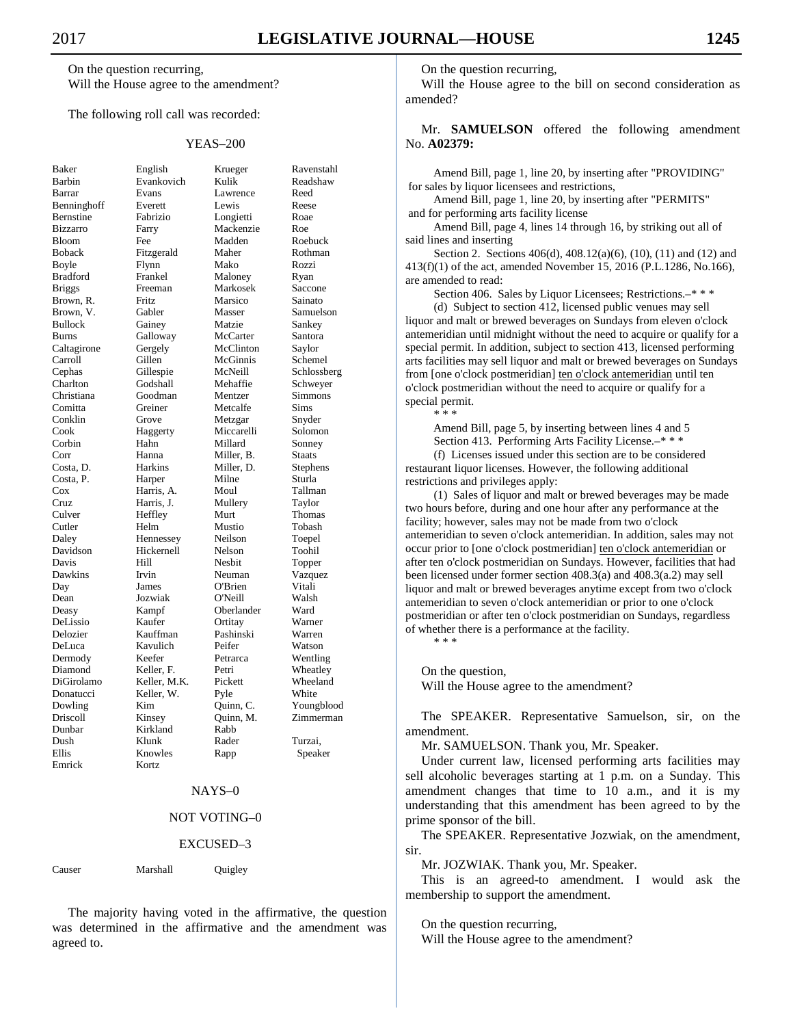On the question recurring, Will the House agree to the amendment?

The following roll call was recorded:

#### YEAS–200

Samuelson,

| Baker                                                   |
|---------------------------------------------------------|
| Barbin                                                  |
| Barrar                                                  |
| Benninghoff                                             |
| Bernstine                                               |
| Bizzarro                                                |
| Bloom                                                   |
| <b>Boback</b>                                           |
| Boyle                                                   |
| <b>Bradford</b>                                         |
| Briggs                                                  |
| Brown, R                                                |
| Brown,<br>V.                                            |
| <b>Bullock</b>                                          |
| <b>Burns</b>                                            |
| Caltagirone                                             |
| Carroll                                                 |
|                                                         |
| Cephas                                                  |
| Charlton                                                |
| Christiana                                              |
| Comitta                                                 |
| Conklin                                                 |
| Cook                                                    |
|                                                         |
|                                                         |
| Cook<br>Corbin<br>Corr<br>Costa, D.<br>Costa, P.<br>Cox |
|                                                         |
|                                                         |
| Cruz                                                    |
| Culver                                                  |
| Cutler                                                  |
| Daley                                                   |
| Davidson                                                |
| Davis                                                   |
| Dawkins                                                 |
| Day                                                     |
| Dean                                                    |
| Deasy                                                   |
| DeLissio                                                |
| Delozier                                                |
| DeLuca                                                  |
| Dermody                                                 |
|                                                         |
| Diamond<br>DiGirolamo                                   |
|                                                         |
| Donatucci                                               |
| Dowling                                                 |
| Driscoll                                                |
| Dunbar                                                  |
| Dush                                                    |
| Ellis                                                   |
| Emrick                                                  |

English Krueger Ravenstahl<br>Evankovich Kulik Readshaw Evankovich Kulik Barrar Evans Lawrence Reed Benninghoff Everett Lewis Reese Fabrizio Longietti Roae Farry Mackenzie Roe Fee Madden Roebuck Fitzgerald Maher Rothman Boyle Flynn Mako Rozzi Frankel Maloney Ryan<br>Freeman Markosek Sacco Markosek Saccone Fritz Marsico Sainato<br>Gabler Masser Samuel Gainey Matzie Sankey Galloway McCarter Santora Gergely McClinton Saylor Gillen McGinnis Schemel Gillespie McNeill Schlossberg<br>Godshall Mehaffie Schwever Godshall Mehaffie Schweyer Goodman Mentzer Simmons<br>Greiner Metcalfe Sims Metcalfe Sims Grove Metzgar Snyder Haggerty Miccarelli Solomon Hahn Millard Sonney<br>
Hanna Miller, B. Staats Miller, B. Harkins Miller, D. Stephens Harper Milne Sturla Harris, A. Moul Tallman Harris, J. Mullery Taylor Heffley Murt Thomas Helm Mustio Tobash Hennessey Neilson Toepel Hickernell Nelson Toohil Hill Nesbit Topper Irvin Neuman Vazquez Day James O'Brien Vitali Jozwiak O'Neill Walsh Kampf Oberlander Ward DeLissio Kaufer Ortitay Warner Kauffman Pashinski Warren Kavulich Peifer Watson Keefer Petrarca Wentling<br>
Reller, F. Petri Wheatley Keller, F. Petri Wheatley<br>
Reller MK Pickett Wheeland Keller, M.K. Keller, W. Pyle White Kim Quinn, C. Youngblood<br>
Kinsey Quinn, M. Zimmerman Quinn, M. Zimmerman<br>Rabb Kirkland Dush Klunk Rader Turzai, Knowles Rapp Speaker Kortz

### NAYS–0

### NOT VOTING–0

#### EXCUSED–3

Causer Marshall Quigley

 The majority having voted in the affirmative, the question was determined in the affirmative and the amendment was agreed to.

On the question recurring,

 Will the House agree to the bill on second consideration as amended?

 Mr. **SAMUELSON** offered the following amendment No. **A02379:** 

Amend Bill, page 1, line 20, by inserting after "PROVIDING" for sales by liquor licensees and restrictions,

Amend Bill, page 1, line 20, by inserting after "PERMITS" and for performing arts facility license

Amend Bill, page 4, lines 14 through 16, by striking out all of said lines and inserting

Section 2. Sections 406(d), 408.12(a)(6), (10), (11) and (12) and 413(f)(1) of the act, amended November 15, 2016 (P.L.1286, No.166), are amended to read:

Section 406. Sales by Liquor Licensees; Restrictions.–\* \* \*

(d) Subject to section 412, licensed public venues may sell liquor and malt or brewed beverages on Sundays from eleven o'clock antemeridian until midnight without the need to acquire or qualify for a special permit. In addition, subject to section 413, licensed performing arts facilities may sell liquor and malt or brewed beverages on Sundays from [one o'clock postmeridian] ten o'clock antemeridian until ten o'clock postmeridian without the need to acquire or qualify for a special permit.

\* \* \*

Amend Bill, page 5, by inserting between lines 4 and 5 Section 413. Performing Arts Facility License.–\* \* \*

(f) Licenses issued under this section are to be considered restaurant liquor licenses. However, the following additional restrictions and privileges apply:

(1) Sales of liquor and malt or brewed beverages may be made two hours before, during and one hour after any performance at the facility; however, sales may not be made from two o'clock antemeridian to seven o'clock antemeridian. In addition, sales may not occur prior to [one o'clock postmeridian] ten o'clock antemeridian or after ten o'clock postmeridian on Sundays. However, facilities that had been licensed under former section 408.3(a) and 408.3(a.2) may sell liquor and malt or brewed beverages anytime except from two o'clock antemeridian to seven o'clock antemeridian or prior to one o'clock postmeridian or after ten o'clock postmeridian on Sundays, regardless of whether there is a performance at the facility. \* \* \*

On the question,

Will the House agree to the amendment?

 The SPEAKER. Representative Samuelson, sir, on the amendment.

Mr. SAMUELSON. Thank you, Mr. Speaker.

 Under current law, licensed performing arts facilities may sell alcoholic beverages starting at 1 p.m. on a Sunday. This amendment changes that time to 10 a.m., and it is my understanding that this amendment has been agreed to by the prime sponsor of the bill.

 The SPEAKER. Representative Jozwiak, on the amendment, sir.

Mr. JOZWIAK. Thank you, Mr. Speaker.

 This is an agreed-to amendment. I would ask the membership to support the amendment.

On the question recurring,

Will the House agree to the amendment?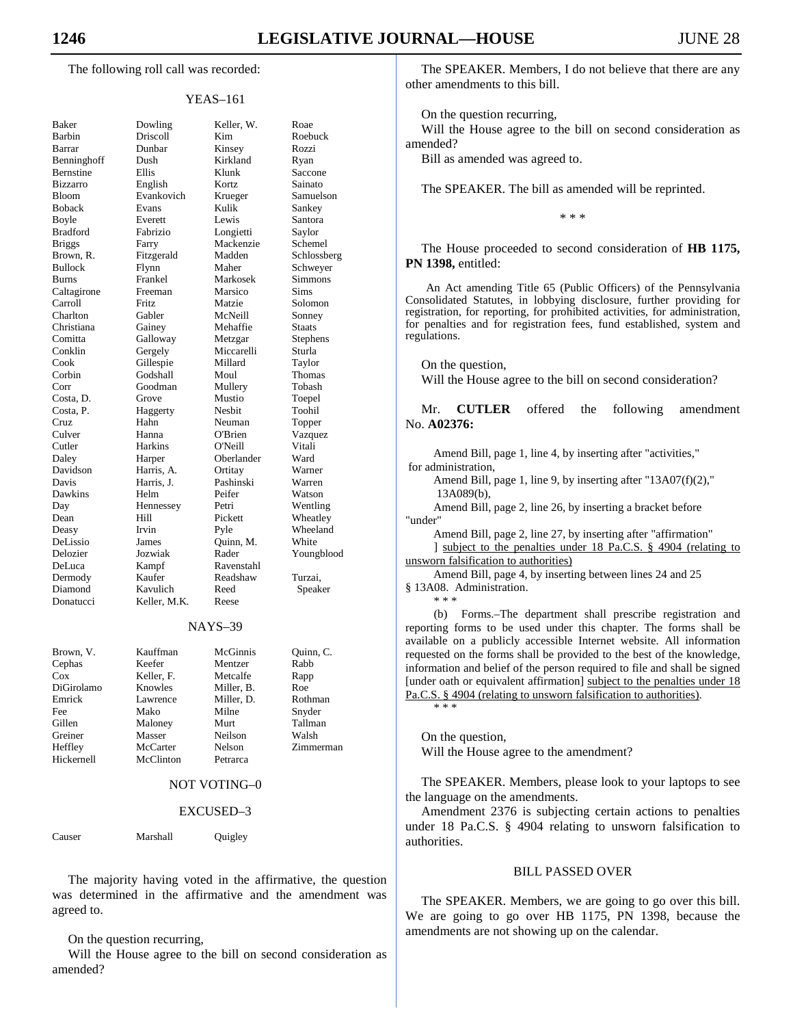The following roll call was recorded:

#### YEAS–161

| <b>Baker</b>           |
|------------------------|
| Barbin                 |
| Barrar                 |
| Benninghoff            |
| Bernstine              |
| Bizzarro               |
| Bloom                  |
| <b>Boback</b>          |
| Boyle                  |
| <b>Bradford</b>        |
| <b>Briggs</b>          |
| Brown, R.              |
| <b>Bullock</b>         |
|                        |
| Burns<br>Caltagirone   |
| Carroll                |
| Charlton               |
| Christiana             |
|                        |
| Comitta<br>Conklin     |
| Cook                   |
| Corbin                 |
| Corr                   |
| Costa, D.<br>Costa, P. |
|                        |
| Cruz                   |
| Culver                 |
| Cutler<br>P            |
| Daley                  |
| Davidson               |
| Davis                  |
| Dawkins                |
|                        |
| Day<br>Dean            |
| Deasy                  |
| DeLissio               |
| Delozier               |
|                        |
| DeLuca<br>Dermody      |
| Diamond                |
| Donatucci              |
|                        |

Dowling Keller, W. Roae Driscoll Kim Roebuck<br>
Dunbar Kinsey Rozzi Barrar Dunbar Kinsey Rozzi Dush Kirkland Ryan Bernstine Ellis Klunk Saccone English Kortz Sainato Bloom Evankovich Krueger Samuelson Evans Kulik Sankey<br>Everett Lewis Santora Lewis Santora Fabrizio Longietti Saylor Farry Mackenzie Schemel Fitzgerald Madden Schlossberg Bullock Flynn Maher Schweyer Frankel Markosek Simmons Freeman Marsico Sims Fritz Matzie Solomon<br>Gabler McNeill Sonney McNeill Sonney Gainey Mehaffie Staats Galloway Metzgar Stephens Gergely Miccarelli Sturla<br>Gillespie Millard Taylor Gillespie Corbin Godshall Moul Thomas Goodman Mullery Tobash Grove Mustio Toepel Haggerty Nesbit Toohil Hahn Neuman Topper Hanna C'Brien Vazquez<br>Harkins O'Neill Vitali Cutler Harkins O'Neill Vitali Harper Oberlander Ward Harris, A. Ortitay Warner Davis Harris, J. Pashinski Warren Dawkins Helm Peifer Watson Day Hennessey Petri Wentling Hill Pickett Wheatley Irvin Pyle Wheeland Values Values (James Quinn, M. White<br>  $Jozwiak$  Rader Young Youngblood Kampf Ravenstahl<br>Kaufer Readshaw Kaufer Readshaw Turzai,<br>Kavulich Reed Speak Speaker Keller, M.K. Reese

#### NAYS–39

| Brown, V.  | Kauffman   | McGinnis   | Quinn, C. |
|------------|------------|------------|-----------|
| Cephas     | Keefer     | Mentzer    | Rabb      |
| Cox        | Keller, F. | Metcalfe   | Rapp      |
| DiGirolamo | Knowles    | Miller, B. | Roe       |
| Emrick     | Lawrence   | Miller, D. | Rothman   |
| Fee        | Mako       | Milne      | Snyder    |
| Gillen     | Maloney    | Murt       | Tallman   |
| Greiner    | Masser     | Neilson    | Walsh     |
| Heffley    | McCarter   | Nelson     | Zimmerman |
| Hickernell | McClinton  | Petrarca   |           |

### NOT VOTING–0

#### EXCUSED–3

Causer Marshall Quigley

 The majority having voted in the affirmative, the question was determined in the affirmative and the amendment was agreed to.

#### On the question recurring,

 Will the House agree to the bill on second consideration as amended?

 The SPEAKER. Members, I do not believe that there are any other amendments to this bill.

On the question recurring,

 Will the House agree to the bill on second consideration as amended?

Bill as amended was agreed to.

The SPEAKER. The bill as amended will be reprinted.

\* \* \*

 The House proceeded to second consideration of **HB 1175, PN 1398,** entitled:

An Act amending Title 65 (Public Officers) of the Pennsylvania Consolidated Statutes, in lobbying disclosure, further providing for registration, for reporting, for prohibited activities, for administration, for penalties and for registration fees, fund established, system and regulations.

On the question,

Will the House agree to the bill on second consideration?

 Mr. **CUTLER** offered the following amendment No. **A02376:** 

Amend Bill, page 1, line 4, by inserting after "activities," for administration,

Amend Bill, page 1, line 9, by inserting after "13A07(f)(2)," 13A089(b),

Amend Bill, page 2, line 26, by inserting a bracket before "under"

Amend Bill, page 2, line 27, by inserting after "affirmation"

] subject to the penalties under 18 Pa.C.S. § 4904 (relating to unsworn falsification to authorities)

Amend Bill, page 4, by inserting between lines 24 and 25 § 13A08. Administration. \* \* \*

(b) Forms.–The department shall prescribe registration and reporting forms to be used under this chapter. The forms shall be available on a publicly accessible Internet website. All information requested on the forms shall be provided to the best of the knowledge, information and belief of the person required to file and shall be signed [under oath or equivalent affirmation] subject to the penalties under 18 Pa.C.S. § 4904 (relating to unsworn falsification to authorities). \* \* \*

 On the question, Will the House agree to the amendment?

 The SPEAKER. Members, please look to your laptops to see the language on the amendments.

 Amendment 2376 is subjecting certain actions to penalties under 18 Pa.C.S. § 4904 relating to unsworn falsification to authorities.

#### BILL PASSED OVER

 The SPEAKER. Members, we are going to go over this bill. We are going to go over HB 1175, PN 1398, because the amendments are not showing up on the calendar.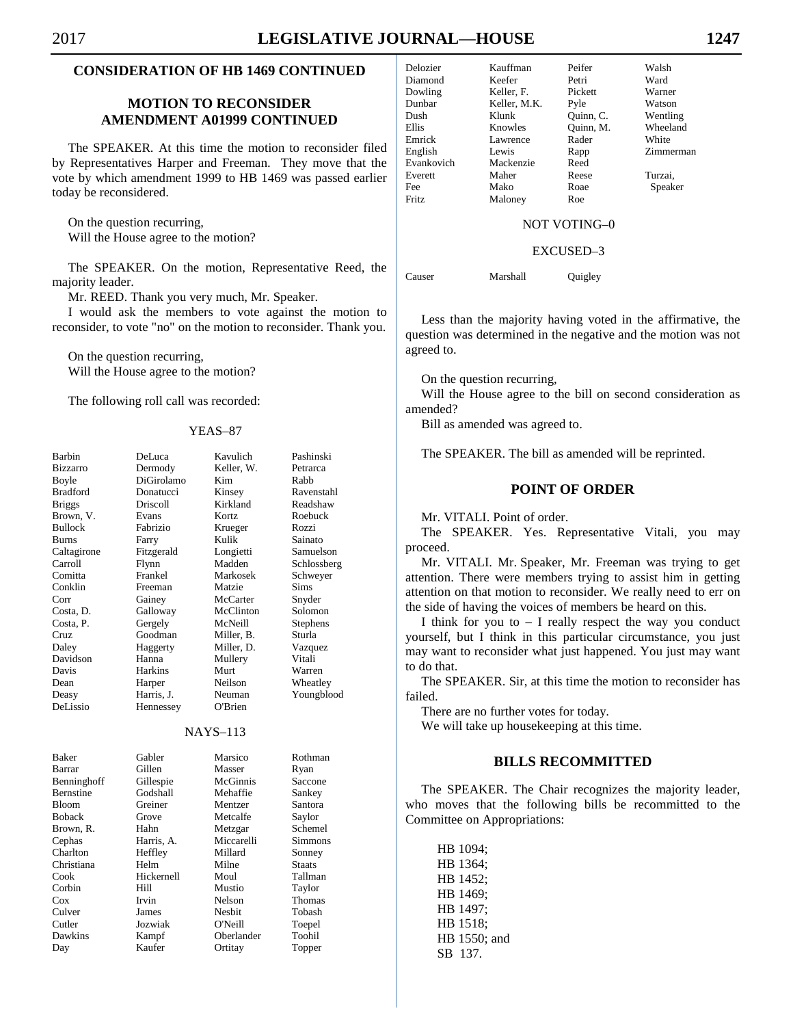# **CONSIDERATION OF HB 1469 CONTINUED**

# **MOTION TO RECONSIDER AMENDMENT A01999 CONTINUED**

 The SPEAKER. At this time the motion to reconsider filed by Representatives Harper and Freeman. They move that the vote by which amendment 1999 to HB 1469 was passed earlier today be reconsidered.

 On the question recurring, Will the House agree to the motion?

 The SPEAKER. On the motion, Representative Reed, the majority leader.

Mr. REED. Thank you very much, Mr. Speaker.

 I would ask the members to vote against the motion to reconsider, to vote "no" on the motion to reconsider. Thank you.

 On the question recurring, Will the House agree to the motion?

The following roll call was recorded:

#### YEAS–87

| Barbin<br><b>Bizzarro</b> | DeLuca<br>Dermody | Kavulich<br>Keller. W. | Pashinski<br>Petrarca |  |
|---------------------------|-------------------|------------------------|-----------------------|--|
| Boyle                     | DiGirolamo        | Kim                    | Rabb                  |  |
| <b>Bradford</b>           | Donatucci         | Kinsey                 | Ravenstahl            |  |
| <b>Briggs</b>             | Driscoll          | Kirkland               | Readshaw              |  |
| Brown, V.                 | Evans             | Kortz                  | Roebuck               |  |
| <b>Bullock</b>            | Fabrizio          | Krueger                | Rozzi                 |  |
| <b>Burns</b>              | Farry             | Kulik                  | Sainato               |  |
| Caltagirone               | Fitzgerald        | Longietti              | Samuelson             |  |
| Carroll                   | Flynn             | Madden                 | Schlossberg           |  |
| Comitta                   | Frankel           | Markosek               | Schweyer              |  |
| Conklin                   | Freeman           | Matzie                 | Sims                  |  |
| Corr                      | Gainey            | McCarter               | Snyder                |  |
| Costa, D.                 | Galloway          | McClinton              | Solomon               |  |
| Costa, P.                 | Gergely           | McNeill                | <b>Stephens</b>       |  |
| Cruz                      | Goodman           | Miller. B.             | Sturla                |  |
| Daley                     | Haggerty          | Miller, D.             | Vazquez               |  |
| Davidson                  | Hanna             | Mullery                | Vitali                |  |
| Davis                     | <b>Harkins</b>    | Murt                   | Warren                |  |
| Dean                      | Harper            | Neilson                | Wheatley              |  |
| Deasy                     | Harris. J.        | Neuman                 | Youngblood            |  |
| DeLissio                  | Hennessey         | O'Brien                |                       |  |
|                           |                   |                        |                       |  |
| <b>NAYS-113</b>           |                   |                        |                       |  |
| <b>Baker</b>              | Gabler            | Marsico                | Rothman               |  |
| Barrar                    | Gillen            | Masser                 | Ryan                  |  |
| Benninghoff               | Gillespie         | McGinnis               | Saccone               |  |
| <b>Bernstine</b>          | Godshall          | Mehaffie               | Sankey                |  |
| <b>Bloom</b>              | Greiner           | Mentzer                | Santora               |  |
| <b>Boback</b>             | Grove             | Metcalfe               | Saylor                |  |
| Brown, R.                 | Hahn              | Metzgar                | Schemel               |  |
| Cephas                    | Harris, A.        | Miccarelli             | <b>Simmons</b>        |  |
| Charlton                  | Heffley           | Millard                | Sonney                |  |
| Christiana                | Helm              | Milne                  | <b>Staats</b>         |  |
| Cook                      | Hickernell        | Moul                   | Tallman               |  |
| Corbin                    | Hill              | Mustio                 | Taylor                |  |
| Cox                       | Irvin             | Nelson                 | <b>Thomas</b>         |  |
| Culver                    | James             | <b>Nesbit</b>          | Tobash                |  |
| Cutler                    | Jozwiak           | $O'$ Neill             | Toepel                |  |
| Dawkins                   | Kampf             | Oberlander             | Toohil                |  |
| Day                       | Kaufer            | Ortitay                | Topper                |  |
|                           |                   |                        |                       |  |

| Delozier     | Kauffman     | Peifer    | Walsh     |
|--------------|--------------|-----------|-----------|
| Diamond      | Keefer       | Petri     | Ward      |
| Dowling      | Keller, F.   | Pickett   | Warner    |
| Dunbar       | Keller, M.K. | Pyle      | Watson    |
| Dush         | Klunk        | Ouinn, C. | Wentling  |
| <b>Ellis</b> | Knowles      | Ouinn, M. | Wheeland  |
| Emrick       | Lawrence     | Rader     | White     |
| English      | Lewis        | Rapp      | Zimmerman |
| Evankovich   | Mackenzie    | Reed      |           |
| Everett      | Maher        | Reese     | Turzai,   |
| Fee          | Mako         | Roae      | Speaker   |
| Fritz        | Maloney      | Roe       |           |

### NOT VOTING–0

#### EXCUSED–3

Causer Marshall Quigley

 Less than the majority having voted in the affirmative, the question was determined in the negative and the motion was not agreed to.

On the question recurring,

 Will the House agree to the bill on second consideration as amended?

Bill as amended was agreed to.

The SPEAKER. The bill as amended will be reprinted.

# **POINT OF ORDER**

Mr. VITALI. Point of order.

 The SPEAKER. Yes. Representative Vitali, you may proceed.

 Mr. VITALI. Mr. Speaker, Mr. Freeman was trying to get attention. There were members trying to assist him in getting attention on that motion to reconsider. We really need to err on the side of having the voices of members be heard on this.

I think for you to  $-$  I really respect the way you conduct yourself, but I think in this particular circumstance, you just may want to reconsider what just happened. You just may want to do that.

 The SPEAKER. Sir, at this time the motion to reconsider has failed.

There are no further votes for today.

We will take up housekeeping at this time.

# **BILLS RECOMMITTED**

 The SPEAKER. The Chair recognizes the majority leader, who moves that the following bills be recommitted to the Committee on Appropriations:

 HB 1094; HB 1364; HB 1452; HB 1469; HB 1497; HB 1518; HB 1550; and SB 137.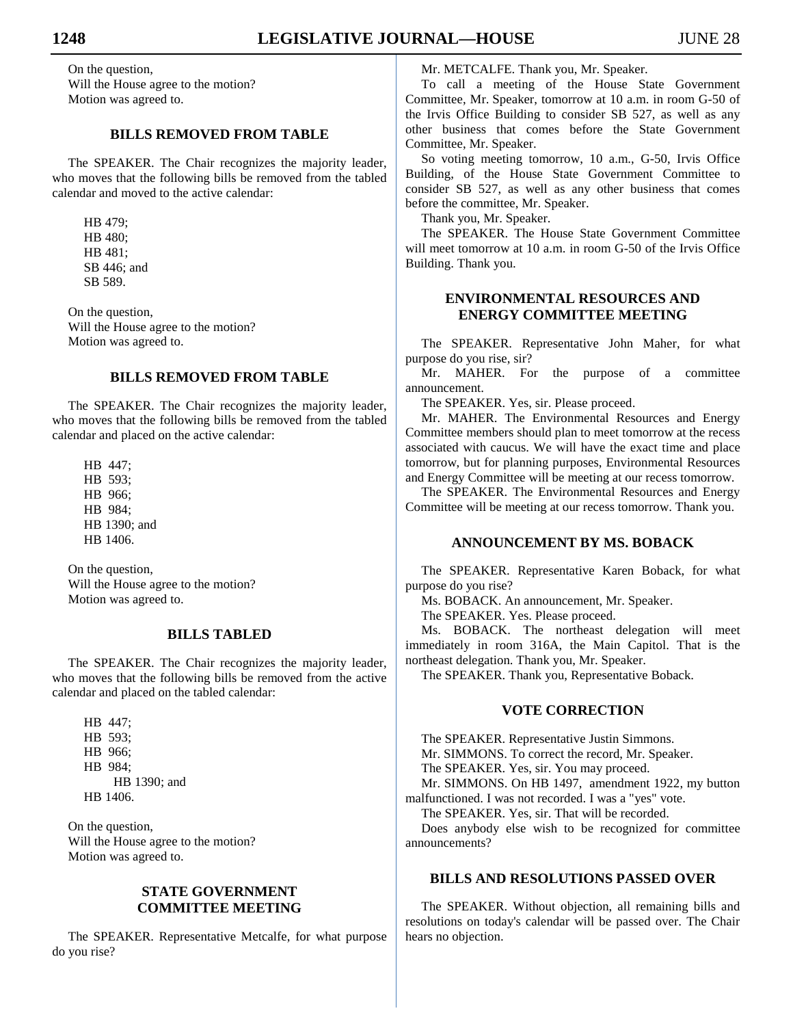On the question, Will the House agree to the motion? Motion was agreed to.

# **BILLS REMOVED FROM TABLE**

 The SPEAKER. The Chair recognizes the majority leader, who moves that the following bills be removed from the tabled calendar and moved to the active calendar:

 HB 479; HB 480; HB 481; SB 446; and SB 589.

 On the question, Will the House agree to the motion? Motion was agreed to.

# **BILLS REMOVED FROM TABLE**

 The SPEAKER. The Chair recognizes the majority leader, who moves that the following bills be removed from the tabled calendar and placed on the active calendar:

 HB 447; HB 593; HB 966; HB 984; HB 1390; and HB 1406.

 On the question, Will the House agree to the motion? Motion was agreed to.

# **BILLS TABLED**

 The SPEAKER. The Chair recognizes the majority leader, who moves that the following bills be removed from the active calendar and placed on the tabled calendar:

 HB 447; HB 593; HB 966; HB 984; HB 1390; and HB 1406.

 On the question, Will the House agree to the motion? Motion was agreed to.

# **STATE GOVERNMENT COMMITTEE MEETING**

 The SPEAKER. Representative Metcalfe, for what purpose do you rise?

Mr. METCALFE. Thank you, Mr. Speaker.

 To call a meeting of the House State Government Committee, Mr. Speaker, tomorrow at 10 a.m. in room G-50 of the Irvis Office Building to consider SB 527, as well as any other business that comes before the State Government Committee, Mr. Speaker.

 So voting meeting tomorrow, 10 a.m., G-50, Irvis Office Building, of the House State Government Committee to consider SB 527, as well as any other business that comes before the committee, Mr. Speaker.

Thank you, Mr. Speaker.

 The SPEAKER. The House State Government Committee will meet tomorrow at 10 a.m. in room G-50 of the Irvis Office Building. Thank you.

# **ENVIRONMENTAL RESOURCES AND ENERGY COMMITTEE MEETING**

 The SPEAKER. Representative John Maher, for what purpose do you rise, sir?

 Mr. MAHER. For the purpose of a committee announcement.

The SPEAKER. Yes, sir. Please proceed.

 Mr. MAHER. The Environmental Resources and Energy Committee members should plan to meet tomorrow at the recess associated with caucus. We will have the exact time and place tomorrow, but for planning purposes, Environmental Resources and Energy Committee will be meeting at our recess tomorrow.

 The SPEAKER. The Environmental Resources and Energy Committee will be meeting at our recess tomorrow. Thank you.

# **ANNOUNCEMENT BY MS. BOBACK**

 The SPEAKER. Representative Karen Boback, for what purpose do you rise?

Ms. BOBACK. An announcement, Mr. Speaker.

The SPEAKER. Yes. Please proceed.

 Ms. BOBACK. The northeast delegation will meet immediately in room 316A, the Main Capitol. That is the northeast delegation. Thank you, Mr. Speaker.

The SPEAKER. Thank you, Representative Boback.

# **VOTE CORRECTION**

 The SPEAKER. Representative Justin Simmons. Mr. SIMMONS. To correct the record, Mr. Speaker. The SPEAKER. Yes, sir. You may proceed. Mr. SIMMONS. On HB 1497, amendment 1922, my button malfunctioned. I was not recorded. I was a "yes" vote.

The SPEAKER. Yes, sir. That will be recorded.

 Does anybody else wish to be recognized for committee announcements?

# **BILLS AND RESOLUTIONS PASSED OVER**

 The SPEAKER. Without objection, all remaining bills and resolutions on today's calendar will be passed over. The Chair hears no objection.